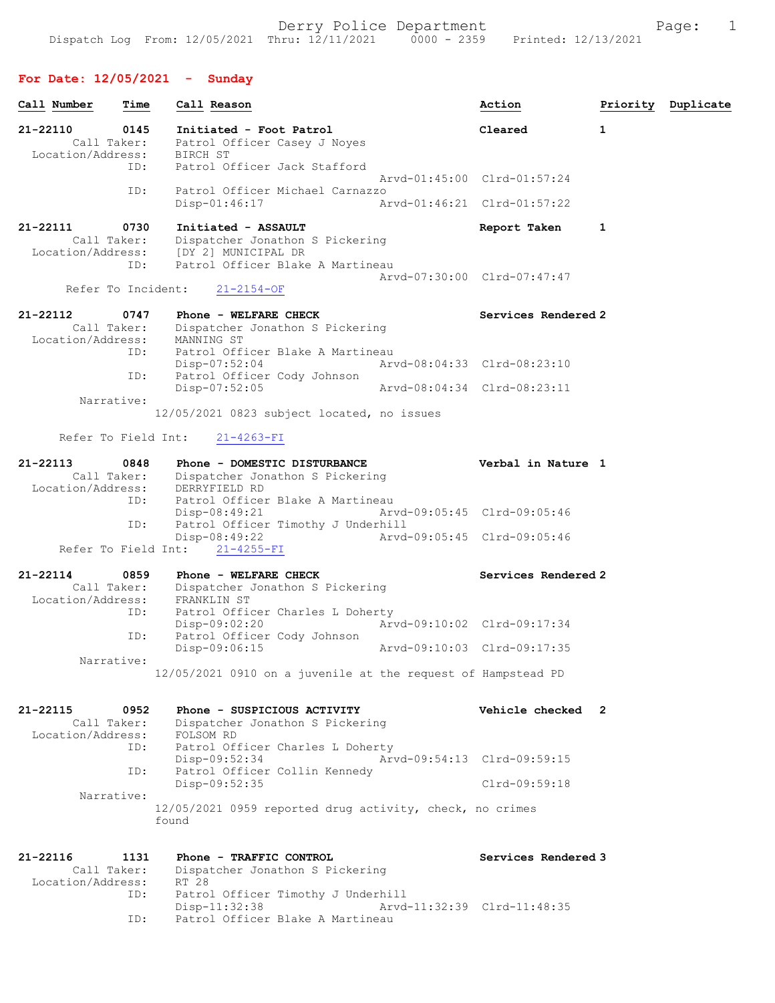# For Date: 12/05/2021 - Sunday

| Call Number                                  | Time        | Call Reason                                                                                                |                             | Action              |   | Priority Duplicate |
|----------------------------------------------|-------------|------------------------------------------------------------------------------------------------------------|-----------------------------|---------------------|---|--------------------|
| 21-22110<br>Call Taker:<br>Location/Address: | 0145        | Initiated - Foot Patrol<br>Patrol Officer Casey J Noyes<br>BIRCH ST                                        |                             | Cleared             | 1 |                    |
|                                              | ID:         | Patrol Officer Jack Stafford                                                                               | Arvd-01:45:00 Clrd-01:57:24 |                     |   |                    |
|                                              | ID:         | Patrol Officer Michael Carnazzo<br>Disp-01:46:17                                                           | Arvd-01:46:21 Clrd-01:57:22 |                     |   |                    |
| 21-22111<br>Call Taker:                      | 0730        | Initiated - ASSAULT<br>Dispatcher Jonathon S Pickering<br>Location/Address: [DY 2] MUNICIPAL DR            |                             | Report Taken        | 1 |                    |
| Refer To Incident:                           | ID:         | Patrol Officer Blake A Martineau<br>$21 - 2154 - OF$                                                       | Arvd-07:30:00 Clrd-07:47:47 |                     |   |                    |
|                                              |             |                                                                                                            |                             |                     |   |                    |
| 21-22112<br>Call Taker:<br>Location/Address: | 0747<br>ID: | Phone - WELFARE CHECK<br>Dispatcher Jonathon S Pickering<br>MANNING ST<br>Patrol Officer Blake A Martineau |                             | Services Rendered 2 |   |                    |
|                                              | ID:         | Disp-07:52:04<br>Patrol Officer Cody Johnson                                                               | Arvd-08:04:33 Clrd-08:23:10 |                     |   |                    |
|                                              |             | $Disp-07:52:05$                                                                                            | Arvd-08:04:34 Clrd-08:23:11 |                     |   |                    |
| Narrative:                                   |             | $12/05/2021$ 0823 subject located, no issues                                                               |                             |                     |   |                    |
| Refer To Field Int:                          |             | $21 - 4263 - FI$                                                                                           |                             |                     |   |                    |
| 21-22113                                     | 0848        | Phone - DOMESTIC DISTURBANCE                                                                               |                             | Verbal in Nature 1  |   |                    |
| Location/Address:                            |             | Call Taker: Dispatcher Jonathon S Pickering<br>DERRYFIELD RD                                               |                             |                     |   |                    |
|                                              | ID:<br>ID:  | Patrol Officer Blake A Martineau<br>$Disp-08:49:21$<br>Patrol Officer Timothy J Underhill                  | Arvd-09:05:45 Clrd-09:05:46 |                     |   |                    |
| Refer To Field Int:                          |             | Disp-08:49:22<br>$21 - 4255 - FI$                                                                          | Arvd-09:05:45 Clrd-09:05:46 |                     |   |                    |
| 21-22114                                     | 0859        | Phone - WELFARE CHECK                                                                                      |                             | Services Rendered 2 |   |                    |
| Call Taker:<br>Location/Address:             |             | Dispatcher Jonathon S Pickering<br>FRANKLIN ST                                                             |                             |                     |   |                    |
|                                              | ID:         | Patrol Officer Charles L Doherty<br>Disp-09:02:20                                                          | Arvd-09:10:02 Clrd-09:17:34 |                     |   |                    |
|                                              | ID:         | Patrol Officer Cody Johnson<br>Disp-09:06:15                                                               | Arvd-09:10:03 Clrd-09:17:35 |                     |   |                    |
| Narrative:                                   |             | 12/05/2021 0910 on a juvenile at the request of Hampstead PD                                               |                             |                     |   |                    |
|                                              |             |                                                                                                            |                             |                     |   |                    |
| 21-22115<br>Call Taker:                      | 0952        | Phone - SUSPICIOUS ACTIVITY<br>Dispatcher Jonathon S Pickering                                             |                             | Vehicle checked 2   |   |                    |
| Location/Address:                            |             | FOLSOM RD                                                                                                  |                             |                     |   |                    |
|                                              | ID:<br>ID:  | Patrol Officer Charles L Doherty<br>Disp-09:52:34<br>Patrol Officer Collin Kennedy                         | Arvd-09:54:13 Clrd-09:59:15 |                     |   |                    |
|                                              |             | Disp-09:52:35                                                                                              |                             | Clrd-09:59:18       |   |                    |
| Narrative:                                   |             | 12/05/2021 0959 reported drug activity, check, no crimes<br>found                                          |                             |                     |   |                    |
| 21-22116                                     | 1131        | Phone - TRAFFIC CONTROL                                                                                    |                             | Services Rendered 3 |   |                    |
| Call Taker:<br>Location/Address:             |             | Dispatcher Jonathon S Pickering<br>RT 28                                                                   |                             |                     |   |                    |
|                                              | ID:<br>ID:  | Patrol Officer Timothy J Underhill<br>$Disp-11:32:38$<br>Patrol Officer Blake A Martineau                  | Arvd-11:32:39 Clrd-11:48:35 |                     |   |                    |
|                                              |             |                                                                                                            |                             |                     |   |                    |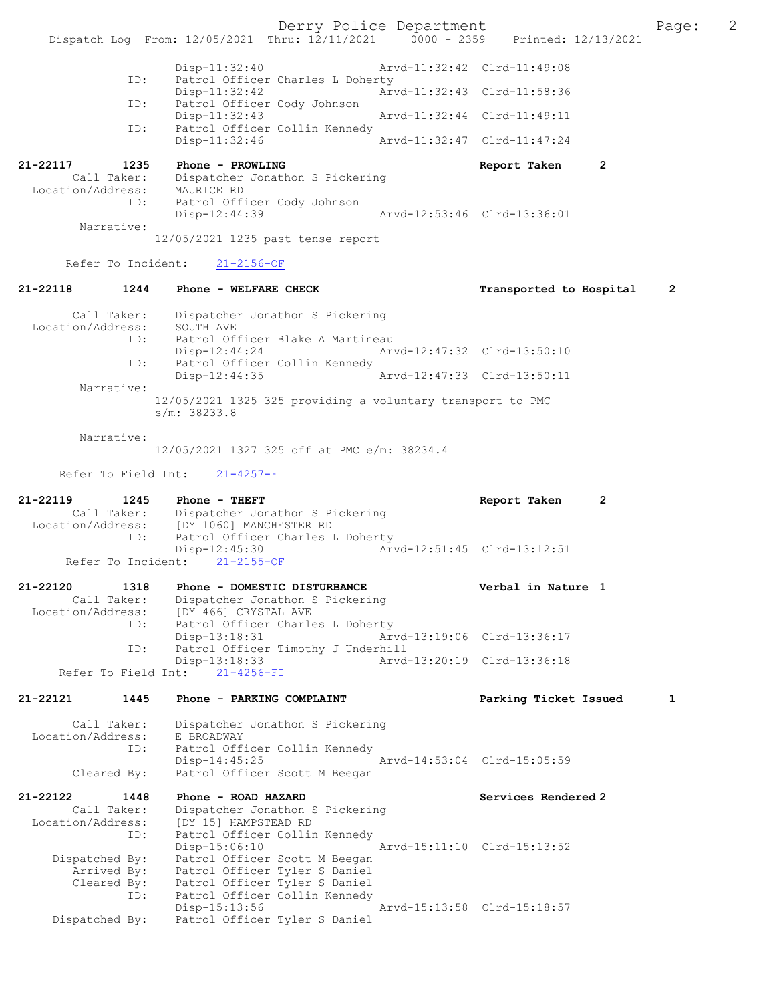Derry Police Department The Page: 2 Dispatch Log From: 12/05/2021 Thru: 12/11/2021 0000 - 2359 Printed: 12/13/2021 Disp-11:32:40 Arvd-11:32:42 Clrd-11:49:08 ID: Patrol Officer Charles L Doherty<br>Disp-11:32:42 Arv Disp-11:32:42 <br>
Patrol Officer Cody Johnson<br>
Displaced Detector Cody Johnson Patrol Officer Cody Johnson<br>Disp-11:32:43 Disp-11:32:43 Arvd-11:32:44 Clrd-11:49:11<br>ID: Patrol Officer Collin Kennedy Patrol Officer Collin Kennedy Disp-11:32:46 Arvd-11:32:47 Clrd-11:47:24 21-22117 1235 Phone - PROWLING **Report Taken** 2 Call Taker: Dispatcher Jonathon S Pickering Location/Address: MAURICE RD ID: Patrol Officer Cody Johnson Disp-12:44:39 Arvd-12:53:46 Clrd-13:36:01 Narrative: 12/05/2021 1235 past tense report Refer To Incident: 21-2156-OF 21-22118 1244 Phone - WELFARE CHECK Transported to Hospital 2 Call Taker: Dispatcher Jonathon S Pickering Location/Address: SOUTH AVE ID: Patrol Officer Blake A Martineau Disp-12:44:24 Arvd-12:47:32 Clrd-13:50:10 ID: Patrol Officer Collin Kennedy<br>Disp-12:44:35 Arvd-12:47:33 Clrd-13:50:11 Disp-12:44:35 Narrative: 12/05/2021 1325 325 providing a voluntary transport to PMC s/m: 38233.8 Narrative: 12/05/2021 1327 325 off at PMC e/m: 38234.4 Refer To Field Int: 21-4257-FI 21-22119 1245 Phone - THEFT Report Taken 2 Call Taker: Dispatcher Jonathon S Pickering Location/Address: [DY 1060] MANCHESTER RD ID: Patrol Officer Charles L Doherty<br>Disp-12:45:30 Arv Disp-12:45:30 Arvd-12:51:45 Clrd-13:12:51 Refer To Incident: 21-2155-OF 21-22120 1318 Phone - DOMESTIC DISTURBANCE Verbal in Nature 1 Call Taker: Dispatcher Jonathon S Pickering Location/Address: [DY 466] CRYSTAL AVE ID: Patrol Officer Charles L Doherty Disp-13:18:31 Arvd-13:19:06 Clrd-13:36:17 ID: Patrol Officer Timothy J Underhill<br>Disp-13:18:33 Arvd Disp-13:18:33 Arvd-13:20:19 Clrd-13:36:18 Refer To Field Int: 21-4256-FI 21-22121 1445 Phone - PARKING COMPLAINT Parking Ticket Issued 1 Call Taker: Dispatcher Jonathon S Pickering Location/Address: E BROADWAY ID: Patrol Officer Collin Kennedy Patrol Officer Collin Nemieur<br>Disp-14:45:25 Arvd-14:53:04 Clrd-15:05:59 Cleared By: Patrol Officer Scott M Beegan 21-22122 1448 Phone - ROAD HAZARD Services Rendered 2 Call Taker: Dispatcher Jonathon S Pickering Location/Address: [DY 15] HAMPSTEAD RD ID: Patrol Officer Collin Kennedy Disp-15:06:10 Arvd-15:11:10 Clrd-15:13:52 Dispatched By: Patrol Officer Scott M Beegan Arrived By: Patrol Officer Tyler S Daniel Cleared By: Patrol Officer Tyler S Daniel ID: Patrol Officer Collin Kennedy Disp-15:13:56 Arvd-15:13:58 Clrd-15:18:57 Dispatched By: Patrol Officer Tyler S Daniel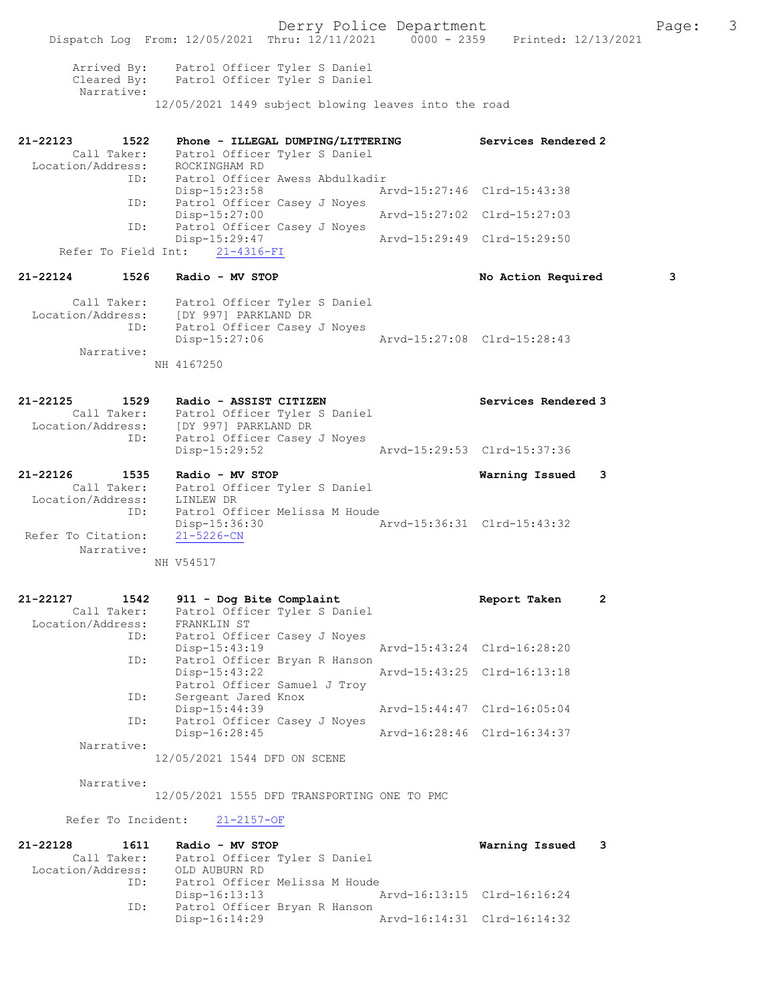Derry Police Department Fage: 3 Dispatch Log From: 12/05/2021 Thru: 12/11/2021 0000 - 2359 Printed: 12/13/2021 Arrived By: Patrol Officer Tyler S Daniel Cleared By: Patrol Officer Tyler S Daniel Narrative: 12/05/2021 1449 subject blowing leaves into the road 21-22123 1522 Phone - ILLEGAL DUMPING/LITTERING Services Rendered 2 Call Taker: Patrol Officer Tyler S Daniel Location/Address: ROCKINGHAM RD ID: Patrol Officer Awess Abdulkadir Disp-15:23:58 Arvd-15:27:46 Clrd-15:43:38 ID: Patrol Officer Casey J Noyes<br>Disp-15:27:00 Arvd-15:27:02 Clrd-15:27:03 Disp-15:27:00<br>Disp-15:27:00<br>ID: Patrol Officer Casey J Noye Patrol Officer Casey J Noyes<br>Disp-15:29:47 Disp-15:29:47 Arvd-15:29:49 Clrd-15:29:50 Refer To Field Int: 21-4316-FI 21-22124 1526 Radio - MV STOP No Store No Action Required 3 Call Taker: Patrol Officer Tyler S Daniel Location/Address: [DY 997] PARKLAND DR ID: Patrol Officer Casey J Noyes Disp-15:27:06 Arvd-15:27:08 Clrd-15:28:43 Narrative: NH 4167250 21-22125 1529 Radio - ASSIST CITIZEN 1988 Services Rendered 3 Call Taker: Patrol Officer Tyler S Daniel Location/Address: [DY 997] PARKLAND DR ID: Patrol Officer Casey J Noyes Disp-15:29:52 Arvd-15:29:53 Clrd-15:37:36 21-22126 1535 Radio - MV STOP Warning Issued 3 Call Taker: Patrol Officer Tyler S Daniel Location/Address: LINLEW DR ID: Patrol Officer Melissa M Houde Disp-15:36:30 Arvd-15:36:31 Clrd-15:43:32 Refer To Citation:  $21-5226$ -CN Narrative: NH V54517 21-22127 1542 911 - Dog Bite Complaint Report Taken 2 Call Taker: Patrol Officer Tyler S Daniel Location/Address: FRANKLIN ST ID: Patrol Officer Casey J Noyes Disp-15:43:19 Arvd-15:43:24 Clrd-16:28:20 ID: Patrol Officer Bryan R Hanson<br>Disp-15:43:22 Disp-15:43:22 Arvd-15:43:25 Clrd-16:13:18 Patrol Officer Samuel J Troy ID: Sergeant Jared Knox Disp-15:44:39 Arvd-15:44:47 Clrd-16:05:04 ID: Patrol Officer Casey J Noyes Disp-16:28:45 Arvd-16:28:46 Clrd-16:34:37 Narrative: 12/05/2021 1544 DFD ON SCENE Narrative: 12/05/2021 1555 DFD TRANSPORTING ONE TO PMC Refer To Incident: 21-2157-OF 21-22128 1611 Radio - MV STOP Warning Issued 3 Call Taker: Patrol Officer Tyler S Daniel Location/Address: OLD AUBURN RD ID: Patrol Officer Melissa M Houde Disp-16:13:13 Arvd-16:13:15 Clrd-16:16:24 ID: Patrol Officer Bryan R Hanson<br>Disp-16:14:29 Disp-16:14:29 Arvd-16:14:31 Clrd-16:14:32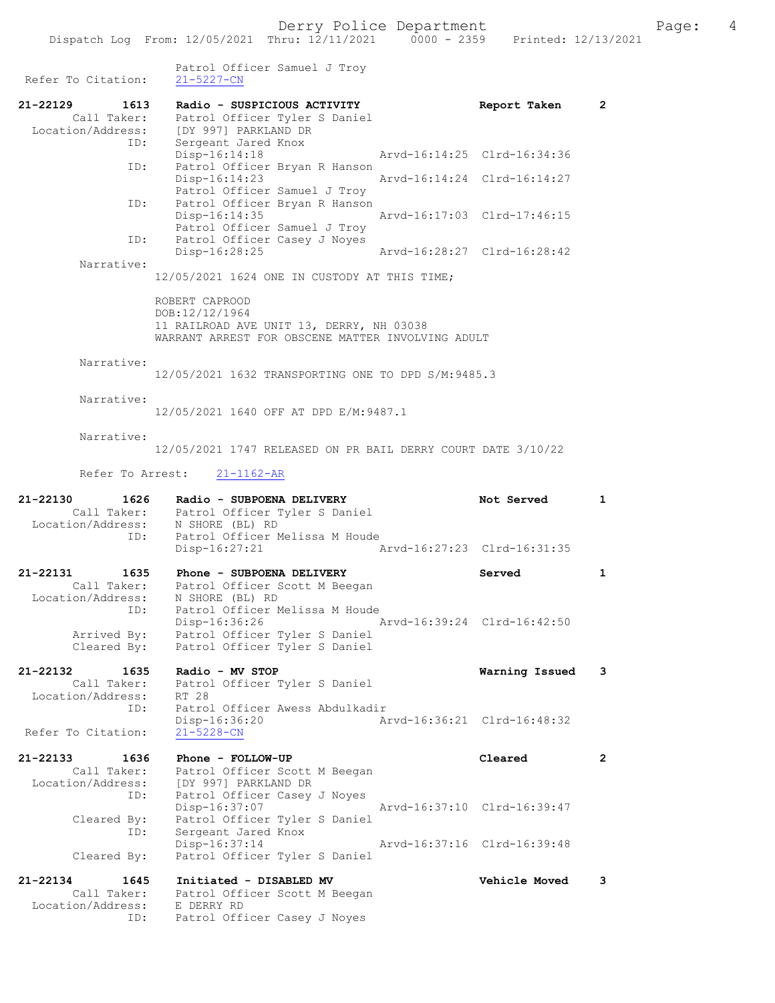| Refer To Citation:                                          | Patrol Officer Samuel J Troy<br>$21 - 5227 - CN$                                                                                              |                             |                |
|-------------------------------------------------------------|-----------------------------------------------------------------------------------------------------------------------------------------------|-----------------------------|----------------|
| 21-22129<br>1613<br>Call Taker:<br>Location/Address:        | Radio - SUSPICIOUS ACTIVITY<br>Patrol Officer Tyler S Daniel<br>[DY 997] PARKLAND DR                                                          | Report Taken                | $\mathbf{2}$   |
| ID:                                                         | Sergeant Jared Knox<br>$Disp-16:14:18$                                                                                                        | Arvd-16:14:25 Clrd-16:34:36 |                |
| ID:                                                         | Patrol Officer Bryan R Hanson<br>$Disp-16:14:23$<br>Patrol Officer Samuel J Troy                                                              | Arvd-16:14:24 Clrd-16:14:27 |                |
| ID:                                                         | Patrol Officer Bryan R Hanson<br>$Disp-16:14:35$<br>Patrol Officer Samuel J Troy                                                              | Arvd-16:17:03 Clrd-17:46:15 |                |
| ID:                                                         | Patrol Officer Casey J Noyes<br>Disp-16:28:25                                                                                                 | Arvd-16:28:27 Clrd-16:28:42 |                |
| Narrative:                                                  | 12/05/2021 1624 ONE IN CUSTODY AT THIS TIME;                                                                                                  |                             |                |
|                                                             | ROBERT CAPROOD<br>DOB:12/12/1964<br>11 RAILROAD AVE UNIT 13, DERRY, NH 03038<br>WARRANT ARREST FOR OBSCENE MATTER INVOLVING ADULT             |                             |                |
| Narrative:                                                  | 12/05/2021 1632 TRANSPORTING ONE TO DPD S/M:9485.3                                                                                            |                             |                |
| Narrative:                                                  | 12/05/2021 1640 OFF AT DPD E/M:9487.1                                                                                                         |                             |                |
| Narrative:                                                  | 12/05/2021 1747 RELEASED ON PR BAIL DERRY COURT DATE 3/10/22                                                                                  |                             |                |
|                                                             | Refer To Arrest: 21-1162-AR                                                                                                                   |                             |                |
| 21-22130<br>1626<br>Location/Address:                       | Radio - SUBPOENA DELIVERY<br>Call Taker: Patrol Officer Tyler S Daniel<br>N SHORE (BL) RD                                                     | Not Served                  | $\mathbf{1}$   |
| ID:                                                         | Patrol Officer Melissa M Houde<br>$Disp-16:27:21$                                                                                             | Arvd-16:27:23 Clrd-16:31:35 |                |
| 21-22131<br>1635<br>Location/Address:                       | Phone - SUBPOENA DELIVERY<br>Call Taker: Patrol Officer Scott M Beegan<br>N SHORE (BL) RD                                                     | Served                      | $\mathbf{1}$   |
| ID:<br>Arrived By:<br>Cleared By:                           | Patrol Officer Melissa M Houde<br>Disp-16:36:26 Arvd-16:39:24 Clrd-16:42:50<br>Patrol Officer Tyler S Daniel<br>Patrol Officer Tyler S Daniel |                             |                |
| 21-22132<br>1635<br>Call Taker:<br>Location/Address:        | Radio - MV STOP<br>Patrol Officer Tyler S Daniel<br>RT 28                                                                                     | Warning Issued              | 3              |
| ID:<br>Refer To Citation:                                   | Patrol Officer Awess Abdulkadir<br>Disp-16:36:20<br>$21 - 5228 - CN$                                                                          | Arvd-16:36:21 Clrd-16:48:32 |                |
| 21-22133<br>1636<br>Call Taker:<br>Location/Address:<br>ID: | Phone - FOLLOW-UP<br>Patrol Officer Scott M Beegan<br>[DY 997] PARKLAND DR<br>Patrol Officer Casey J Noyes                                    | Cleared                     | $\overline{2}$ |
| Cleared By:<br>ID:                                          | Disp-16:37:07<br>Patrol Officer Tyler S Daniel<br>Sergeant Jared Knox                                                                         | Arvd-16:37:10 Clrd-16:39:47 |                |
| Cleared By:                                                 | Disp-16:37:14<br>Patrol Officer Tyler S Daniel                                                                                                | Arvd-16:37:16 Clrd-16:39:48 |                |
| 21-22134<br>1645<br>Call Taker:                             | Initiated - DISABLED MV<br>Patrol Officer Scott M Beegan                                                                                      | <b>Vehicle Moved</b>        | 3              |
| Location/Address:<br>ID:                                    | E DERRY RD<br>Patrol Officer Casey J Noyes                                                                                                    |                             |                |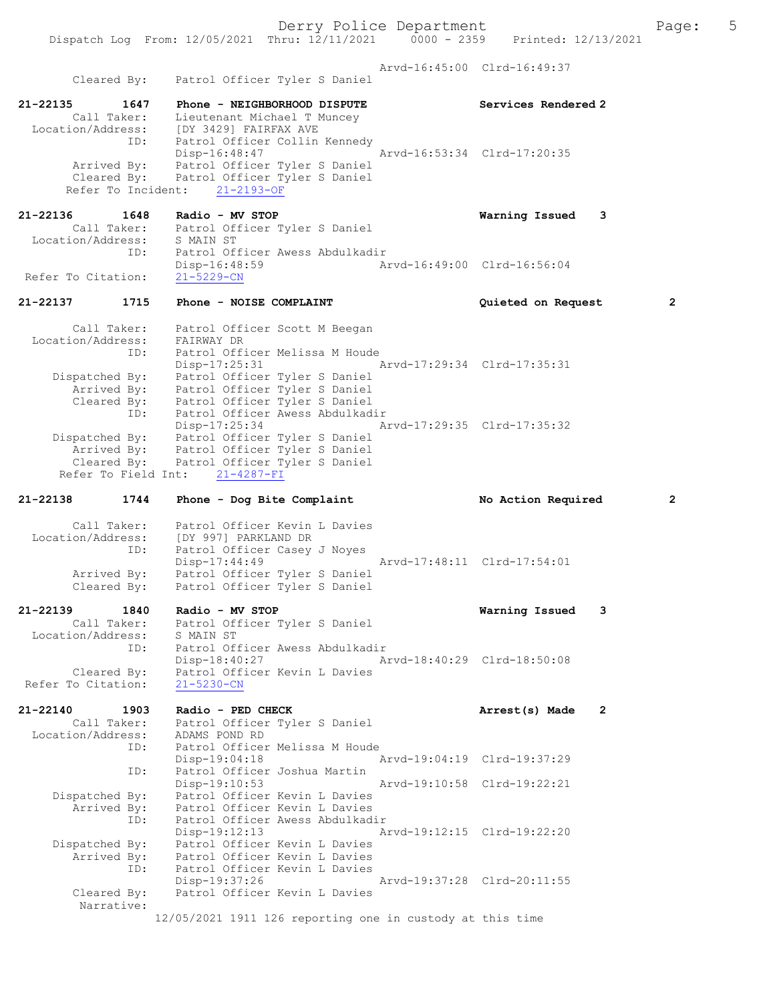Derry Police Department The Rage: 5 Dispatch Log From: 12/05/2021 Thru: 12/11/2021 0000 - 2359 Printed: 12/13/2021 Arvd-16:45:00 Clrd-16:49:37 Cleared By: Patrol Officer Tyler S Daniel 21-22135 1647 Phone - NEIGHBORHOOD DISPUTE Services Rendered 2 Call Taker: Lieutenant Michael T Muncey Location/Address: [DY 3429] FAIRFAX AVE ID: Patrol Officer Collin Kennedy Disp-16:48:47 Arvd-16:53:34 Clrd-17:20:35 Arrived By: Patrol Officer Tyler S Daniel Cleared By: Patrol Officer Tyler S Daniel Refer To Incident: 21-2193-OF 21-22136 1648 Radio - MV STOP Warning Issued 3 Call Taker: Patrol Officer Tyler S Daniel Location/Address: S MAIN ST ID: Patrol Officer Awess Abdulkadir Disp-16:48:59 Arvd-16:49:00 Clrd-16:56:04 Refer To Citation: 21-5229-CN 21-22137 1715 Phone - NOISE COMPLAINT Quieted on Request 2 Call Taker: Patrol Officer Scott M Beegan Location/Address: FAIRWAY DR ID: Patrol Officer Melissa M Houde Disp-17:25:31 Arvd-17:29:34 Clrd-17:35:31 Dispatched By: Patrol Officer Tyler S Daniel Arrived By: Patrol Officer Tyler S Daniel Cleared By: Patrol Officer Tyler S Daniel ID: Patrol Officer Awess Abdulkadir Disp-17:25:34 Arvd-17:29:35 Clrd-17:35:32 Dispatched By: Patrol Officer Tyler S Daniel Arrived By: Patrol Officer Tyler S Daniel Cleared By: Patrol Officer Tyler S Daniel Refer To Field Int: 21-4287-FI 21-22138 1744 Phone - Dog Bite Complaint No Action Required 2 Call Taker: Patrol Officer Kevin L Davies Location/Address: [DY 997] PARKLAND DR ID: Patrol Officer Casey J Noyes Disp-17:44:49 Arvd-17:48:11 Clrd-17:54:01 Arrived By: Patrol Officer Tyler S Daniel Cleared By: Patrol Officer Tyler S Daniel 21-22139 1840 Radio - MV STOP Warning Issued 3 Call Taker: Patrol Officer Tyler S Daniel Location/Address: S MAIN ST ID: Patrol Officer Awess Abdulkadir Disp-18:40:27 Arvd-18:40:29 Clrd-18:50:08 Cleared By: Patrol Officer Kevin L Davies Refer To Citation: 21-5230-CN 21-22140 1903 Radio - PED CHECK 2 (2011) Arrest(s) Made 2 Call Taker: Patrol Officer Tyler S Daniel Location/Address: ADAMS POND RD ID: Patrol Officer Melissa M Houde Disp-19:04:18 Arvd-19:04:19 Clrd-19:37:29 ID: Patrol Officer Joshua Martin<br>Disp-19:10:53 Arvd-19:10:58 Clrd-19:22:21 Disp-19:10:53 Arvd-19:10:58 Clrd-19:22:21 Dispatched By: Patrol Officer Kevin L Davies Arrived By: Patrol Officer Kevin L Davies ID: Patrol Officer Awess Abdulkadir Disp-19:12:13 Arvd-19:12:15 Clrd-19:22:20 Dispatched By: Patrol Officer Kevin L Davies Arrived By: Patrol Officer Kevin L Davies ID: Patrol Officer Kevin L Davies Disp-19:37:26 Arvd-19:37:28 Clrd-20:11:55<br>Cleared By: Patrol Officer Kevin L Davies Patrol Officer Kevin L Davies Narrative: 12/05/2021 1911 126 reporting one in custody at this time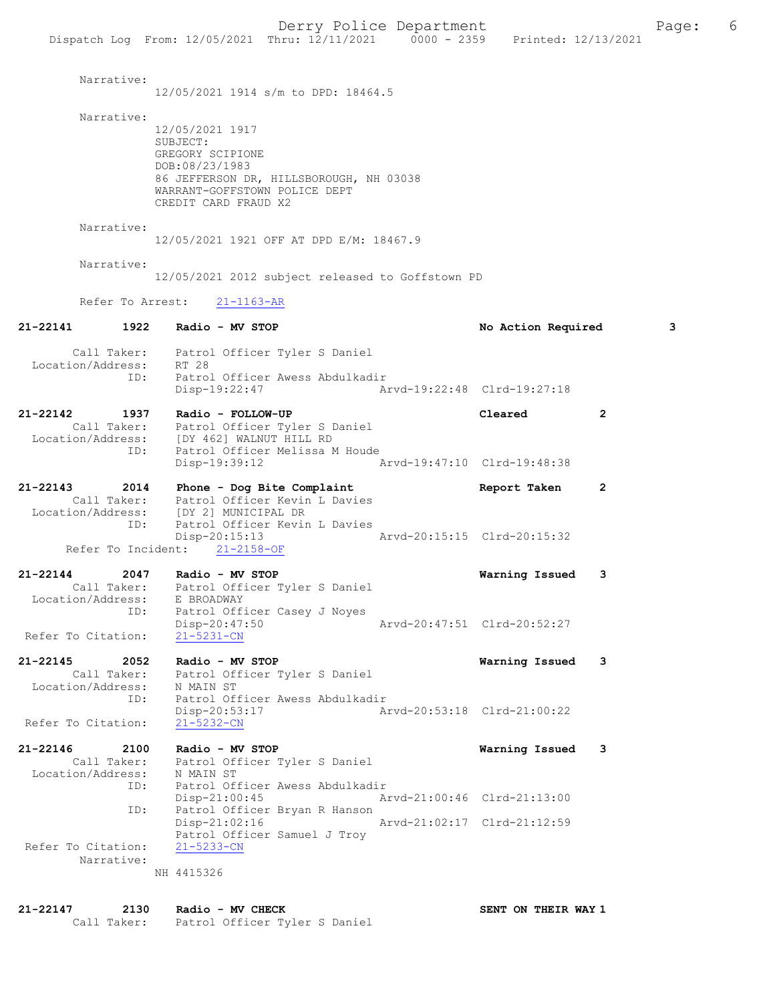Narrative: 12/05/2021 1914 s/m to DPD: 18464.5 Narrative: 12/05/2021 1917 SUBJECT: GREGORY SCIPIONE DOB:08/23/1983 86 JEFFERSON DR, HILLSBOROUGH, NH 03038 WARRANT-GOFFSTOWN POLICE DEPT CREDIT CARD FRAUD X2 Narrative: 12/05/2021 1921 OFF AT DPD E/M: 18467.9 Narrative: 12/05/2021 2012 subject released to Goffstown PD Refer To Arrest: 21-1163-AR 21-22141 1922 Radio - MV STOP No Action Required 3 Call Taker: Patrol Officer Tyler S Daniel Location/Address: RT 28 ID: Patrol Officer Awess Abdulkadir Disp-19:22:47 Arvd-19:22:48 Clrd-19:27:18 21-22142 1937 Radio - FOLLOW-UP Cleared 2 Call Taker: Patrol Officer Tyler S Daniel Location/Address: [DY 462] WALNUT HILL RD ID: Patrol Officer Melissa M Houde Disp-19:39:12 Arvd-19:47:10 Clrd-19:48:38 21-22143 2014 Phone - Dog Bite Complaint Report Taken 2 Call Taker: Patrol Officer Kevin L Davies Location/Address: [DY 2] MUNICIPAL DR ID: Patrol Officer Kevin L Davies<br>Disp-20:15:13 Disp-20:15:13 Arvd-20:15:15 Clrd-20:15:32 Refer To Incident: 21-2158-OF 21-22144 2047 Radio - MV STOP Warning Issued 3 Call Taker: Patrol Officer Tyler S Daniel Location/Address: E BROADWAY ID: Patrol Officer Casey J Noyes Disp-20:47:50 Arvd-20:47:51 Clrd-20:52:27 Refer To Citation: 21-5231-CN 21-22145 2052 Radio - MV STOP Warning Issued 3 Call Taker: Patrol Officer Tyler S Daniel Location/Address: N MAIN ST ID: Patrol Officer Awess Abdulkadir Disp-20:53:17 Arvd-20:53:18 Clrd-21:00:22 Refer To Citation: 21-5232-CN 21-22146 2100 Radio - MV STOP Warning Issued 3 Call Taker: Patrol Officer Tyler S Daniel Location/Address: N MAIN ST ID: Patrol Officer Awess Abdulkadir Disp-21:00:45 Arvd-21:00:46 Clrd-21:13:00 ID: Patrol Officer Bryan R Hanson Disp-21:02:16 Arvd-21:02:17 Clrd-21:12:59 Patrol Officer Samuel J Troy<br>21-5233-CN Refer To Citation: Narrative: NH 4415326

21-22147 2130 Radio - MV CHECK SENT ON THEIR WAY 1 Call Taker: Patrol Officer Tyler S Daniel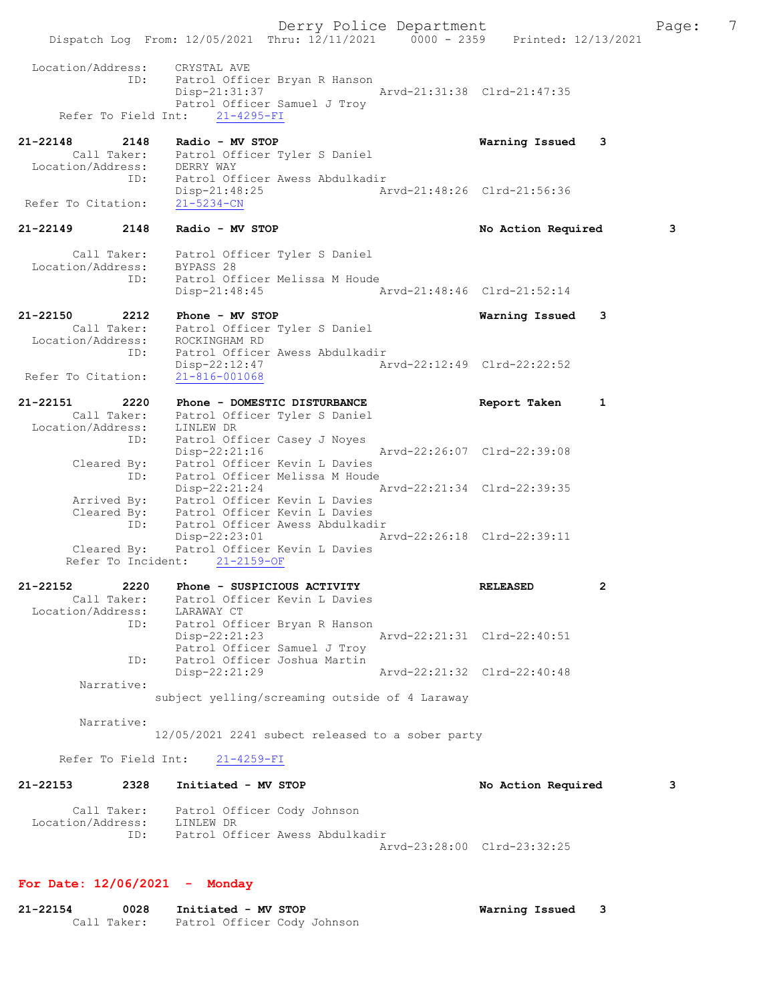Derry Police Department The Page: 7 Dispatch Log From: 12/05/2021 Thru: 12/11/2021 0000 - 2359 Printed: 12/13/2021 Location/Address: CRYSTAL AVE ID: Patrol Officer Bryan R Hanson Disp-21:31:37 Arvd-21:31:38 Clrd-21:47:35 Patrol Officer Samuel J Troy Refer To Field Int: 21-4295-FI 21-22148 2148 Radio - MV STOP Warning Issued 3 Call Taker: Patrol Officer Tyler S Daniel Location/Address: DERRY WAY ID: Patrol Officer Awess Abdulkadir Disp-21:48:25 Arvd-21:48:26 Clrd-21:56:36 Refer To Citation: 21-5234-CN 21-22149 2148 Radio - MV STOP No Action Required 3 Call Taker: Patrol Officer Tyler S Daniel Location/Address: BYPASS 28 ID: Patrol Officer Melissa M Houde Disp-21:48:45 Arvd-21:48:46 Clrd-21:52:14 21-22150 2212 Phone - MV STOP Warning Issued 3 Call Taker: Patrol Officer Tyler S Daniel Location/Address: ROCKINGHAM RD ID: Patrol Officer Awess Abdulkadir Disp-22:12:47 Arvd-22:12:49 Clrd-22:22:52 Refer To Citation: 21-816-001068 21-22151 2220 Phone - DOMESTIC DISTURBANCE Report Taken 1 Call Taker: Patrol Officer Tyler S Daniel Location/Address: LINLEW DR ID: Patrol Officer Casey J Noyes Disp-22:21:16 Arvd-22:26:07 Clrd-22:39:08 Cleared By: Patrol Officer Kevin L Davies ID: Patrol Officer Melissa M Houde Disp-22:21:24 Arvd-22:21:34 Clrd-22:39:35 Arrived By: Patrol Officer Kevin L Davies Cleared By: Patrol Officer Kevin L Davies ID: Patrol Officer Awess Abdulkadir Disp-22:23:01 Arvd-22:26:18 Clrd-22:39:11 Disp-22:23:01 A<br>Cleared By: Patrol Officer Kevin L Davies Refer To Incident: 21-2159-OF 21-22152 2220 Phone - SUSPICIOUS ACTIVITY RELEASED 2 Call Taker: Patrol Officer Kevin L Davies Location/Address: LARAWAY CT ID: Patrol Officer Bryan R Hanson Disp-22:21:23 Arvd-22:21:31 Clrd-22:40:51 Patrol Officer Samuel J Troy ID: Patrol Officer Joshua Martin Disp-22:21:29 Arvd-22:21:32 Clrd-22:40:48 Narrative: subject yelling/screaming outside of 4 Laraway Narrative: 12/05/2021 2241 subect released to a sober party Refer To Field Int: 21-4259-FI 21-22153 2328 Initiated - MV STOP 120 120 No Action Required 3 Call Taker: Patrol Officer Cody Johnson Location/Address: LINLEW DR ID: Patrol Officer Awess Abdulkadir Arvd-23:28:00 Clrd-23:32:25 For Date: 12/06/2021 - Monday

21-22154 0028 Initiated - MV STOP Warning Issued 3 Call Taker: Patrol Officer Cody Johnson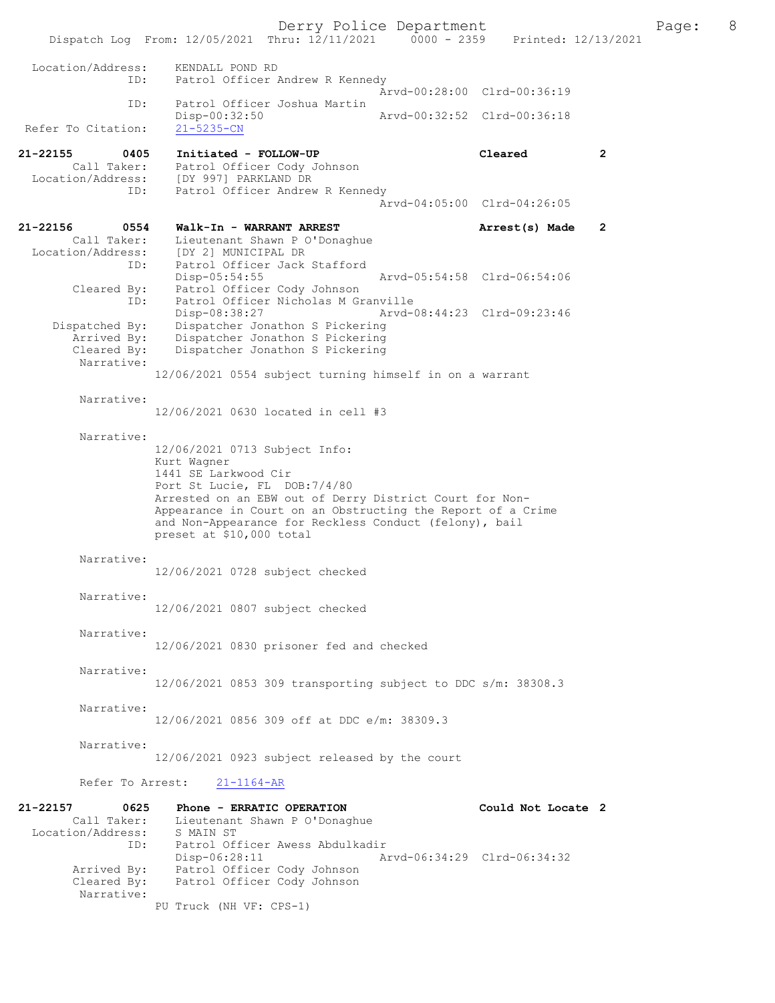Derry Police Department 12/13/2021 11/2021 11/2021 12/13/2021 12/13/2021 Dispatch Log From: 12/05/2021 Thru: 12/11/2021 Location/Address: KENDALL POND RD ID: Patrol Officer Andrew R Kennedy Arvd-00:28:00 Clrd-00:36:19<br>TD: Patrol Officer Joshua Martin Patrol Officer Joshua Martin<br>Disp-00:32:50 Disp-00:32:50 Arvd-00:32:52 Clrd-00:36:18 Refer To Citation: 21-22155 0405 Initiated - FOLLOW-UP Cleared 2 Call Taker: Patrol Officer Cody Johnson Location/Address: [DY 997] PARKLAND DR Iocation/Address: [DY 997] PARKLAND DR<br>ID: Patrol Officer Andrew R Kennedy Arvd-04:05:00 Clrd-04:26:05 21-22156 0554 Walk-In - WARRANT ARREST **Arrest(s) Made 2** Call Taker: Lieutenant Shawn P O'Donaghue Lieutenant Shawn P O'Donaghue Location/Address: [DY 2] MUNICIPAL DR<br>ID: Patrol Officer Jack Patrol Officer Jack Stafford<br>Disp-05:54:55 Disp-05:54:55 Arvd-05:54:58 Cleared By: Patrol Officer Cody Johnson By: Patrol Officer Cody Johnson<br>ID: Patrol Officer Nicholas M Gr Patrol Officer Nicholas M Granville Disp-08:38:27 Arvd-08:44:23 Clrd-09:23:46<br>Dispatched By: Dispatcher Jonathon S Pickering patched By: Dispatcher Jonathon S Pickering<br>Arrived By: Dispatcher Jonathon S Pickering Dispatcher Jonathon S Pickering Cleared By: Dispatcher Jonathon S Pickering Narrative: 12/06/2021 0554 subject turning himself in on a warrant Narrative: 12/06/2021 0630 located in cell #3 Narrative: 12/06/2021 0713 Subject Info: Kurt Wagner 1441 SE Larkwood Cir Port St Lucie, FL DOB:7/4/80 Arrested on an EBW out of Derry District Court for Non-Appearance in Court on an Obstructing the Report of a Crime and Non-Appearance for Reckless Conduct (felony), bail preset at \$10,000 total Narrative: 12/06/2021 0728 subject checked Narrative: 12/06/2021 0807 subject checked Narrative: 12/06/2021 0830 prisoner fed and checked Narrative: 12/06/2021 0853 309 transporting subject to DDC s/m: 38308.3 Narrative: 12/06/2021 0856 309 off at DDC e/m: 38309.3 Narrative: 12/06/2021 0923 subject released by the court Refer To Arrest: 21-1164-AR 21-22157 0625 Phone - ERRATIC OPERATION Could Not Locate 2<br>Call Taker: Lieutenant Shawn P O'Donaghue Lieutenant Shawn P O'Donaghue Location/Address: S MAIN ST ID: Patrol Officer Awess Abdulkadir Disp-06:28:11 Arvd-06:34:29 Clrd-06:34:32<br>Arrived By: Patrol Officer Cody Johnson Arrived By: Patrol Officer Cody Johnson<br>Cleared By: Patrol Officer Cody Johnson Patrol Officer Cody Johnson Narrative: PU Truck (NH VF: CPS-1)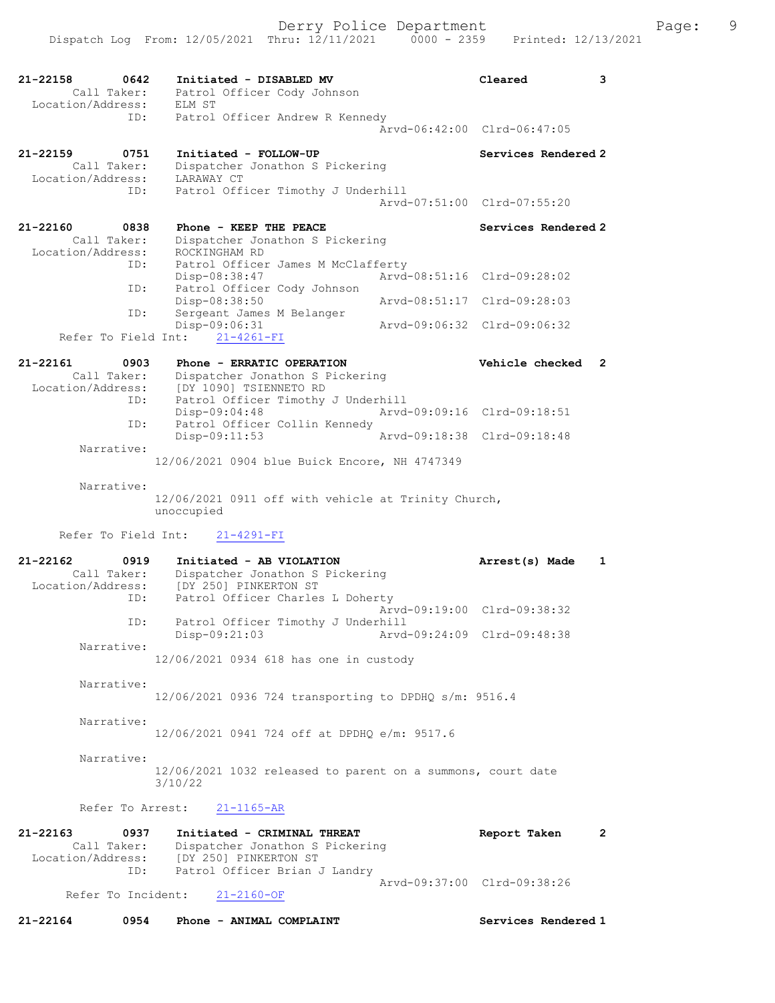| 21-22158<br>Call Taker:<br>Location/Address: | 0642             | Initiated - DISABLED MV<br>Patrol Officer Cody Johnson<br>ELM ST       | Cleared                     | 3            |
|----------------------------------------------|------------------|------------------------------------------------------------------------|-----------------------------|--------------|
|                                              | ID:              | Patrol Officer Andrew R Kennedy                                        | Arvd-06:42:00 Clrd-06:47:05 |              |
| 21-22159                                     | 0751             | Initiated - FOLLOW-UP                                                  | Services Rendered 2         |              |
| Call Taker:<br>Location/Address:             |                  | Dispatcher Jonathon S Pickering<br>LARAWAY CT                          |                             |              |
|                                              | ID:              | Patrol Officer Timothy J Underhill                                     | Arvd-07:51:00 Clrd-07:55:20 |              |
| 21-22160                                     | 0838             | Phone - KEEP THE PEACE                                                 | Services Rendered 2         |              |
| Call Taker:<br>Location/Address:             |                  | Dispatcher Jonathon S Pickering<br>ROCKINGHAM RD                       |                             |              |
|                                              | ID:              | Patrol Officer James M McClafferty<br>Disp-08:38:47                    | Arvd-08:51:16 Clrd-09:28:02 |              |
|                                              | ID:              | Patrol Officer Cody Johnson                                            |                             |              |
|                                              | ID:              | Disp-08:38:50<br>Sergeant James M Belanger                             | Arvd-08:51:17 Clrd-09:28:03 |              |
|                                              |                  | Disp-09:06:31                                                          | Aryd-09:06:32 Clrd-09:06:32 |              |
|                                              |                  | Refer To Field Int: 21-4261-FI                                         |                             |              |
| 21-22161                                     | 0903             | Phone - ERRATIC OPERATION                                              | Vehicle checked             | 2            |
| Call Taker:<br>Location/Address:             |                  | Dispatcher Jonathon S Pickering<br>[DY 1090] TSIENNETO RD              |                             |              |
|                                              | ID:              | Patrol Officer Timothy J Underhill<br>$Disp-09:04:48$                  | Arvd-09:09:16 Clrd-09:18:51 |              |
|                                              | ID:              | Patrol Officer Collin Kennedy                                          |                             |              |
| Narrative:                                   |                  | $Disp-09:11:53$                                                        | Arvd-09:18:38 Clrd-09:18:48 |              |
|                                              |                  | 12/06/2021 0904 blue Buick Encore, NH 4747349                          |                             |              |
| Narrative:                                   |                  |                                                                        |                             |              |
|                                              |                  | 12/06/2021 0911 off with vehicle at Trinity Church,<br>unoccupied      |                             |              |
| Refer To Field Int:                          |                  | $21 - 4291 - FI$                                                       |                             |              |
| 21-22162                                     | 0919             | Initiated - AB VIOLATION                                               | Arrest(s) Made              | 1            |
| Call Taker:                                  |                  | Dispatcher Jonathon S Pickering                                        |                             |              |
| Location/Address:                            | ID:              | [DY 250] PINKERTON ST<br>Patrol Officer Charles L Doherty              |                             |              |
|                                              | ID:              |                                                                        | Arvd-09:19:00 Clrd-09:38:32 |              |
|                                              |                  | Patrol Officer Timothy J Underhill<br>Disp-09:21:03                    | Arvd-09:24:09 Clrd-09:48:38 |              |
| Narrative:                                   |                  | 12/06/2021 0934 618 has one in custody                                 |                             |              |
|                                              |                  |                                                                        |                             |              |
| Narrative:                                   |                  | 12/06/2021 0936 724 transporting to DPDHQ s/m: 9516.4                  |                             |              |
|                                              |                  |                                                                        |                             |              |
| Narrative:                                   |                  | 12/06/2021 0941 724 off at DPDHQ e/m: 9517.6                           |                             |              |
|                                              |                  |                                                                        |                             |              |
| Narrative:                                   |                  | 12/06/2021 1032 released to parent on a summons, court date<br>3/10/22 |                             |              |
|                                              | Refer To Arrest: | $21 - 1165 - AR$                                                       |                             |              |
| 21-22163                                     | 0937             | Initiated - CRIMINAL THREAT                                            | Report Taken                | $\mathbf{2}$ |
| Call Taker:<br>Location/Address:             |                  | Dispatcher Jonathon S Pickering<br>[DY 250] PINKERTON ST               |                             |              |
|                                              | ID:              | Patrol Officer Brian J Landry                                          |                             |              |
| Refer To Incident:                           |                  | $21 - 2160 - OF$                                                       | Arvd-09:37:00 Clrd-09:38:26 |              |
|                                              |                  |                                                                        |                             |              |
| $21 - 22164$                                 | 0954             | Phone - ANIMAL COMPLAINT                                               | Services Rendered 1         |              |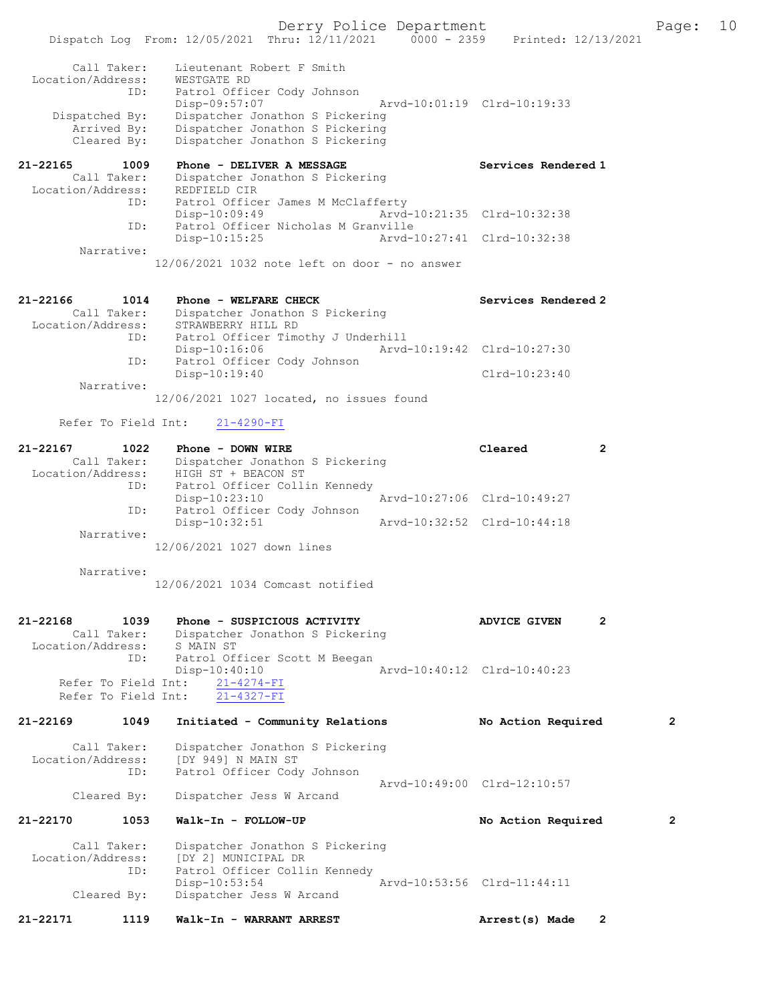Derry Police Department The Page: 10 Dispatch Log From: 12/05/2021 Thru: 12/11/2021 0000 - 2359 Printed: 12/13/2021 Call Taker: Lieutenant Robert F Smith Location/Address: WESTGATE RD ID: Patrol Officer Cody Johnson Disp-09:57:07 Arvd-10:01:19 Clrd-10:19:33 Dispatched By: Dispatcher Jonathon S Pickering Arrived By: Dispatcher Jonathon S Pickering Cleared By: Dispatcher Jonathon S Pickering 21-22165 1009 Phone - DELIVER A MESSAGE Services Rendered 1 Call Taker: Dispatcher Jonathon S Pickering Location/Address: REDFIELD CIR ID: Patrol Officer James M McClafferty<br>Disp-10:09:49 Arvd-Disp-10:09:49 Arvd-10:21:35 Clrd-10:32:38<br>TD: Patrol Officer Nicholas M Granville Patrol Officer Nicholas M Granville<br>Disp-10:15:25 Arvd-1 Disp-10:15:25 Arvd-10:27:41 Clrd-10:32:38 Narrative: 12/06/2021 1032 note left on door - no answer 21-22166 1014 Phone - WELFARE CHECK Services Rendered 2 Call Taker: Dispatcher Jonathon S Pickering Location/Address: STRAWBERRY HILL RD ID: Patrol Officer Timothy J Underhill<br>Disp-10:16:06 Arvd-Disp-10:16:06 Arvd-10:19:42 Clrd-10:27:30<br>ID: Patrol Officer Cody Johnson Patrol Officer Cody Johnson Disp-10:19:40 Clrd-10:23:40 Narrative: 12/06/2021 1027 located, no issues found Refer To Field Int: 21-4290-FI 21-22167 1022 Phone - DOWN WIRE Cleared 2 Call Taker: Dispatcher Jonathon S Pickering Location/Address: HIGH ST + BEACON ST ID: Patrol Officer Collin Kennedy<br>Disp-10:23:10 Disp-10:23:10 Arvd-10:27:06 Clrd-10:49:27 ID: Patrol Officer Cody Johnson Disp-10:32:51 Arvd-10:32:52 Clrd-10:44:18 Narrative: 12/06/2021 1027 down lines Narrative: 12/06/2021 1034 Comcast notified 21-22168 1039 Phone - SUSPICIOUS ACTIVITY ADVICE GIVEN 2 Call Taker: Dispatcher Jonathon S Pickering Location/Address: S MAIN ST ID: Patrol Officer Scott M Beegan Disp-10:40:10 Arvd-10:40:12 Clrd-10:40:23 Refer To Field Int:  $\frac{21-4274-FI}{21-4327-FI}$ Refer To Field Int: 21-22169 1049 Initiated - Community Relations No Action Required 2 Call Taker: Dispatcher Jonathon S Pickering Location/Address: [DY 949] N MAIN ST ID: Patrol Officer Cody Johnson Arvd-10:49:00 Clrd-12:10:57<br>Cleared By: Dispatcher Jess W Arcand Dispatcher Jess W Arcand 21-22170 1053 Walk-In - FOLLOW-UP No Action Required 2 Call Taker: Dispatcher Jonathon S Pickering<br>Location/Address: [DY 2] MUNICIPAL DR cess: [DY 2] MUNICIPAL DR<br>ID: Patrol Officer Colli Patrol Officer Collin Kennedy<br>Disp-10:53:54

Disp-10:53:54 <br>Cleared By: Dispatcher Jess W Arcand Cleared By: Dispatcher Jess W Arcand Dispatcher Jess W Arcand 21-22171 1119 Walk-In - WARRANT ARREST **Arrest(s)** Made 2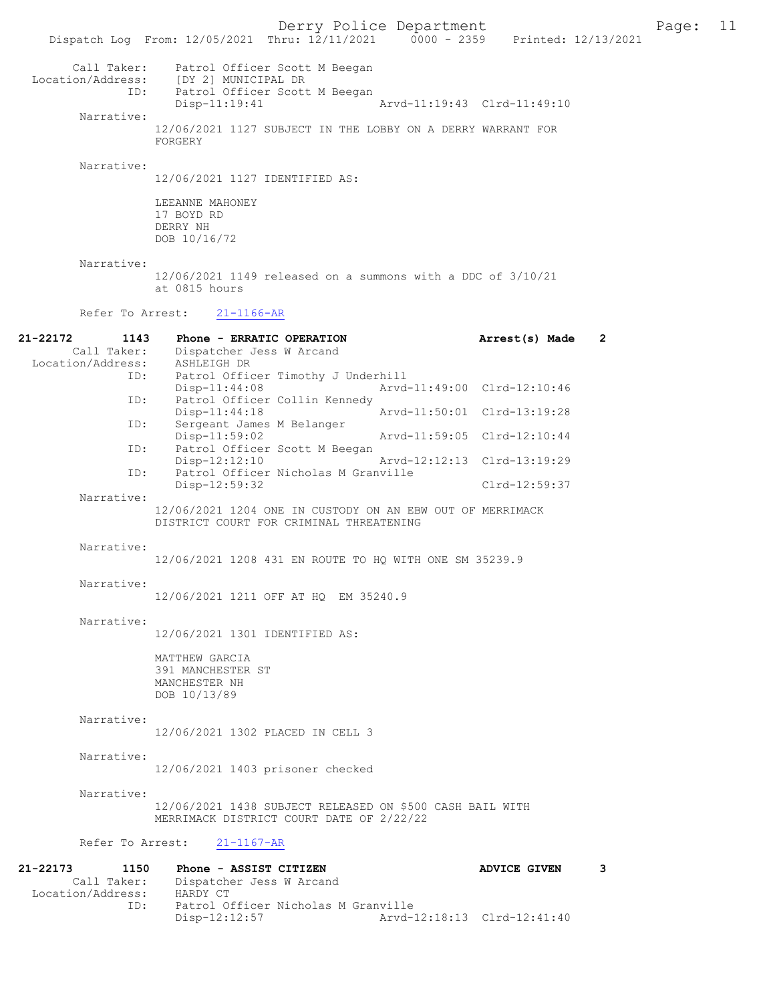Derry Police Department The Page: 11 Dispatch Log From: 12/05/2021 Thru: 12/11/2021 0000 - 2359 Printed: 12/13/2021 Call Taker: Patrol Officer Scott M Beegan Location/Address: [DY 2] MUNICIPAL DR ID: Patrol Officer Scott M Beegan Disp-11:19:41 Arvd-11:19:43 Clrd-11:49:10 Narrative: 12/06/2021 1127 SUBJECT IN THE LOBBY ON A DERRY WARRANT FOR FORGERY Narrative: 12/06/2021 1127 IDENTIFIED AS: LEEANNE MAHONEY 17 BOYD RD DERRY NH DOB 10/16/72 Narrative: 12/06/2021 1149 released on a summons with a DDC of 3/10/21 at 0815 hours Refer To Arrest: 21-1166-AR 21-22172 1143 Phone - ERRATIC OPERATION Arrest(s) Made 2 Call Taker: Dispatcher Jess W Arcand<br>ion/Address: ASHLEIGH DR Location/Address: ID: Patrol Officer Timothy J Underhill<br>Disp-11:44:08 Arvd-Arvd-11:49:00 Clrd-12:10:46 ID: Patrol Officer Collin Kennedy Disp-11:44:18 Arvd-11:50:01 Clrd-13:19:28<br>ID: Sergeant James M Belanger Sergeant James M Belanger<br>Disp-11:59:02 Disp-11:59:02 Arvd-11:59:05 Clrd-12:10:44<br>ID: Patrol Officer Scott M Beegan Patrol Officer Scott M Beegan<br>Disp-12:12:10 Disp-12:12:10 Arvd-12:12:13 Clrd-13:19:29 ID: Patrol Officer Nicholas M Granville Disp-12:59:32 Clrd-12:59:37 Narrative: 12/06/2021 1204 ONE IN CUSTODY ON AN EBW OUT OF MERRIMACK DISTRICT COURT FOR CRIMINAL THREATENING Narrative: 12/06/2021 1208 431 EN ROUTE TO HQ WITH ONE SM 35239.9 Narrative: 12/06/2021 1211 OFF AT HQ EM 35240.9 Narrative: 12/06/2021 1301 IDENTIFIED AS: MATTHEW GARCIA 391 MANCHESTER ST MANCHESTER NH DOB 10/13/89 Narrative: 12/06/2021 1302 PLACED IN CELL 3 Narrative: 12/06/2021 1403 prisoner checked Narrative: 12/06/2021 1438 SUBJECT RELEASED ON \$500 CASH BAIL WITH MERRIMACK DISTRICT COURT DATE OF 2/22/22 Refer To Arrest: 21-1167-AR 21-22173 1150 Phone - ASSIST CITIZEN ADVICE GIVEN 3<br>Call Taker: Dispatcher Jess W Arcand Dispatcher Jess W Arcand CALL TAKET: DISPACCHE<br>Location/Address: HARDY CT<br>ID: Patrol Of Patrol Officer Nicholas M Granville<br>Disp-12:12:57 Arvd-1 Arvd-12:18:13 Clrd-12:41:40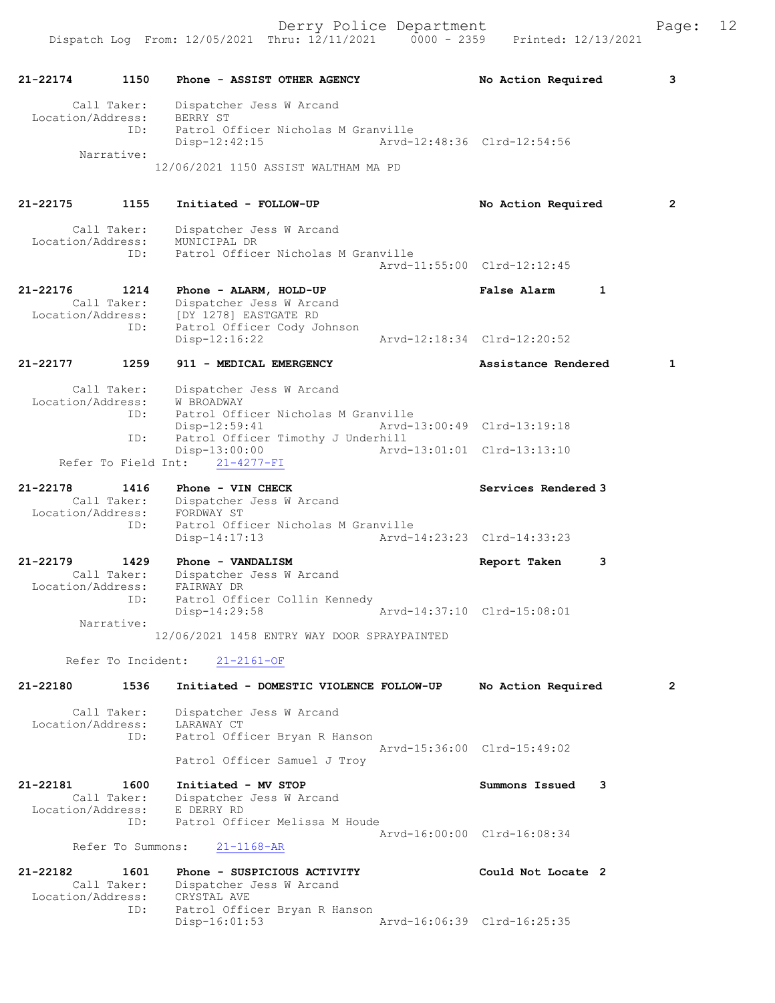21-22174 1150 Phone - ASSIST OTHER AGENCY No Action Required 3 Call Taker: Dispatcher Jess W Arcand Location/Address: BERRY ST ID: Patrol Officer Nicholas M Granville Disp-12:42:15 Arvd-12:48:36 Clrd-12:54:56 Narrative: 12/06/2021 1150 ASSIST WALTHAM MA PD 21-22175 1155 Initiated - FOLLOW-UP No Action Required 2 Call Taker: Dispatcher Jess W Arcand Location/Address: MUNICIPAL DR ID: Patrol Officer Nicholas M Granville Arvd-11:55:00 Clrd-12:12:45 21-22176 1214 Phone - ALARM, HOLD-UP False Alarm 1 Call Taker: Dispatcher Jess W Arcand Location/Address: [DY 1278] EASTGATE RD ID: Patrol Officer Cody Johnson Disp-12:16:22 Arvd-12:18:34 Clrd-12:20:52 21-22177 1259 911 - MEDICAL EMERGENCY Assistance Rendered 1 Call Taker: Dispatcher Jess W Arcand Location/Address: W BROADWAY ID: Patrol Officer Nicholas M Granville Disp-12:59:41 Arvd-13:00:49 Clrd-13:19:18<br>TD: Patrol Officer Timothy J Underhill Patrol Officer Timothy J Underhill<br>Disp-13:00:00 Arvd- Disp-13:00:00 Arvd-13:01:01 Clrd-13:13:10 Refer To Field Int: 21-4277-FI 21-22178 1416 Phone - VIN CHECK Services Rendered 3 Call Taker: Dispatcher Jess W Arcand Location/Address: FORDWAY ST ID: Patrol Officer Nicholas M Granville Disp-14:17:13 Arvd-14:23:23 Clrd-14:33:23 21-22179 1429 Phone - VANDALISM Report Taken 3 Call Taker: Dispatcher Jess W Arcand Location/Address: FAIRWAY DR ID: Patrol Officer Collin Kennedy Disp-14:29:58 Arvd-14:37:10 Clrd-15:08:01 Narrative: 12/06/2021 1458 ENTRY WAY DOOR SPRAYPAINTED Refer To Incident: 21-2161-OF 21-22180 1536 Initiated - DOMESTIC VIOLENCE FOLLOW-UP No Action Required 2 Call Taker: Dispatcher Jess W Arcand Location/Address: LARAWAY CT ID: Patrol Officer Bryan R Hanson Arvd-15:36:00 Clrd-15:49:02 Patrol Officer Samuel J Troy 21-22181 1600 Initiated - MV STOP Summons Issued 3 Call Taker: Dispatcher Jess W Arcand<br>ion/Address: E DERRY RD Location/Address:<br>
In. Patrol Officer Melissa M Houde Arvd-16:00:00 Clrd-16:08:34 Refer To Summons: 21-1168-AR 21-22182 1601 Phone - SUSPICIOUS ACTIVITY Could Not Locate 2 Call Taker: Dispatcher Jess W Arcand<br>tion/Address: CRYSTAL AVE Location/Address:<br>ID: Patrol Officer Bryan R Hanson Disp-16:01:53 Arvd-16:06:39 Clrd-16:25:35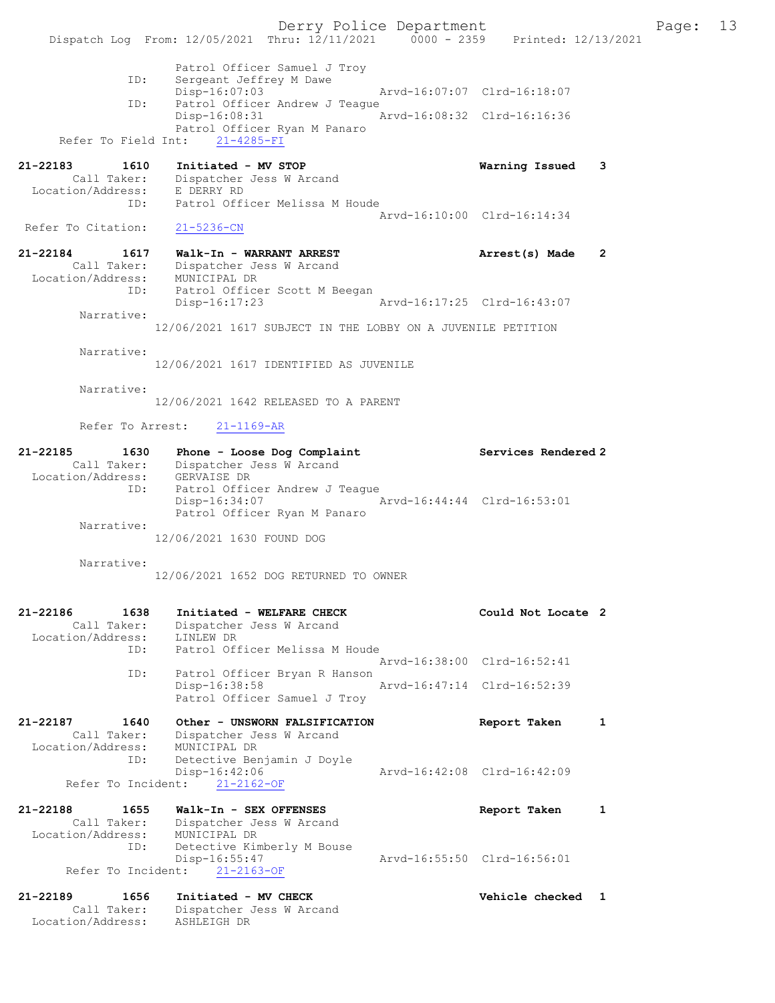Derry Police Department Fage: 13 Dispatch Log From: 12/05/2021 Thru: 12/11/2021 0000 - 2359 Printed: 12/13/2021 Patrol Officer Samuel J Troy ID: Sergeant Jeffrey M Dawe Disp-16:07:03 Arvd-16:07:07 Clrd-16:18:07 ID: Patrol Officer Andrew J Teague Disp-16:08:31 Arvd-16:08:32 Clrd-16:16:36 Patrol Officer Ryan M Panaro Refer To Field Int:  $21-4285-FI$ 21-22183 1610 Initiated - MV STOP Warning Issued 3 Call Taker: Dispatcher Jess W Arcand Location/Address: E DERRY RD ID: Patrol Officer Melissa M Houde Arvd-16:10:00 Clrd-16:14:34<br>21-5236-CN Refer To Citation: 21-22184 1617 Walk-In - WARRANT ARREST Arrest(s) Made 2 Call Taker: Dispatcher Jess W Arcand Location/Address: MUNICIPAL DR ID: Patrol Officer Scott M Beegan Disp-16:17:23 Arvd-16:17:25 Clrd-16:43:07 Narrative: 12/06/2021 1617 SUBJECT IN THE LOBBY ON A JUVENILE PETITION Narrative: 12/06/2021 1617 IDENTIFIED AS JUVENILE Narrative: 12/06/2021 1642 RELEASED TO A PARENT Refer To Arrest: 21-1169-AR 21-22185 1630 Phone - Loose Dog Complaint Services Rendered 2 Call Taker: Dispatcher Jess W Arcand Location/Address: GERVAISE DR ID: Patrol Officer Andrew J Teague Disp-16:34:07 Arvd-16:44:44 Clrd-16:53:01 Patrol Officer Ryan M Panaro Narrative: 12/06/2021 1630 FOUND DOG Narrative: 12/06/2021 1652 DOG RETURNED TO OWNER 21-22186 1638 Initiated - WELFARE CHECK Could Not Locate 2 Call Taker: Dispatcher Jess W Arcand Location/Address: LINLEW DR ID: Patrol Officer Melissa M Houde Arvd-16:38:00 Clrd-16:52:41 ID: Patrol Officer Bryan R Hanson Disp-16:38:58 Arvd-16:47:14 Clrd-16:52:39 Patrol Officer Samuel J Troy 21-22187 1640 Other - UNSWORN FALSIFICATION Report Taken 1 Call Taker: Dispatcher Jess W Arcand Location/Address: MUNICIPAL DR ID: Detective Benjamin J Doyle Disp-16:42:06 Arvd-16:42:08 Clrd-16:42:09 Disp-16:42:06<br>Refer To Incident: 21-2162-OF 21-22188 1655 Walk-In - SEX OFFENSES Report Taken 1 Call Taker: Dispatcher Jess W Arcand Location/Address: MUNICIPAL DR ID: Detective Kimberly M Bouse Disp-16:55:47 Arvd-16:55:50 Clrd-16:56:01 Refer To Incident: 21-2163-OF 21-22189 1656 Initiated - MV CHECK Network (Vehicle checked 1 Call Taker: Dispatcher Jess W Arcand Location/Address: ASHLEIGH DR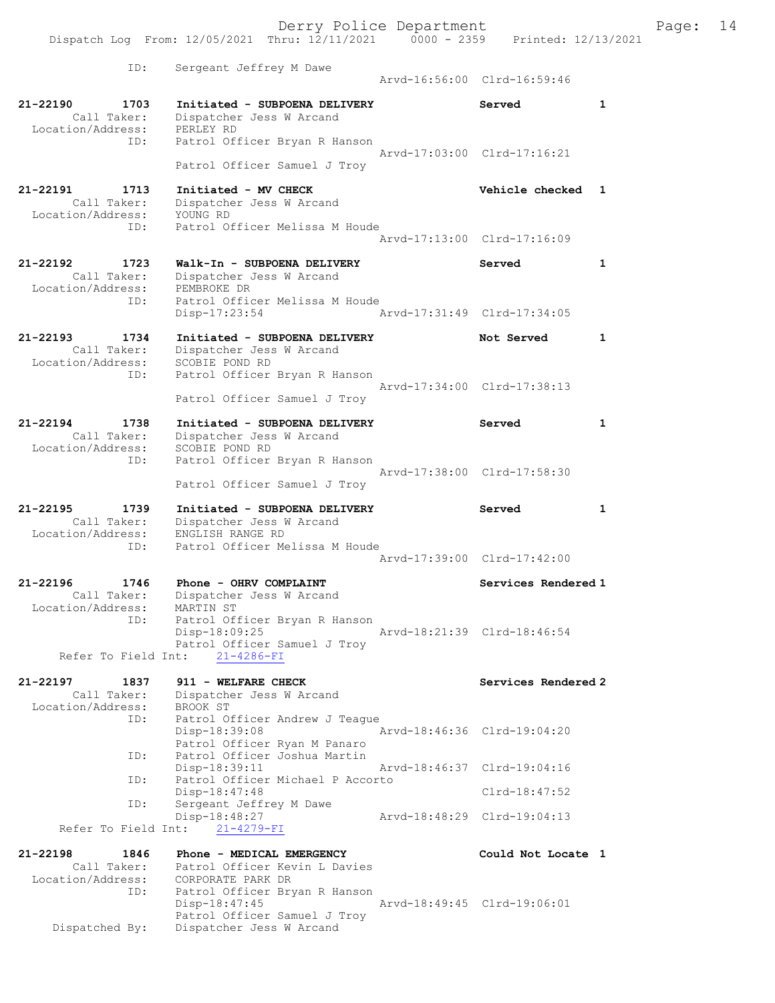| ID:                                                      | Sergeant Jeffrey M Dawe                                                                              | Arvd-16:56:00 Clrd-16:59:46 |              |
|----------------------------------------------------------|------------------------------------------------------------------------------------------------------|-----------------------------|--------------|
| 21-22190<br>1703<br>Call Taker:<br>Location/Address:     | Initiated - SUBPOENA DELIVERY<br>Dispatcher Jess W Arcand<br>PERLEY RD                               | Served                      | $\mathbf{1}$ |
| ID:                                                      | Patrol Officer Bryan R Hanson<br>Patrol Officer Samuel J Troy                                        | Arvd-17:03:00 Clrd-17:16:21 |              |
| 21-22191<br>1713<br>Call Taker:<br>Location/Address:     | Initiated - MV CHECK<br>Dispatcher Jess W Arcand<br>YOUNG RD                                         | Vehicle checked             | 1            |
| ID:                                                      | Patrol Officer Melissa M Houde                                                                       | Arvd-17:13:00 Clrd-17:16:09 |              |
| 21-22192<br>1723<br>Call Taker:<br>Location/Address:     | Walk-In - SUBPOENA DELIVERY<br>Dispatcher Jess W Arcand<br>PEMBROKE DR                               | Served                      | 1            |
| ID:                                                      | Patrol Officer Melissa M Houde<br>Disp-17:23:54                                                      | Arvd-17:31:49 Clrd-17:34:05 |              |
| $21 - 22193$<br>1734<br>Call Taker:<br>Location/Address: | Initiated - SUBPOENA DELIVERY<br>Dispatcher Jess W Arcand<br>SCOBIE POND RD                          | Not Served                  | $\mathbf{1}$ |
| ID:                                                      | Patrol Officer Bryan R Hanson<br>Patrol Officer Samuel J Troy                                        | Arvd-17:34:00 Clrd-17:38:13 |              |
| 21-22194<br>1738<br>Call Taker:<br>Location/Address:     | Initiated - SUBPOENA DELIVERY<br>Dispatcher Jess W Arcand<br>SCOBIE POND RD                          | Served                      | $\mathbf{1}$ |
| ID:                                                      | Patrol Officer Bryan R Hanson<br>Patrol Officer Samuel J Troy                                        | Arvd-17:38:00 Clrd-17:58:30 |              |
|                                                          |                                                                                                      |                             |              |
| 21-22195<br>1739<br>Call Taker:<br>Location/Address:     | Initiated - SUBPOENA DELIVERY<br>Dispatcher Jess W Arcand<br>ENGLISH RANGE RD                        | Served                      | 1            |
| ID:                                                      | Patrol Officer Melissa M Houde                                                                       | Arvd-17:39:00 Clrd-17:42:00 |              |
| 21-22196<br>1746<br>Call Taker:<br>Location/Address:     | Phone - OHRV COMPLAINT<br>Dispatcher Jess W Arcand<br>MARTIN ST                                      | Services Rendered 1         |              |
| ID:<br>Refer To Field Int:                               | Patrol Officer Bryan R Hanson<br>Disp-18:09:25<br>Patrol Officer Samuel J Troy<br>$21 - 4286 - FI$   | Arvd-18:21:39 Clrd-18:46:54 |              |
| 21-22197<br>1837<br>Call Taker:<br>Location/Address:     | 911 - WELFARE CHECK<br>Dispatcher Jess W Arcand<br>BROOK ST                                          | Services Rendered 2         |              |
| ID:                                                      | Patrol Officer Andrew J Teague<br>Disp-18:39:08                                                      | Arvd-18:46:36 Clrd-19:04:20 |              |
| ID:                                                      | Patrol Officer Ryan M Panaro<br>Patrol Officer Joshua Martin<br>Disp-18:39:11                        | Arvd-18:46:37 Clrd-19:04:16 |              |
| ID:                                                      | Patrol Officer Michael P Accorto<br>$Disp-18:47:48$                                                  | $Clrd-18:47:52$             |              |
| ID:<br>Refer To Field Int:                               | Sergeant Jeffrey M Dawe<br>Disp-18:48:27<br>$21 - 4279 - FI$                                         | Arvd-18:48:29 Clrd-19:04:13 |              |
| 21-22198<br>1846                                         | Phone - MEDICAL EMERGENCY                                                                            | Could Not Locate 1          |              |
| Call Taker:<br>Location/Address:<br>ID:                  | Patrol Officer Kevin L Davies<br>CORPORATE PARK DR<br>Patrol Officer Bryan R Hanson<br>Disp-18:47:45 | Arvd-18:49:45 Clrd-19:06:01 |              |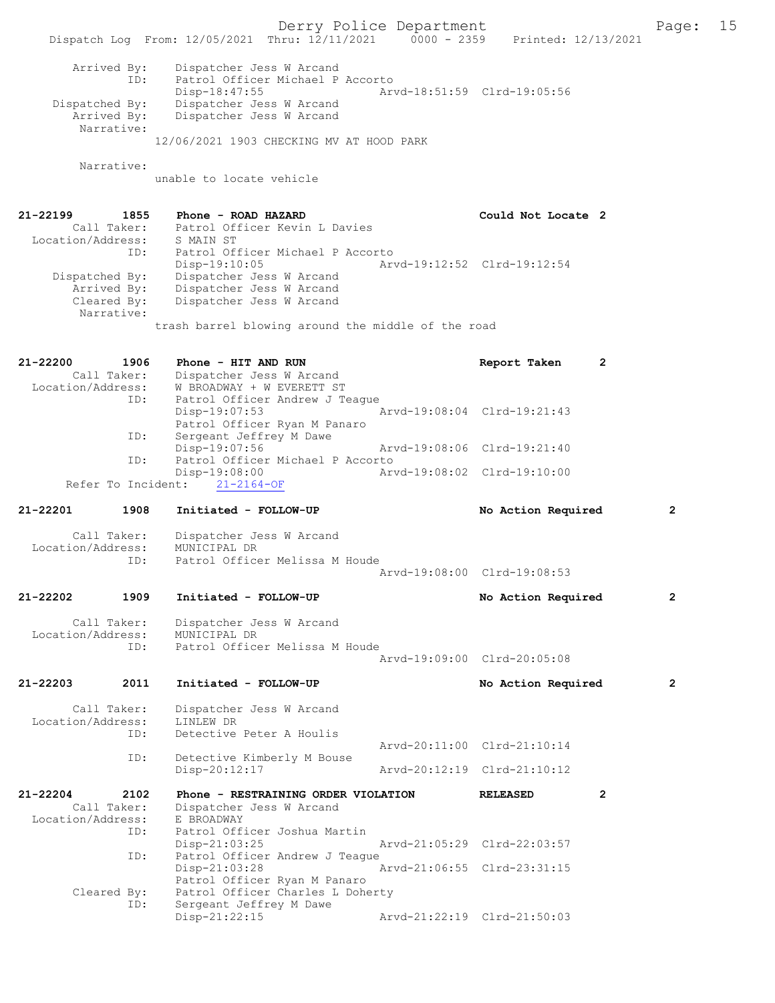Derry Police Department<br>
Page: 15 Printed: 12/13/2021 0000 - 2359 Printed: 12/13/2021 Dispatch Log From: 12/05/2021 Thru: 12/11/2021 Arrived By: Dispatcher Jess W Arcand ID: Patrol Officer Michael P Accorto<br>Disp-18:47:55 Art Disp-18:47:55 Arvd-18:51:59 Clrd-19:05:56<br>Dispatched By: Dispatcher Jess W Arcand patched By: Dispatcher Jess W Arcand<br>Arrived By: Dispatcher Jess W Arcand Dispatcher Jess W Arcand Narrative: 12/06/2021 1903 CHECKING MV AT HOOD PARK Narrative: unable to locate vehicle 21-22199 1855 Phone - ROAD HAZARD Could Not Locate 2<br>Call Taker: Patrol Officer Kevin L Davies Patrol Officer Kevin L Davies<br>S MAIN ST Location/Address:<br>TD: Patrol Officer Michael P Accorto<br>Disp-19:10:05 Ar Disp-19:10:05 Arvd-19:12:52 Clrd-19:12:54<br>Dispatched By: Dispatcher Jess W Arcand patched By: Dispatcher Jess W Arcand<br>Arrived By: Dispatcher Jess W Arcand Arrived By: Dispatcher Jess W Arcand<br>Cleared By: Dispatcher Jess W Arcand Dispatcher Jess W Arcand Narrative: trash barrel blowing around the middle of the road 21-22200 1906 Phone - HIT AND RUN Report Taken 2<br>Call Taker: Dispatcher Jess W Arcand Dispatcher Jess W Arcand Location/Address: W BROADWAY + W EVERETT ST ID: Patrol Officer Andrew J Teague<br>Disp-19:07:53 Arvd-19:08:04 Clrd-19:21:43 Patrol Officer Ryan M Panaro<br>ID: Sergeant Jeffrey M Dawe Sergeant Jeffrey M Dawe Disp-19:07:56 Arvd-19:08:06 Clrd-19:21:40 ID: Patrol Officer Michael P Accorto<br>Disp-19:08:00 Ar 19:08:00 <br>
21-2164-OF <br>
21-2164-OF Refer To Incident: 21-22201 1908 Initiated - FOLLOW-UP No Action Required 2 Call Taker: Dispatcher Jess W Arcand<br>ion/Address: MUNICIPAL DR Location/Address: ID: Patrol Officer Melissa M Houde Arvd-19:08:00 Clrd-19:08:53 21-22202 1909 Initiated - FOLLOW-UP No Action Required 2 Call Taker: Dispatcher Jess W Arcand<br>.on/Address: MUNICIPAL DR Location/Address:<br>TD: Patrol Officer Melissa M Houde Arvd-19:09:00 Clrd-20:05:08 21-22203 2011 Initiated - FOLLOW-UP No Action Required 2 Call Taker: Dispatcher Jess W Arcand<br>.on/Address: LINLEW DR Location/Address:<br>ID: Detective Peter A Houlis Arvd-20:11:00 Clrd-21:10:14 ID: Detective Kimberly M Bouse<br>Disp-20:12:17 Disp-20:12:17 Arvd-20:12:19 Clrd-21:10:12 21-22204 2102 Phone - RESTRAINING ORDER VIOLATION RELEASED 2<br>Call Taker: Dispatcher Jess W Arcand Dispatcher Jess W Arcand<br>E BROADWAY Location/Address: ID: Patrol Officer Joshua Martin Disp-21:03:25 Arvd-21:05:29 Clrd-22:03:57<br>ID: Patrol Officer Andrew J Teague Patrol Officer Andrew J Teague Disp-21:03:28 Arvd-21:06:55 Clrd-23:31:15 Patrol Officer Ryan M Panaro<br>Cleared By: Patrol Officer Charles L Dohe Patrol Officer Charles L Doherty ID: Sergeant Jeffrey M Dawe<br>Disp-21:22:15 Disp-21:22:15 Arvd-21:22:19 Clrd-21:50:03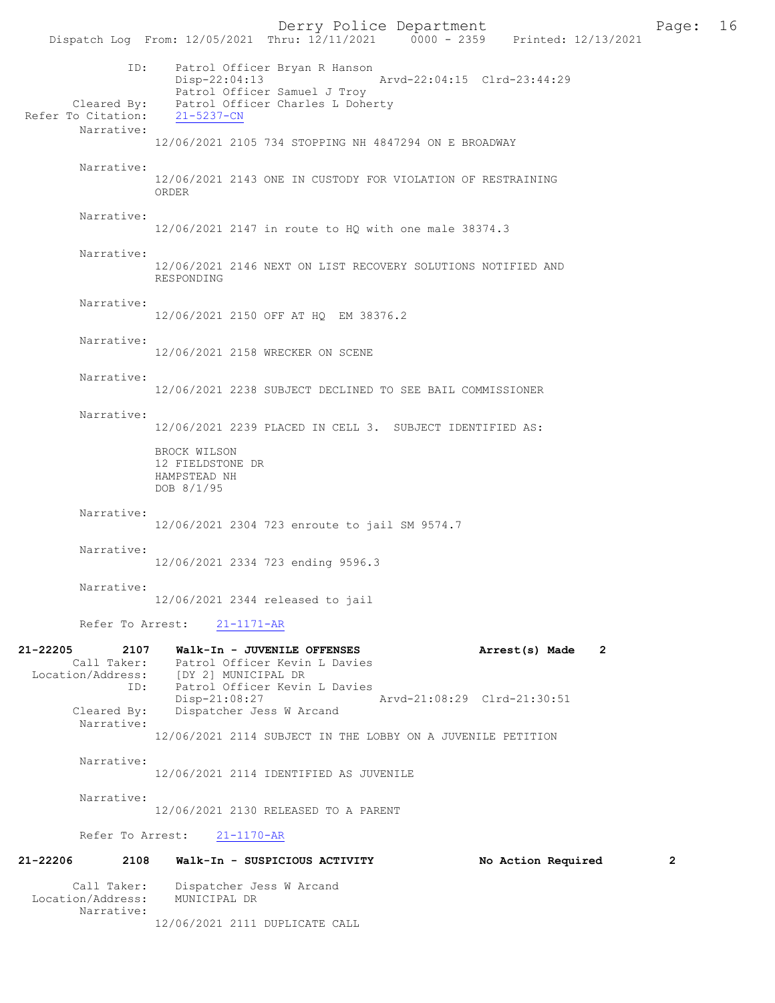Derry Police Department<br>
Page: 16<br>
Printed: 12/13/2021<br>
Printed: 12/13/2021 Dispatch Log From: 12/05/2021 Thru: 12/11/2021 ID: Patrol Officer Bryan R Hanson Disp-22:04:13 Arvd-22:04:15 Clrd-23:44:29 Patrol Officer Samuel J Troy<br>Cleared By: Patrol Officer Charles L Dohe Patrol Officer Charles L Doherty<br>21-5237-CN Refer To Citation: Narrative: 12/06/2021 2105 734 STOPPING NH 4847294 ON E BROADWAY Narrative: 12/06/2021 2143 ONE IN CUSTODY FOR VIOLATION OF RESTRAINING ORDER Narrative: 12/06/2021 2147 in route to HQ with one male 38374.3 Narrative: 12/06/2021 2146 NEXT ON LIST RECOVERY SOLUTIONS NOTIFIED AND RESPONDING Narrative: 12/06/2021 2150 OFF AT HQ EM 38376.2 Narrative: 12/06/2021 2158 WRECKER ON SCENE Narrative: 12/06/2021 2238 SUBJECT DECLINED TO SEE BAIL COMMISSIONER Narrative: 12/06/2021 2239 PLACED IN CELL 3. SUBJECT IDENTIFIED AS: BROCK WILSON 12 FIELDSTONE DR HAMPSTEAD NH DOB 8/1/95 Narrative: 12/06/2021 2304 723 enroute to jail SM 9574.7 Narrative: 12/06/2021 2334 723 ending 9596.3 Narrative: 12/06/2021 2344 released to jail Refer To Arrest: 21-1171-AR 21-22205 2107 Walk-In - JUVENILE OFFENSES Arrest(s) Made 2 Call Taker: Patrol Officer Kevin L Davies Location/Address: [DY 2] MUNICIPAL DR ...<br>Patrol Officer Kevin L Davies<br>Disp-21:08:27 Disp-21:08:27 Arvd-21:08:29 Clrd-21:30:51<br>Cleared By: Dispatcher Jess W Arcand Dispatcher Jess W Arcand Narrative: 12/06/2021 2114 SUBJECT IN THE LOBBY ON A JUVENILE PETITION Narrative: 12/06/2021 2114 IDENTIFIED AS JUVENILE Narrative: 12/06/2021 2130 RELEASED TO A PARENT Refer To Arrest: 21-1170-AR 21-22206 2108 Walk-In - SUSPICIOUS ACTIVITY No Action Required 2 Call Taker: Dispatcher Jess W Arcand<br>ion/Address: MUNICIPAL DR Location/Address: Narrative:

12/06/2021 2111 DUPLICATE CALL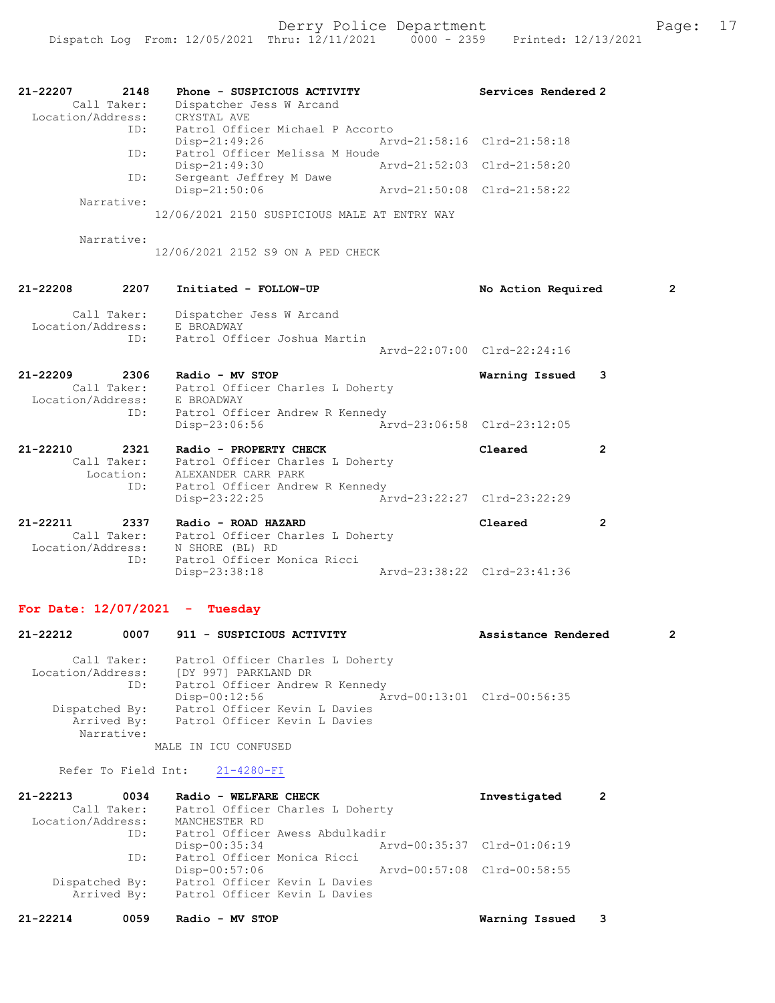| 21-22207<br>2148<br>Call Taker:     | Phone - SUSPICIOUS ACTIVITY<br>Dispatcher Jess W Arcand                           | Services Rendered 2                  |
|-------------------------------------|-----------------------------------------------------------------------------------|--------------------------------------|
|                                     | Location/Address: CRYSTAL AVE<br>ID: Patrol Officer Michael P Accorto             |                                      |
|                                     | $Disp-21:49:26$                                                                   | Arvd-21:58:16 Clrd-21:58:18          |
| ID:                                 | Patrol Officer Melissa M Houde<br>Disp-21:49:30<br>Arvd-21:52:03 Clrd-21:58:20    |                                      |
| ID:                                 | Sergeant Jeffrey M Dawe<br>$Disp-21:50:06$                                        | Arvd-21:50:08 Clrd-21:58:22          |
| Narrative:                          |                                                                                   |                                      |
|                                     | 12/06/2021 2150 SUSPICIOUS MALE AT ENTRY WAY                                      |                                      |
| Narrative:                          | 12/06/2021 2152 S9 ON A PED CHECK                                                 |                                      |
|                                     |                                                                                   |                                      |
| 2207<br>21-22208                    | Initiated - FOLLOW-UP                                                             | $\overline{2}$<br>No Action Required |
| Call Taker:                         | Dispatcher Jess W Arcand                                                          |                                      |
| Location/Address:<br>ID:            | E BROADWAY<br>Patrol Officer Joshua Martin                                        |                                      |
|                                     |                                                                                   | Arvd-22:07:00 Clrd-22:24:16          |
| 21-22209<br>2306                    | Radio - MV STOP                                                                   | 3<br>Warning Issued                  |
|                                     | Call Taker: Patrol Officer Charles L Doherty                                      |                                      |
| Location/Address:<br>ID:            | E BROADWAY<br>Patrol Officer Andrew R Kennedy                                     |                                      |
|                                     | Disp-23:06:56                                                                     | Arvd-23:06:58 Clrd-23:12:05          |
| 2321<br>21-22210                    | Radio - PROPERTY CHECK                                                            | Cleared<br>$\mathbf{2}$              |
|                                     | Call Taker: Patrol Officer Charles L Doherty<br>Location: ALEXANDER CARR PARK     |                                      |
| ID:                                 | Patrol Officer Andrew R Kennedy                                                   |                                      |
|                                     | Disp-23:22:25                                                                     | Arvd-23:22:27 Clrd-23:22:29          |
| 2337<br>21-22211                    | Radio - ROAD HAZARD                                                               | Cleared<br>2                         |
|                                     | Call Taker: Patrol Officer Charles L Doherty<br>Location/Address: N SHORE (BL) RD |                                      |
| ID:                                 | Patrol Officer Monica Ricci                                                       |                                      |
|                                     | Arvd-23:38:22 Clrd-23:41:36<br>Disp-23:38:18                                      |                                      |
| For Date: $12/07/2021$ - Tuesday    |                                                                                   |                                      |
| 0007<br>21-22212                    | 911 - SUSPICIOUS ACTIVITY                                                         | 2<br>Assistance Rendered             |
|                                     |                                                                                   |                                      |
| Call Taker:<br>Location/Address:    | Patrol Officer Charles L Doherty<br>[DY 997] PARKLAND DR                          |                                      |
| ID:                                 | Patrol Officer Andrew R Kennedy                                                   |                                      |
|                                     | Disp-00:12:56<br>Patrol Officer Kevin L Davies                                    | Arvd-00:13:01 Clrd-00:56:35          |
| Dispatched By:<br>Arrived By:       | Patrol Officer Kevin L Davies                                                     |                                      |
| Narrative:                          | MALE IN ICU CONFUSED                                                              |                                      |
|                                     |                                                                                   |                                      |
| Refer To Field Int:                 | $21 - 4280 - FI$                                                                  |                                      |
| $21 - 22213$<br>0034<br>Call Taker: | Radio - WELFARE CHECK<br>Patrol Officer Charles L Doherty                         | Investigated<br>2                    |
| Location/Address:                   | MANCHESTER RD                                                                     |                                      |
| ID:                                 | Patrol Officer Awess Abdulkadir                                                   |                                      |
| ID:                                 | $Disp-00:35:34$<br>Patrol Officer Monica Ricci                                    | Arvd-00:35:37 Clrd-01:06:19          |
|                                     | Disp-00:57:06                                                                     | Arvd-00:57:08 Clrd-00:58:55          |
| Dispatched By:<br>Arrived By:       | Patrol Officer Kevin L Davies<br>Patrol Officer Kevin L Davies                    |                                      |
| 21-22214<br>0059                    | Radio - MV STOP                                                                   | Warning Issued<br>3                  |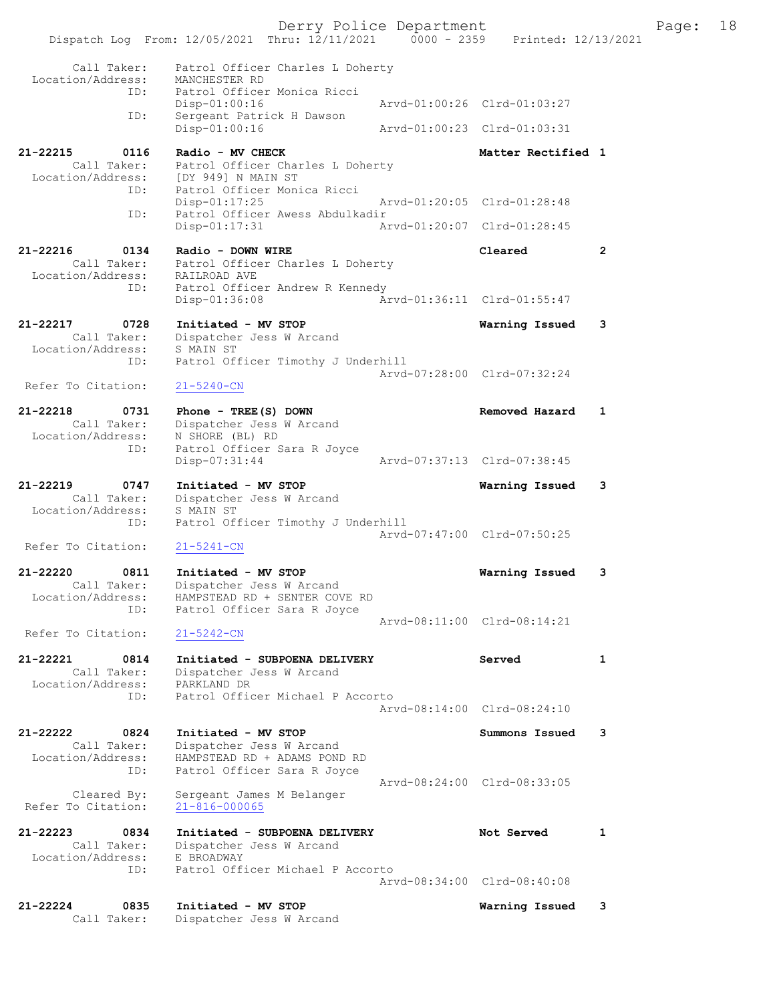Derry Police Department Fage: 18

 Call Taker: Patrol Officer Charles L Doherty Location/Address: MANCHESTER RD ID: Patrol Officer Monica Ricci Disp-01:00:16 Arvd-01:00:26 Clrd-01:03:27 ID: Sergeant Patrick H Dawson Disp-01:00:16 Arvd-01:00:23 Clrd-01:03:31 21-22215 0116 Radio - MV CHECK Matter Rectified 1 Call Taker: Patrol Officer Charles L Doherty Location/Address: [DY 949] N MAIN ST ID: Patrol Officer Monica Ricci Disp-01:17:25 Arvd-01:20:05 Clrd-01:28:48<br>ID: Patrol Officer Awess Abdulkadir Patrol Officer Awess Abdulkadir Disp-01:17:31 Arvd-01:20:07 Clrd-01:28:45 21-22216 0134 Radio - DOWN WIRE Cleared 2 Call Taker: Patrol Officer Charles L Doherty Location/Address: RAILROAD AVE ID: Patrol Officer Andrew R Kennedy Disp-01:36:08 Arvd-01:36:11 Clrd-01:55:47 21-22217 0728 Initiated - MV STOP Warning Issued 3 Call Taker: Dispatcher Jess W Arcand Location/Address: S MAIN ST ID: Patrol Officer Timothy J Underhill Arvd-07:28:00 Clrd-07:32:24<br>21-5240-CN Refer To Citation: 21-22218 0731 Phone - TREE(S) DOWN Removed Hazard 1 Call Taker: Dispatcher Jess W Arcand Location/Address: N SHORE (BL) RD ID: Patrol Officer Sara R Joyce Disp-07:31:44 Arvd-07:37:13 Clrd-07:38:45 21-22219 0747 Initiated - MV STOP Warning Issued 3 Call Taker: Dispatcher Jess W Arcand Location/Address: S MAIN ST ID: Patrol Officer Timothy J Underhill Arvd-07:47:00 Clrd-07:50:25<br>21-5241-CN Refer To Citation: 21-22220 0811 Initiated - MV STOP Warning Issued 3 Call Taker: Dispatcher Jess W Arcand Location/Address: HAMPSTEAD RD + SENTER COVE RD ID: Patrol Officer Sara R Joyce Arvd-08:11:00 Clrd-08:14:21 Refer To Citation: 21-5242-CN 21-22221 0814 Initiated - SUBPOENA DELIVERY Served 1 Call Taker: Dispatcher Jess W Arcand Location/Address: PARKLAND DR ID: Patrol Officer Michael P Accorto Arvd-08:14:00 Clrd-08:24:10 21-22222 0824 Initiated - MV STOP Summons Issued 3 Call Taker: Dispatcher Jess W Arcand Location/Address: HAMPSTEAD RD + ADAMS POND RD ID: Patrol Officer Sara R Joyce Arvd-08:24:00 Clrd-08:33:05 Cleared By: Sergeant James M Belanger Refer To Citation: 21-816-000065 21-22223 0834 Initiated - SUBPOENA DELIVERY Not Served 1 Call Taker: Dispatcher Jess W Arcand Location/Address: E BROADWAY ID: Patrol Officer Michael P Accorto Arvd-08:34:00 Clrd-08:40:08 21-22224 0835 Initiated - MV STOP Warning Issued 3 Call Taker: Dispatcher Jess W Arcand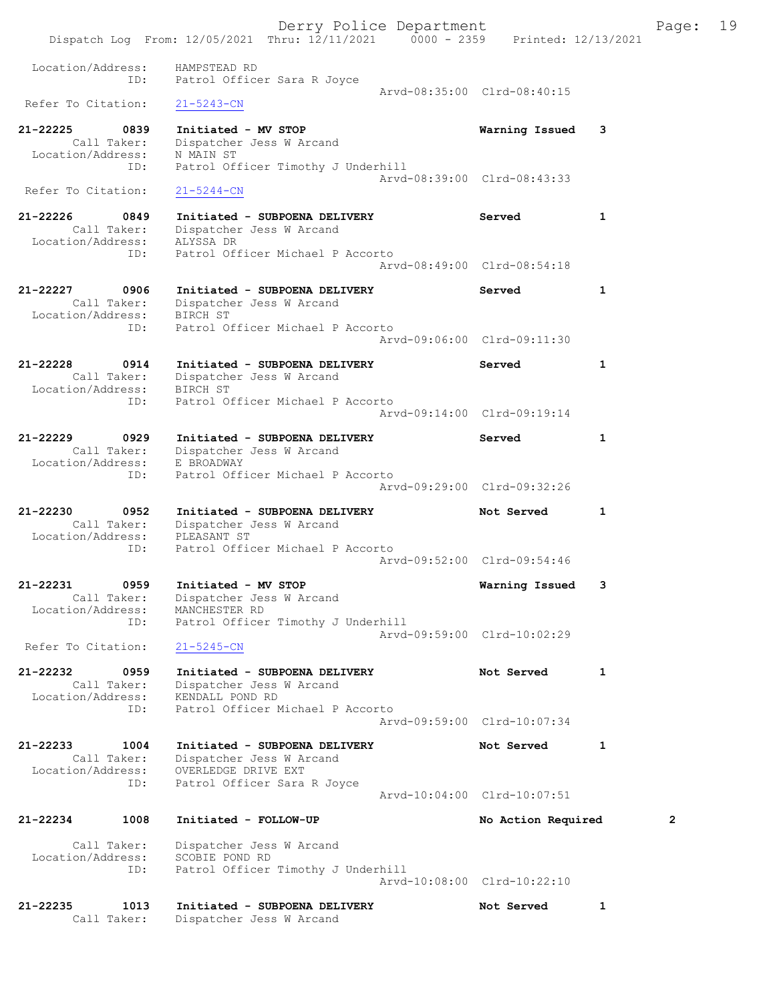Derry Police Department Fage: 19 Dispatch Log From: 12/05/2021 Thru: 12/11/2021 0000 - 2359 Printed: 12/13/2021 Location/Address: HAMPSTEAD RD ID: Patrol Officer Sara R Joyce Arvd-08:35:00 Clrd-08:40:15 Refer To Citation: 21-5243-CN 21-22225 0839 Initiated - MV STOP Warning Issued 3 Call Taker: Dispatcher Jess W Arcand Location/Address: N MAIN ST ID: Patrol Officer Timothy J Underhill Arvd-08:39:00 Clrd-08:43:33 Refer To Citation: 21-5244-CN 21-22226 0849 Initiated - SUBPOENA DELIVERY Served 1 Call Taker: Dispatcher Jess W Arcand Location/Address: ALYSSA DR ID: Patrol Officer Michael P Accorto Arvd-08:49:00 Clrd-08:54:18 21-22227 0906 Initiated - SUBPOENA DELIVERY Served 1 Call Taker: Dispatcher Jess W Arcand Location/Address: BIRCH ST ID: Patrol Officer Michael P Accorto Arvd-09:06:00 Clrd-09:11:30 21-22228 0914 Initiated - SUBPOENA DELIVERY Served 1 Call Taker: Dispatcher Jess W Arcand Location/Address: BIRCH ST ID: Patrol Officer Michael P Accorto Arvd-09:14:00 Clrd-09:19:14 21-22229 0929 Initiated - SUBPOENA DELIVERY Served 1 Call Taker: Dispatcher Jess W Arcand Location/Address: E BROADWAY ID: Patrol Officer Michael P Accorto Arvd-09:29:00 Clrd-09:32:26 21-22230 0952 Initiated - SUBPOENA DELIVERY Not Served 1 Call Taker: Dispatcher Jess W Arcand Location/Address: PLEASANT ST ID: Patrol Officer Michael P Accorto Arvd-09:52:00 Clrd-09:54:46 21-22231 0959 Initiated - MV STOP Warning Issued 3 Call Taker: Dispatcher Jess W Arcand Location/Address: MANCHESTER RD ID: Patrol Officer Timothy J Underhill Arvd-09:59:00 Clrd-10:02:29 Refer To Citation: 21-5245-CN 21-22232 0959 Initiated - SUBPOENA DELIVERY Not Served 1 Call Taker: Dispatcher Jess W Arcand Location/Address: KENDALL POND RD ID: Patrol Officer Michael P Accorto Arvd-09:59:00 Clrd-10:07:34 21-22233 1004 Initiated - SUBPOENA DELIVERY Not Served 1 Call Taker: Dispatcher Jess W Arcand Location/Address: OVERLEDGE DRIVE EXT ID: Patrol Officer Sara R Joyce Arvd-10:04:00 Clrd-10:07:51 21-22234 1008 Initiated - FOLLOW-UP No Action Required 2 Call Taker: Dispatcher Jess W Arcand Location/Address: SCOBIE POND RD ID: Patrol Officer Timothy J Underhill Arvd-10:08:00 Clrd-10:22:10 21-22235 1013 Initiated - SUBPOENA DELIVERY Not Served 1 Call Taker: Dispatcher Jess W Arcand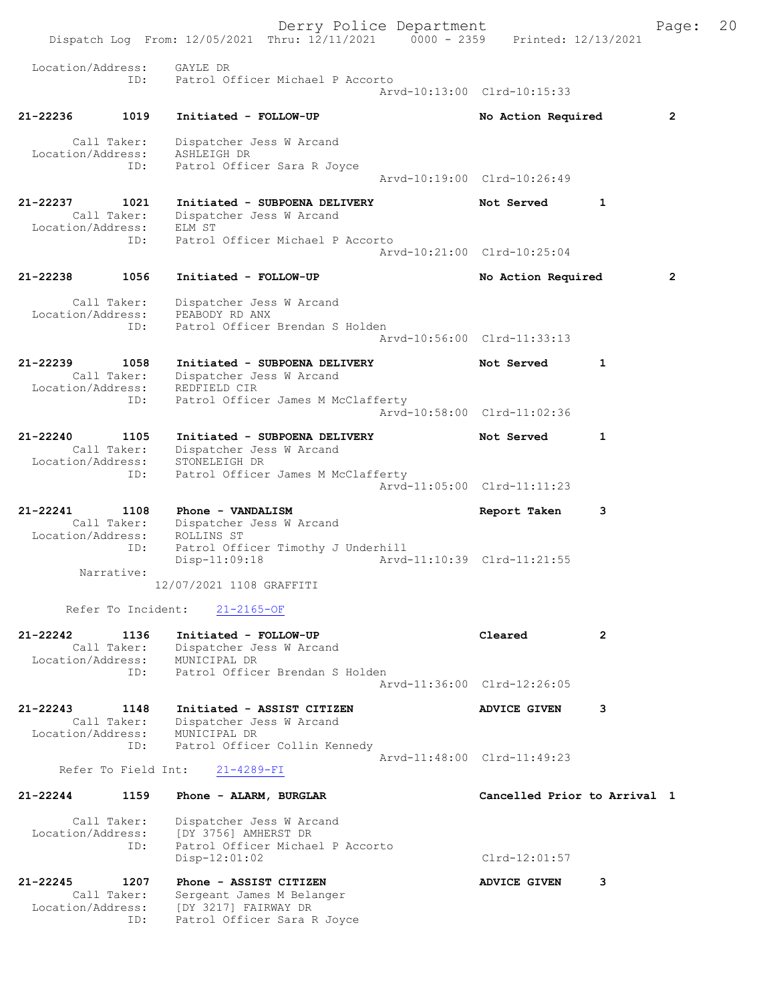|                                   |                            | Dispatch Log From: 12/05/2021 Thru: 12/11/2021 0000 - 2359 Printed: 12/13/2021                                                    | Derry Police Department |                              |                      | Page:          | 20 |
|-----------------------------------|----------------------------|-----------------------------------------------------------------------------------------------------------------------------------|-------------------------|------------------------------|----------------------|----------------|----|
| Location/Address:                 | ID:                        | GAYLE DR<br>Patrol Officer Michael P Accorto                                                                                      |                         | Arvd-10:13:00 Clrd-10:15:33  |                      |                |    |
| 21-22236                          | 1019                       | Initiated - FOLLOW-UP                                                                                                             |                         | No Action Required           |                      | $\overline{2}$ |    |
| Location/Address:                 | Call Taker:<br>ID:         | Dispatcher Jess W Arcand<br>ASHLEIGH DR<br>Patrol Officer Sara R Joyce                                                            |                         | Arvd-10:19:00 Clrd-10:26:49  |                      |                |    |
| 21-22237<br>Location/Address:     | 1021<br>Call Taker:<br>ID: | Initiated - SUBPOENA DELIVERY<br>Dispatcher Jess W Arcand<br>ELM ST<br>Patrol Officer Michael P Accorto                           |                         | Not Served                   | 1                    |                |    |
|                                   |                            |                                                                                                                                   |                         | Arvd-10:21:00 Clrd-10:25:04  |                      |                |    |
| 21-22238                          | 1056                       | Initiated - FOLLOW-UP                                                                                                             |                         | No Action Required           |                      | $\overline{2}$ |    |
| Location/Address:                 | Call Taker:<br>ID:         | Dispatcher Jess W Arcand<br>PEABODY RD ANX<br>Patrol Officer Brendan S Holden                                                     |                         |                              |                      |                |    |
|                                   |                            |                                                                                                                                   |                         | Arvd-10:56:00 Clrd-11:33:13  |                      |                |    |
| 21-22239                          | 1058<br>Call Taker:<br>ID: | Initiated - SUBPOENA DELIVERY<br>Dispatcher Jess W Arcand<br>Location/Address: REDFIELD CIR<br>Patrol Officer James M McClafferty |                         | Not Served                   | 1                    |                |    |
|                                   |                            |                                                                                                                                   |                         | Arvd-10:58:00 Clrd-11:02:36  |                      |                |    |
| $21 - 22240$<br>Location/Address: | 1105<br>Call Taker:<br>ID: | Initiated - SUBPOENA DELIVERY<br>Dispatcher Jess W Arcand<br>STONELEIGH DR<br>Patrol Officer James M McClafferty                  |                         | Not Served                   | 1                    |                |    |
|                                   |                            |                                                                                                                                   |                         | Arvd-11:05:00 Clrd-11:11:23  |                      |                |    |
| 21-22241<br>Location/Address:     | 1108<br>Call Taker:        | Phone - VANDALISM<br>Dispatcher Jess W Arcand<br>ROLLINS ST                                                                       |                         | Report Taken                 | 3                    |                |    |
|                                   | ID:<br>Narrative:          | Patrol Officer Timothy J Underhill<br>$Disp-11:09:18$<br>12/07/2021 1108 GRAFFITI                                                 |                         | Arvd-11:10:39 Clrd-11:21:55  |                      |                |    |
|                                   | Refer To Incident:         | $21 - 2165 - OF$                                                                                                                  |                         |                              |                      |                |    |
| 21-22242<br>Location/Address:     | 1136<br>Call Taker:<br>ID: | Initiated - FOLLOW-UP<br>Dispatcher Jess W Arcand<br>MUNICIPAL DR<br>Patrol Officer Brendan S Holden                              |                         | Cleared                      | $\mathbf{2}^{\circ}$ |                |    |
|                                   |                            |                                                                                                                                   |                         | Aryd-11:36:00 Clrd-12:26:05  |                      |                |    |
| 21-22243<br>Location/Address:     | 1148<br>Call Taker:<br>ID: | Initiated - ASSIST CITIZEN<br>Dispatcher Jess W Arcand<br>MUNICIPAL DR<br>Patrol Officer Collin Kennedy                           |                         | <b>ADVICE GIVEN</b>          | 3                    |                |    |
|                                   | Refer To Field Int:        | $21 - 4289 - FI$                                                                                                                  |                         | Arvd-11:48:00 Clrd-11:49:23  |                      |                |    |
| $21 - 22244$                      | 1159                       | Phone - ALARM, BURGLAR                                                                                                            |                         | Cancelled Prior to Arrival 1 |                      |                |    |
| Location/Address:                 | Call Taker:<br>ID:         | Dispatcher Jess W Arcand<br>[DY 3756] AMHERST DR<br>Patrol Officer Michael P Accorto<br>$Disp-12:01:02$                           |                         | $Clrd-12:01:57$              |                      |                |    |
| $21 - 22245$<br>Location/Address: | 1207<br>Call Taker:<br>ID: | Phone - ASSIST CITIZEN<br>Sergeant James M Belanger<br>[DY 3217] FAIRWAY DR<br>Patrol Officer Sara R Joyce                        |                         | <b>ADVICE GIVEN</b>          | 3                    |                |    |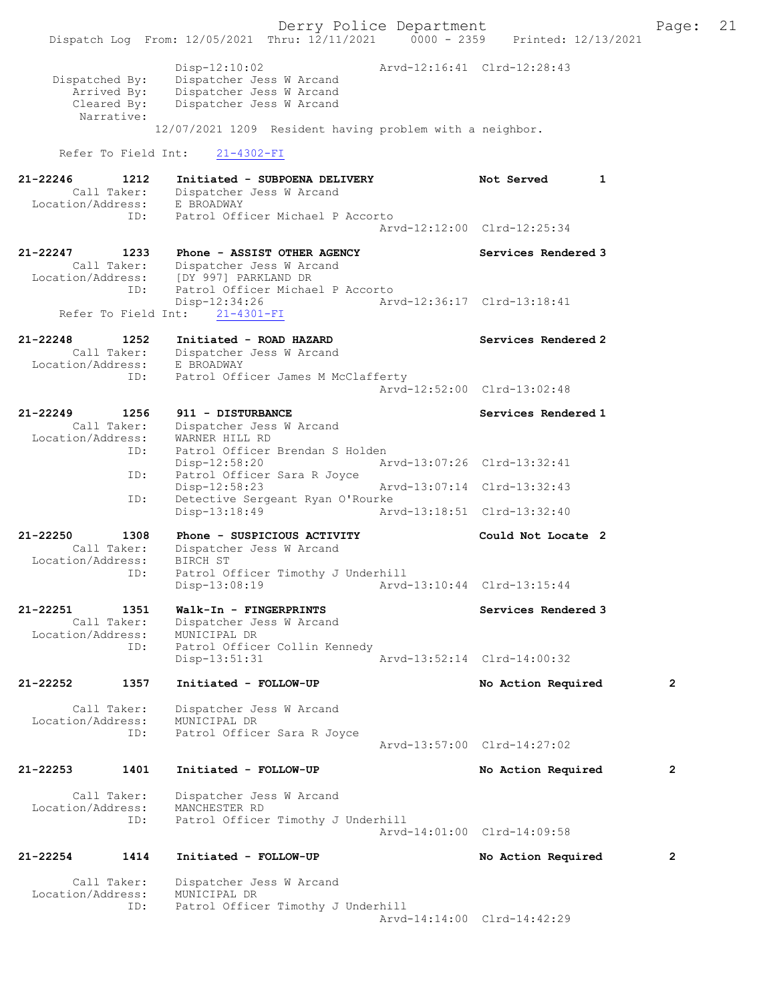Derry Police Department Fage: 21 Dispatch Log From: 12/05/2021 Thru: 12/11/2021 0000 - 2359 Printed: 12/13/2021 Disp-12:10:02 Arvd-12:16:41 Clrd-12:28:43 Dispatched By: Dispatcher Jess W Arcand<br>Arrived By: Dispatcher Jess W Arcand Arrived By: Dispatcher Jess W Arcand<br>Cleared By: Dispatcher Jess W Arcand Dispatcher Jess W Arcand Narrative: 12/07/2021 1209 Resident having problem with a neighbor. Refer To Field Int: 21-4302-FI 21-22246 1212 Initiated - SUBPOENA DELIVERY Not Served 1 Call Taker: Dispatcher Jess W Arcand Location/Address: E BROADWAY ID: Patrol Officer Michael P Accorto Arvd-12:12:00 Clrd-12:25:34 21-22247 1233 Phone - ASSIST OTHER AGENCY Services Rendered 3 Call Taker: Dispatcher Jess W Arcand Location/Address: [DY 997] PARKLAND DR ID: Patrol Officer Michael P Accorto<br>Disp-12:34:26 Arv Disp-12:34:26 Arvd-12:36:17 Clrd-13:18:41 Refer To Field Int: 21-4301-FI 21-22248 1252 Initiated - ROAD HAZARD 120 Services Rendered 2 Call Taker: Dispatcher Jess W Arcand Location/Address: E BROADWAY ID: Patrol Officer James M McClafferty Arvd-12:52:00 Clrd-13:02:48 21-22249 1256 911 - DISTURBANCE Services Rendered 1 Call Taker: Dispatcher Jess W Arcand Location/Address: WARNER HILL RD ID: Patrol Officer Brendan S Holden<br>Disp-12:58:20 Ar Disp-12:58:20 Arvd-13:07:26 Clrd-13:32:41 ID: Patrol Officer Sara R Joyce Disp-12:58:23 Arvd-13:07:14 Clrd-13:32:43 ID: Detective Sergeant Ryan O'Rourke<br>Disp-13:18:49 Arv Disp-13:18:49 Arvd-13:18:51 Clrd-13:32:40 21-22250 1308 Phone - SUSPICIOUS ACTIVITY Could Not Locate 2 Call Taker: Dispatcher Jess W Arcand Location/Address: BIRCH ST ID: Patrol Officer Timothy J Underhill Disp-13:08:19 Arvd-13:10:44 Clrd-13:15:44 21-22251 1351 Walk-In - FINGERPRINTS Services Rendered 3 Call Taker: Dispatcher Jess W Arcand Location/Address: MUNICIPAL DR ID: Patrol Officer Collin Kennedy Disp-13:51:31 Arvd-13:52:14 Clrd-14:00:32 21-22252 1357 Initiated - FOLLOW-UP No Action Required 2 Call Taker: Dispatcher Jess W Arcand Location/Address: MUNICIPAL DR Patrol Officer Sara R Joyce Arvd-13:57:00 Clrd-14:27:02 21-22253 1401 Initiated - FOLLOW-UP No Action Required 2 Call Taker: Dispatcher Jess W Arcand Location/Address: MANCHESTER RD<br>ID: Patrol Officer Patrol Officer Timothy J Underhill Arvd-14:01:00 Clrd-14:09:58 21-22254 1414 Initiated - FOLLOW-UP No Action Required 2 Call Taker: Dispatcher Jess W Arcand Location/Address: MUNICIPAL DR<br>ID: Patrol Office Patrol Officer Timothy J Underhill Arvd-14:14:00 Clrd-14:42:29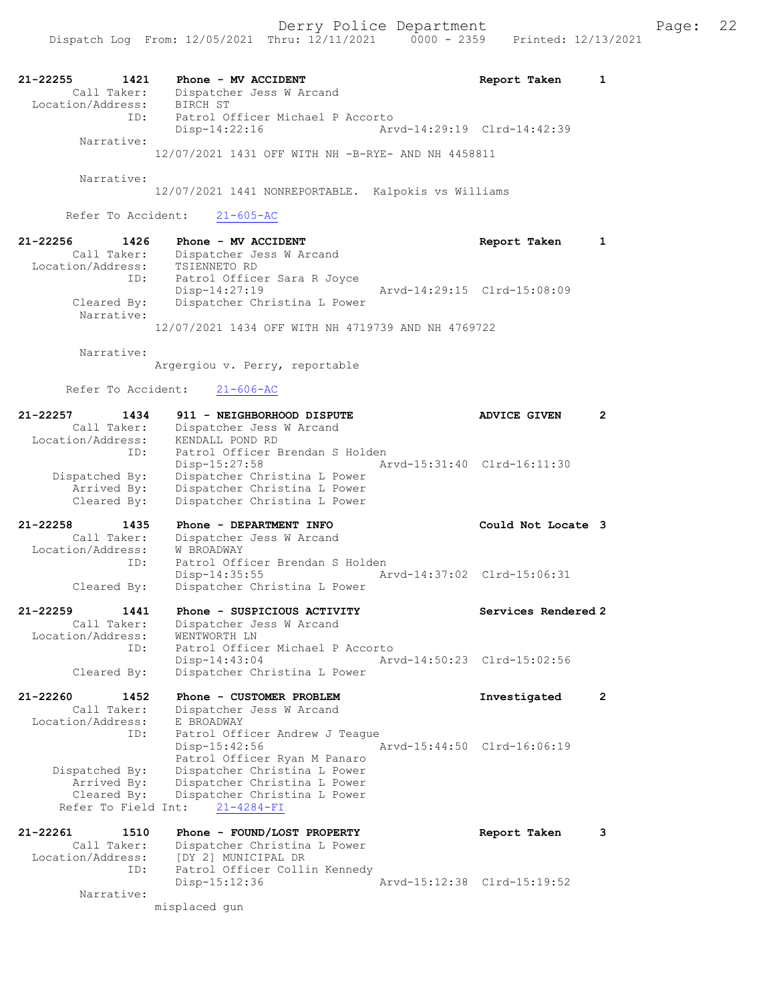| 21-22255<br>1421<br>Call Taker:<br>Location/Address:                | Phone - MV ACCIDENT<br>Dispatcher Jess W Arcand<br>BIRCH ST                                                               | Report Taken                | 1              |
|---------------------------------------------------------------------|---------------------------------------------------------------------------------------------------------------------------|-----------------------------|----------------|
| ID:<br>Narrative:                                                   | Patrol Officer Michael P Accorto<br>$Disp-14:22:16$                                                                       | Arvd-14:29:19 Clrd-14:42:39 |                |
|                                                                     | 12/07/2021 1431 OFF WITH NH -B-RYE- AND NH 4458811                                                                        |                             |                |
| Narrative:                                                          | 12/07/2021 1441 NONREPORTABLE. Kalpokis vs Williams                                                                       |                             |                |
| Refer To Accident:                                                  | $21 - 605 - AC$                                                                                                           |                             |                |
| 21-22256<br>1426<br>Call Taker:<br>Location/Address:                | Phone - MV ACCIDENT<br>Dispatcher Jess W Arcand<br>TSIENNETO RD                                                           | Report Taken                | 1              |
| ID:<br>Cleared By:                                                  | Patrol Officer Sara R Joyce<br>$Disp-14:27:19$<br>Dispatcher Christina L Power                                            | Arvd-14:29:15 Clrd-15:08:09 |                |
| Narrative:                                                          | 12/07/2021 1434 OFF WITH NH 4719739 AND NH 4769722                                                                        |                             |                |
| Narrative:                                                          | Argergiou v. Perry, reportable                                                                                            |                             |                |
| Refer To Accident:                                                  | $21 - 606 - AC$                                                                                                           |                             |                |
| 21-22257<br>1434<br>Call Taker:<br>Location/Address:                | 911 - NEIGHBORHOOD DISPUTE<br>Dispatcher Jess W Arcand<br>KENDALL POND RD                                                 | <b>ADVICE GIVEN</b>         | $\mathbf{2}$   |
| ID:                                                                 | Patrol Officer Brendan S Holden<br>Disp-15:27:58                                                                          | Arvd-15:31:40 Clrd-16:11:30 |                |
| Dispatched By:<br>Arrived By:<br>Cleared By:                        | Dispatcher Christina L Power<br>Dispatcher Christina L Power<br>Dispatcher Christina L Power                              |                             |                |
| 21-22258<br>1435<br>Call Taker:                                     | Phone - DEPARTMENT INFO<br>Dispatcher Jess W Arcand                                                                       | Could Not Locate 3          |                |
| Location/Address:<br>ID:<br>Cleared By:                             | W BROADWAY<br>Patrol Officer Brendan S Holden<br>$Disp-14:35:55$<br>Dispatcher Christina L Power                          | Arvd-14:37:02 Clrd-15:06:31 |                |
| 21-22259<br>1441<br>Call Taker:                                     | Phone - SUSPICIOUS ACTIVITY<br>Dispatcher Jess W Arcand                                                                   | Services Rendered 2         |                |
| Location/Address:<br>ID:<br>Cleared By:                             | WENTWORTH LN<br>Patrol Officer Michael P Accorto<br>$Disp-14:43:04$<br>Dispatcher Christina L Power                       | Arvd-14:50:23 Clrd-15:02:56 |                |
| 21-22260<br>1452                                                    | Phone - CUSTOMER PROBLEM                                                                                                  | Investigated                | $\overline{2}$ |
| Call Taker:<br>Location/Address:<br>ID:                             | Dispatcher Jess W Arcand<br>E BROADWAY<br>Patrol Officer Andrew J Teague<br>Disp-15:42:56<br>Patrol Officer Ryan M Panaro | Aryd-15:44:50 Clrd-16:06:19 |                |
| Dispatched By:<br>Arrived By:<br>Cleared By:<br>Refer To Field Int: | Dispatcher Christina L Power<br>Dispatcher Christina L Power<br>Dispatcher Christina L Power<br>$21 - 4284 - FI$          |                             |                |
| 21-22261<br>1510<br>Call Taker:<br>Location/Address:                | Phone - FOUND/LOST PROPERTY<br>Dispatcher Christina L Power<br>[DY 2] MUNICIPAL DR                                        | Report Taken                | 3              |
| ID:                                                                 | Patrol Officer Collin Kennedy<br>Disp-15:12:36                                                                            | Arvd-15:12:38 Clrd-15:19:52 |                |

Narrative:

misplaced gun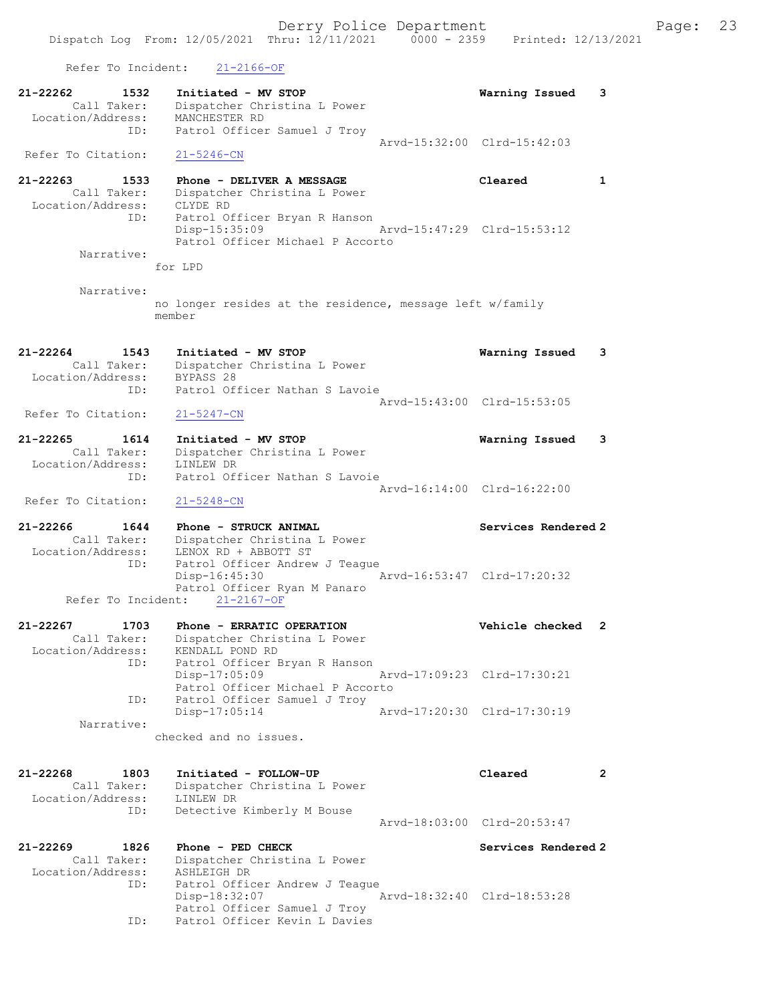Refer To Incident: 21-2166-OF

| Keter to fuctdent:                                          | 71-7100-05                                                                                                                       |                             |              |
|-------------------------------------------------------------|----------------------------------------------------------------------------------------------------------------------------------|-----------------------------|--------------|
| 21-22262<br>1532<br>Call Taker:<br>Location/Address:        | Initiated - MV STOP<br>Dispatcher Christina L Power<br>MANCHESTER RD                                                             | Warning Issued              | 3            |
| ID:<br>Refer To Citation:                                   | Patrol Officer Samuel J Troy<br>$21 - 5246 - CN$                                                                                 | Arvd-15:32:00 Clrd-15:42:03 |              |
| $21 - 22263$<br>1533                                        | Phone - DELIVER A MESSAGE                                                                                                        | Cleared                     | 1            |
| Call Taker:<br>Location/Address:<br>ID:<br>Narrative:       | Dispatcher Christina L Power<br>CLYDE RD<br>Patrol Officer Bryan R Hanson<br>$Disp-15:35:09$<br>Patrol Officer Michael P Accorto | Arvd-15:47:29 Clrd-15:53:12 |              |
|                                                             | for LPD                                                                                                                          |                             |              |
| Narrative:                                                  | no longer resides at the residence, message left w/family<br>member                                                              |                             |              |
| 21-22264<br>1543<br>Call Taker:<br>Location/Address:        | Initiated - MV STOP<br>Dispatcher Christina L Power<br>BYPASS 28                                                                 | Warning Issued              | 3            |
| ID:<br>Refer To Citation:                                   | Patrol Officer Nathan S Lavoie<br>$21 - 5247 - CN$                                                                               | Arvd-15:43:00 Clrd-15:53:05 |              |
| 21-22265<br>1614<br>Call Taker:<br>Location/Address:        | Initiated - MV STOP<br>Dispatcher Christina L Power<br>LINLEW DR                                                                 | Warning Issued              | з            |
| ID:<br>Refer To Citation:                                   | Patrol Officer Nathan S Lavoie<br>$21 - 5248 - CN$                                                                               | Arvd-16:14:00 Clrd-16:22:00 |              |
| 21-22266<br>1644<br>Call Taker:<br>Location/Address:        | Phone - STRUCK ANIMAL<br>Dispatcher Christina L Power<br>LENOX RD + ABBOTT ST                                                    | Services Rendered 2         |              |
| ID:<br>Refer To Incident:                                   | Patrol Officer Andrew J Teague<br>$Disp-16:45:30$<br>Patrol Officer Ryan M Panaro<br>$21 - 2167 - OF$                            | Arvd-16:53:47 Clrd-17:20:32 |              |
| 21-22267<br>1703<br>Call Taker:<br>Location/Address:        | Phone - ERRATIC OPERATION<br>Dispatcher Christina L Power<br>KENDALL POND RD                                                     | Vehicle checked             | 2            |
| ID:                                                         | Patrol Officer Bryan R Hanson<br>Disp-17:05:09<br>Patrol Officer Michael P Accorto                                               | Arvd-17:09:23 Clrd-17:30:21 |              |
| ID:<br>Narrative:                                           | Patrol Officer Samuel J Troy<br>$Disp-17:05:14$                                                                                  | Arvd-17:20:30 Clrd-17:30:19 |              |
|                                                             | checked and no issues.                                                                                                           |                             |              |
| 21-22268<br>1803<br>Call Taker:<br>Location/Address:<br>ID: | Initiated - FOLLOW-UP<br>Dispatcher Christina L Power<br>LINLEW DR<br>Detective Kimberly M Bouse                                 | Cleared                     | $\mathbf{2}$ |
|                                                             |                                                                                                                                  | Arvd-18:03:00 Clrd-20:53:47 |              |
| 21-22269<br>1826<br>Call Taker:<br>Location/Address:<br>ID: | Phone - PED CHECK<br>Dispatcher Christina L Power<br>ASHLEIGH DR                                                                 | Services Rendered 2         |              |
|                                                             | Patrol Officer Andrew J Teague<br>Disp-18:32:07<br>Patrol Officer Samuel J Troy                                                  | Arvd-18:32:40 Clrd-18:53:28 |              |
| ID:                                                         | Patrol Officer Kevin L Davies                                                                                                    |                             |              |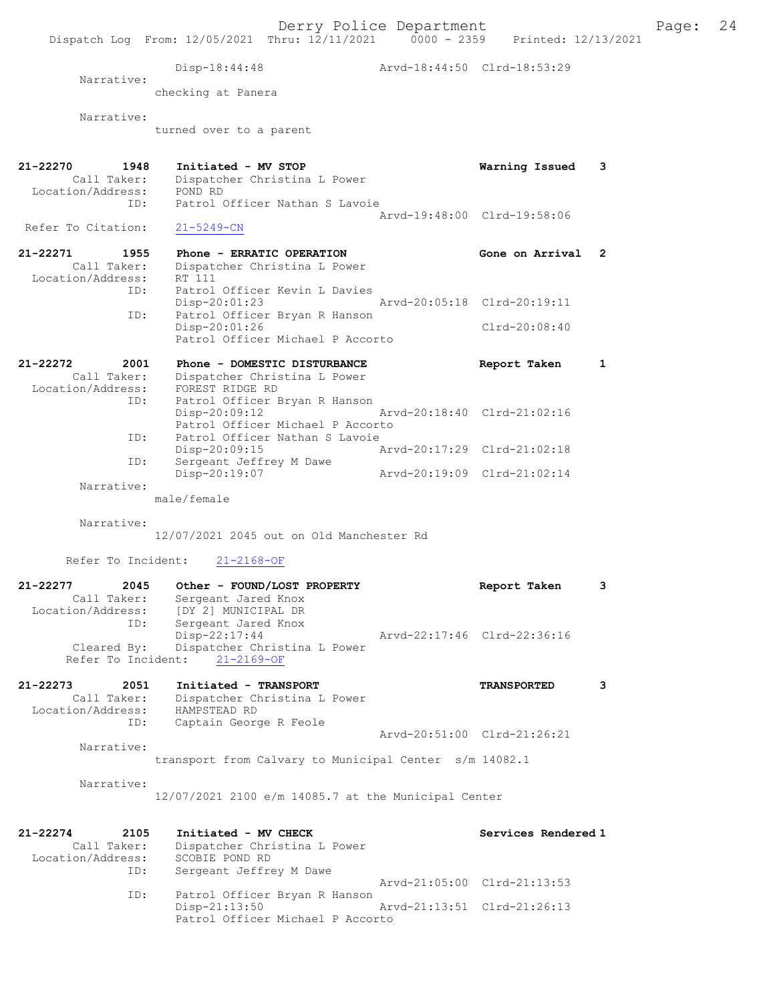Derry Police Department Fage: 24 Dispatch Log From: 12/05/2021 Thru: 12/11/2021 0000 - 2359 Printed: 12/13/2021 Disp-18:44:48 Arvd-18:44:50 Clrd-18:53:29 Narrative: checking at Panera Narrative: turned over to a parent 21-22270 1948 Initiated - MV STOP Warning Issued 3 Call Taker: Dispatcher Christina L Power Location/Address: POND RD ID: Patrol Officer Nathan S Lavoie Arvd-19:48:00 Clrd-19:58:06<br>21-5249-CN Refer To Citation: 21-22271 1955 Phone - ERRATIC OPERATION 1988 Gone on Arrival 2 Call Taker: Dispatcher Christina L Power Location/Address: RT 111 ID: Patrol Officer Kevin L Davies Disp-20:01:23 Arvd-20:05:18 Clrd-20:19:11 ID: Patrol Officer Bryan R Hanson Disp-20:01:26 Clrd-20:08:40 Patrol Officer Michael P Accorto 21-22272 2001 Phone - DOMESTIC DISTURBANCE Report Taken 1 Call Taker: Dispatcher Christina L Power Location/Address: FOREST RIDGE RD ID: Patrol Officer Bryan R Hanson Disp-20:09:12 Arvd-20:18:40 Clrd-21:02:16 Patrol Officer Michael P Accorto ID: Patrol Officer Nathan S Lavoie<br>Disp-20:09:15 Disp-20:09:15 Arvd-20:17:29 Clrd-21:02:18 ID: Sergeant Jeffrey M Dawe Disp-20:19:07 Arvd-20:19:09 Clrd-21:02:14 Narrative: male/female Narrative: 12/07/2021 2045 out on Old Manchester Rd Refer To Incident: 21-2168-OF 21-22277 2045 Other - FOUND/LOST PROPERTY Report Taken 3 Call Taker: Sergeant Jared Knox Location/Address: [DY 2] MUNICIPAL DR ID: Sergeant Jared Knox Disp-22:17:44 Arvd-22:17:46 Clrd-22:36:16 Cleared By: Dispatcher Christina L Power Refer To Incident: 21-2169-OF 21-22273 2051 Initiated - TRANSPORT TRANSPORTED 3 Call Taker: Dispatcher Christina L Power Location/Address: HAMPSTEAD RD ID: Captain George R Feole Arvd-20:51:00 Clrd-21:26:21 Narrative: transport from Calvary to Municipal Center s/m 14082.1 Narrative: 12/07/2021 2100 e/m 14085.7 at the Municipal Center 21-22274 2105 Initiated - MV CHECK Services Rendered 1 Call Taker: Dispatcher Christina L Power Location/Address: SCOBIE POND RD ID: Sergeant Jeffrey M Dawe Arvd-21:05:00 Clrd-21:13:53 ID: Patrol Officer Bryan R Hanson Disp-21:13:50 Arvd-21:13:51 Clrd-21:26:13 Patrol Officer Michael P Accorto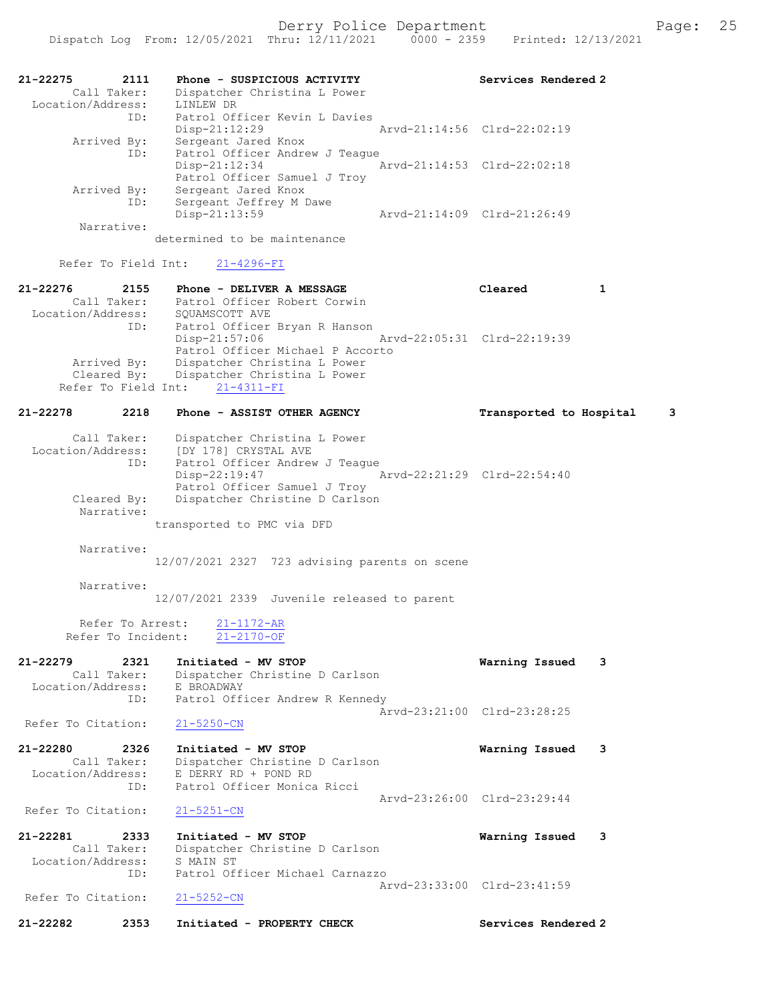| 21-22275<br>2111<br>Call Taker:<br>Location/Address: | Phone - SUSPICIOUS ACTIVITY<br>Dispatcher Christina L Power<br>LINLEW DR | Services Rendered 2         |
|------------------------------------------------------|--------------------------------------------------------------------------|-----------------------------|
| ID:                                                  | Patrol Officer Kevin L Davies                                            |                             |
|                                                      | $Disp-21:12:29$                                                          | Aryd-21:14:56 Clrd-22:02:19 |
| Arrived By:<br>ID:                                   | Sergeant Jared Knox<br>Patrol Officer Andrew J Teaque                    |                             |
|                                                      | Disp-21:12:34<br>Patrol Officer Samuel J Troy                            | Arvd-21:14:53 Clrd-22:02:18 |
| Arrived By:                                          | Sergeant Jared Knox                                                      |                             |
| ID:                                                  | Sergeant Jeffrey M Dawe                                                  |                             |
|                                                      | Disp-21:13:59                                                            | Aryd-21:14:09 Clrd-21:26:49 |
| Narrative:                                           | determined to be maintenance                                             |                             |

### Refer To Field Int: 21-4296-FI

| 21-22276          | 2155        | Phone - DELIVER A MESSAGE                |                                  |                             | Cleared | $\mathbf{1}$ |
|-------------------|-------------|------------------------------------------|----------------------------------|-----------------------------|---------|--------------|
|                   | Call Taker: |                                          | Patrol Officer Robert Corwin     |                             |         |              |
| Location/Address: |             | SOUAMSCOTT AVE                           |                                  |                             |         |              |
|                   | ID:         |                                          | Patrol Officer Bryan R Hanson    |                             |         |              |
|                   |             | Disp-21:57:06                            |                                  | Arvd-22:05:31 Clrd-22:19:39 |         |              |
|                   |             |                                          | Patrol Officer Michael P Accorto |                             |         |              |
|                   | Arrived By: |                                          | Dispatcher Christina L Power     |                             |         |              |
|                   |             | Cleared By: Dispatcher Christina L Power |                                  |                             |         |              |
|                   |             | Refer To Field Int: 21-4311-FI           |                                  |                             |         |              |
|                   |             |                                          |                                  |                             |         |              |

# 21-22278 2218 Phone - ASSIST OTHER AGENCY Transported to Hospital 3

| Call Taker:       | Dispatcher Christina L Power   |                             |  |
|-------------------|--------------------------------|-----------------------------|--|
| Location/Address: | [DY 178] CRYSTAL AVE           |                             |  |
| ID:               | Patrol Officer Andrew J Teaque |                             |  |
|                   | $Disp-22:19:47$                | Arvd-22:21:29 Clrd-22:54:40 |  |
|                   | Patrol Officer Samuel J Troy   |                             |  |
| Cleared By:       | Dispatcher Christine D Carlson |                             |  |
| Narrative:        |                                |                             |  |
|                   | transported to PMC via DFD     |                             |  |

Narrative:

12/07/2021 2327 723 advising parents on scene

Narrative:

12/07/2021 2339 Juvenile released to parent

 Refer To Arrest: 21-1172-AR Refer To Incident: 21-2170-OF

| 21-22279          | 2321        | Initiated - MV STOP             | Warning Issued 3 |  |
|-------------------|-------------|---------------------------------|------------------|--|
|                   | Call Taker: | Dispatcher Christine D Carlson  |                  |  |
| Location/Address: |             | E BROADWAY                      |                  |  |
|                   | ID:         | Patrol Officer Andrew R Kennedy |                  |  |
|                   |             | Arvd-23:21:00 Clrd-23:28:25     |                  |  |

Refer To Citation: 21-5250-CN

| 21-22280          | 2326        | Initiated - MV STOP            | Warning Issued 3            |  |
|-------------------|-------------|--------------------------------|-----------------------------|--|
|                   | Call Taker: | Dispatcher Christine D Carlson |                             |  |
| Location/Address: |             | E DERRY RD + POND RD           |                             |  |
|                   | TD:         | Patrol Officer Monica Ricci    |                             |  |
|                   |             |                                | Arvd-23:26:00 Clrd-23:29:44 |  |

```
Refer To Citation: 21-5251-CN
```

```
21-22281 2333 Initiated - MV STOP Warning Issued 3 
 Call Taker: Dispatcher Christine D Carlson
 Location/Address: S MAIN ST
             ess: Edition of the Carnazzo TD: Patrol Officer Michael Carnazzo
                                              Arvd-23:33:00 Clrd-23:41:59
Refer To Citation: 21-5252-CN
```
21-22282 2353 Initiated - PROPERTY CHECK Services Rendered 2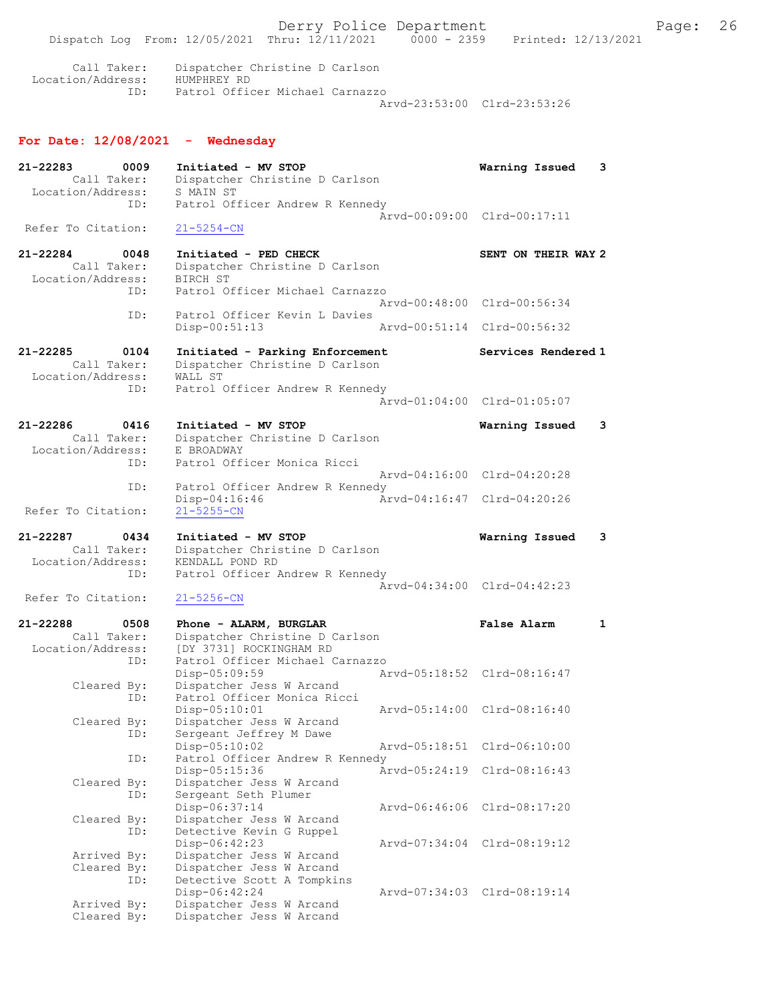Dispatch Log From: 12/05/2021 Thru: 12/11/2021 0000 - 2359 Printed: 12/13/2021 Call Taker: Dispatcher Christine D Carlson Location/Address: HUMPHREY RD<br>ID: Patrol Offic Patrol Officer Michael Carnazzo Arvd-23:53:00 Clrd-23:53:26 For Date: 12/08/2021 - Wednesday 21-22283 0009 Initiated - MV STOP Warning Issued 3<br>Call Taker: Dispatcher Christine D Carlson Dispatcher Christine D Carlson<br>S MAIN ST Location/Address: ID: Patrol Officer Andrew R Kennedy  $\bar{A}rvd-00:09:00$  Clrd-00:17:11<br>21-5254-CN Refer To Citation: 21-22284 0048 Initiated - PED CHECK SENT ON THEIR WAY 2 Call Taker: Dispatcher Christine D Carlson Location/Address: BIRCH ST<br>
ID: Patrol O Patrol Officer Michael Carnazzo Arvd-00:48:00 Clrd-00:56:34 ID: Patrol Officer Kevin L Davies Arvd-00:51:14 Clrd-00:56:32 21-22285 0104 Initiated - Parking Enforcement Services Rendered 1 Call Taker: Dispatcher Christine D Carlson<br>tion/Address: WALL ST Location/Address:<br>ID: Patrol Officer Andrew R Kennedy Arvd-01:04:00 Clrd-01:05:07 21-22286 0416 Initiated - MV STOP Warning Issued 3 Call Taker: Dispatcher Christine D Carlson Location/Address: E BROADWAY<br>ID: Patrol Off: Patrol Officer Monica Ricci Arvd-04:16:00 Clrd-04:20:28<br>The Patrol Officer Andrew B Kennedy Patrol Officer Andrew R Kennedy<br>Disp-04:16:46 Ar Disp-04:16:46 Arvd-04:16:47 Clrd-04:20:26 Refer To Citation: 21-22287 0434 Initiated - MV STOP Warning Issued 3 Call Taker: Dispatcher Christine D Carlson<br>Cion/Address: KENDALL POND RD Location/Address: ID: Patrol Officer Andrew R Kennedy Arvd-04:34:00 Clrd-04:42:23<br>
21-5256-CN Refer To Citation: 21-22288 0508 Phone - ALARM, BURGLAR False Alarm 1 Call Taker: Dispatcher Christine D Carlson<br>Location/Address: [DY 3731] ROCKINGHAM RD Location Construction Cass: [DY 3731] ROCKINGHAM RD<br>ID: Patrol Officer Michael C Patrol Officer Michael Carnazzo<br>Disp-05:09:59 A Disp-05:09:59 Arvd-05:18:52 Clrd-08:16:47<br>Cleared By: Dispatcher Jess W Arcand Dispatcher Jess W Arcand ID: Patrol Officer Monica Ricci Disp-05:10:01 Arvd-05:14:00 Clrd-08:16:40<br>Cleared By: Dispatcher Jess W Arcand Dispatcher Jess W Arcand ID: Sergeant Jeffrey M Dawe Disp-05:10:02 Arvd-05:18:51 Clrd-06:10:00<br>ID: Patrol Officer Andrew R Kennedy Patrol Officer Andrew R Kennedy<br>Disp-05:15:36 Am Disp-05:15:36 Arvd-05:24:19 Clrd-08:16:43<br>Cleared By: Dispatcher Jess W Arcand Dispatcher Jess W Arcand ID: Sergeant Seth Plumer<br>Disp-06:37:14 Disp-06:37:14 Arvd-06:46:06 Clrd-08:17:20 Cleared By: Dispatcher Jess W Arcand ID: Detective Kevin G Ruppel<br>Disp-06:42:23 Disp-06:42:23 Arvd-07:34:04 Clrd-08:19:12<br>Arrived By: Dispatcher Jess W Arcand Dispatcher Jess W Arcand Cleared By: Dispatcher Jess W Arcand ID: Detective Scott A Tompkins<br>Disp-06:42:24 Disp-06:42:24 Arvd-07:34:03 Clrd-08:19:14<br>Arrived By: Dispatcher Jess W Arcand Dispatcher Jess W Arcand Cleared By: Dispatcher Jess W Arcand

Derry Police Department The Page: 26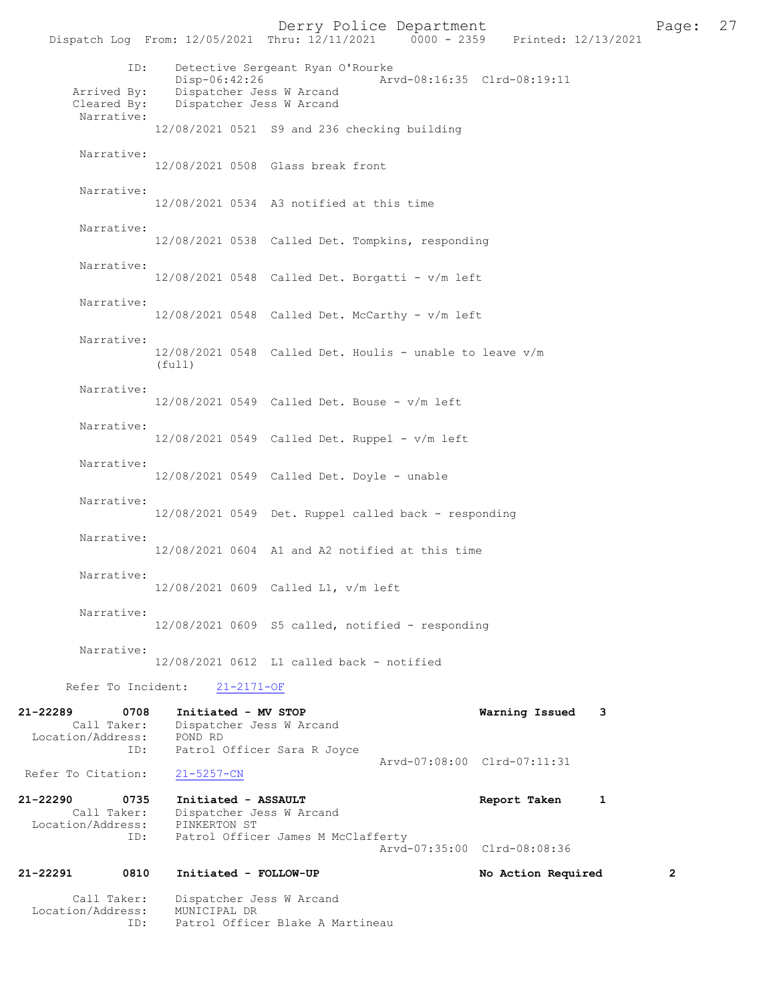Derry Police Department Page: 27 Dispatch Log From: 12/05/2021 Thru: 12/11/2021 ID: Detective Sergeant Ryan O'Rourke Disp-06:42:26 Arvd-08:16:35 Clrd-08:19:11<br>Arrived By: Dispatcher Jess W Arcand Arrived By: Dispatcher Jess W Arcand<br>Cleared By: Dispatcher Jess W Arcand Dispatcher Jess W Arcand Narrative: 12/08/2021 0521 S9 and 236 checking building Narrative: 12/08/2021 0508 Glass break front Narrative: 12/08/2021 0534 A3 notified at this time Narrative: 12/08/2021 0538 Called Det. Tompkins, responding Narrative:  $12/08/2021$  0548 Called Det. Borgatti - v/m left Narrative:  $12/08/2021$  0548 Called Det. McCarthy -  $v/m$  left Narrative: 12/08/2021 0548 Called Det. Houlis - unable to leave v/m (full) Narrative: 12/08/2021 0549 Called Det. Bouse - v/m left Narrative: 12/08/2021 0549 Called Det. Ruppel - v/m left Narrative: 12/08/2021 0549 Called Det. Doyle - unable Narrative: 12/08/2021 0549 Det. Ruppel called back - responding Narrative: 12/08/2021 0604 A1 and A2 notified at this time Narrative: 12/08/2021 0609 Called L1, v/m left Narrative:  $12/08/2021$  0609 S5 called, notified - responding Narrative: 12/08/2021 0612 L1 called back - notified Refer To Incident: 21-2171-OF 21-22289 0708 Initiated - MV STOP 1980 1000 Warning Issued 3<br>Call Taker: Dispatcher Jess W Arcand Dispatcher Jess W Arcand<br>POND RD Location/Address:<br>ID: Patrol Officer Sara R Joyce Arvd-07:08:00 Clrd-07:11:31<br>21-5257-CN Refer To Citation: 21-22290 0735 Initiated - ASSAULT 1 Report Taken 1 Call Taker: Dispatcher Jess W Arcand<br>ion/Address: PINKERTON ST Location/Address:<br>TD: Patrol Officer James M McClafferty Arvd-07:35:00 Clrd-08:08:36 21-22291 0810 Initiated - FOLLOW-UP No Action Required 2 Call Taker: Dispatcher Jess W Arcand<br>ion/Address: MUNICIPAL DR Location/Address:<br>ID: Patrol Officer Blake A Martineau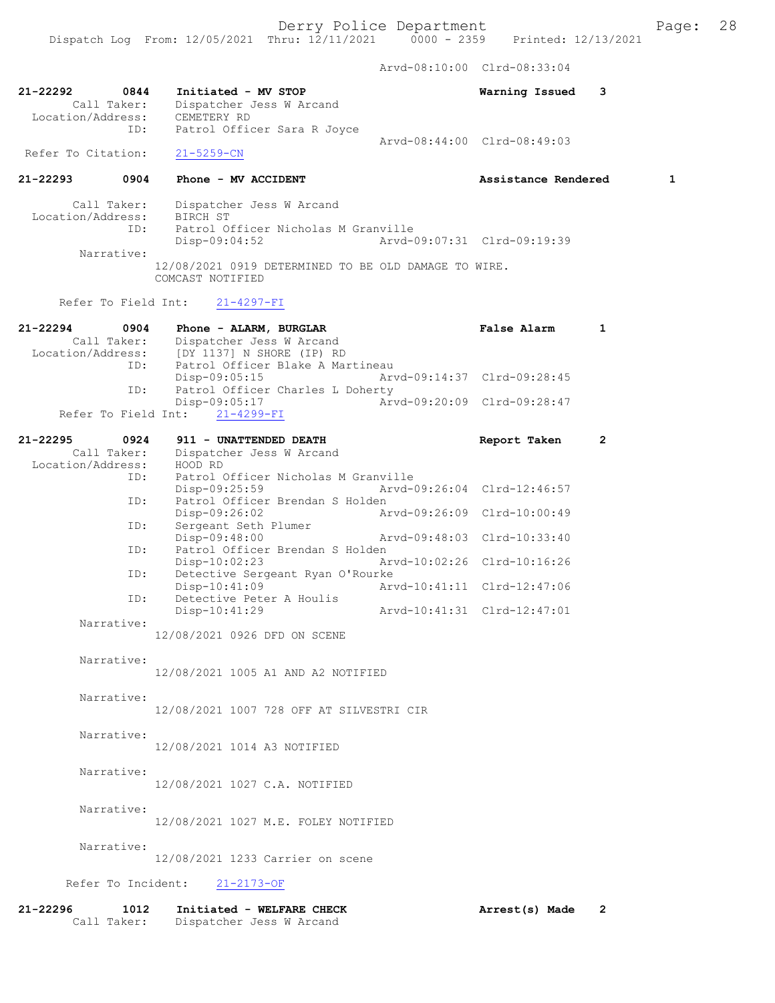Arvd-08:10:00 Clrd-08:33:04

| 21-22292<br>0844<br>Call Taker:<br>Location/Address:<br>ID: | Initiated - MV STOP<br>Dispatcher Jess W Arcand<br>CEMETERY RD<br>Patrol Officer Sara R Joyce                                         | Warning Issued<br>3                |   |
|-------------------------------------------------------------|---------------------------------------------------------------------------------------------------------------------------------------|------------------------------------|---|
| Refer To Citation:                                          | $21 - 5259 - CN$                                                                                                                      | Arvd-08:44:00 Clrd-08:49:03        |   |
| 21-22293<br>0904                                            | Phone - MV ACCIDENT                                                                                                                   | Assistance Rendered                | 1 |
| Call Taker:<br>Location/Address:                            | Dispatcher Jess W Arcand<br>BIRCH ST                                                                                                  |                                    |   |
| ID:<br>Narrative:                                           | Patrol Officer Nicholas M Granville<br>Disp-09:04:52                                                                                  | Arvd-09:07:31 Clrd-09:19:39        |   |
|                                                             | 12/08/2021 0919 DETERMINED TO BE OLD DAMAGE TO WIRE.<br>COMCAST NOTIFIED                                                              |                                    |   |
| Refer To Field Int:                                         | $21 - 4297 - FI$                                                                                                                      |                                    |   |
| 21-22294<br>0904<br>Call Taker:<br>ID:                      | Phone - ALARM, BURGLAR<br>Dispatcher Jess W Arcand<br>Location/Address: [DY 1137] N SHORE (IP) RD<br>Patrol Officer Blake A Martineau | <b>False Alarm</b><br>$\mathbf{1}$ |   |
| ID:                                                         | Disp-09:05:15<br>Patrol Officer Charles L Doherty                                                                                     | Arvd-09:14:37 Clrd-09:28:45        |   |
| Refer To Field Int:                                         | Disp-09:05:17<br>$21 - 4299 - FI$                                                                                                     | Arvd-09:20:09 Clrd-09:28:47        |   |
| $21 - 22295$<br>0924                                        | 911 - UNATTENDED DEATH                                                                                                                | Report Taken<br>2                  |   |
| Call Taker:<br>Location/Address:                            | Dispatcher Jess W Arcand<br>HOOD RD                                                                                                   |                                    |   |
| ID:                                                         | Patrol Officer Nicholas M Granville<br>Disp-09:25:59                                                                                  | Arvd-09:26:04 Clrd-12:46:57        |   |
| ID:                                                         | Patrol Officer Brendan S Holden<br>Disp-09:26:02                                                                                      | Arvd-09:26:09 Clrd-10:00:49        |   |
| ID:                                                         | Sergeant Seth Plumer<br>Disp-09:48:00                                                                                                 | Arvd-09:48:03 Clrd-10:33:40        |   |
| ID:                                                         | Patrol Officer Brendan S Holden<br>$Disp-10:02:23$                                                                                    | Arvd-10:02:26 Clrd-10:16:26        |   |
| ID:                                                         | Detective Sergeant Ryan O'Rourke<br>Disp-10:41:09                                                                                     | Arvd-10:41:11 Clrd-12:47:06        |   |
| ID:<br>Narrative:                                           | Detective Peter A Houlis<br>Disp-10:41:29                                                                                             | Arvd-10:41:31 Clrd-12:47:01        |   |
|                                                             | 12/08/2021 0926 DFD ON SCENE                                                                                                          |                                    |   |
| Narrative:                                                  | 12/08/2021 1005 A1 AND A2 NOTIFIED                                                                                                    |                                    |   |
| Narrative:                                                  | 12/08/2021 1007 728 OFF AT SILVESTRI CIR                                                                                              |                                    |   |
| Narrative:                                                  | 12/08/2021 1014 A3 NOTIFIED                                                                                                           |                                    |   |
| Narrative:                                                  | 12/08/2021 1027 C.A. NOTIFIED                                                                                                         |                                    |   |
| Narrative:                                                  | 12/08/2021 1027 M.E. FOLEY NOTIFIED                                                                                                   |                                    |   |
| Narrative:                                                  | 12/08/2021 1233 Carrier on scene                                                                                                      |                                    |   |
|                                                             | Refer To Incident: 21-2173-OF                                                                                                         |                                    |   |
| 21-22296<br>1012                                            | Initiated - WELFARE CHECK<br>Call Taker: Dispatcher Jess W Arcand                                                                     | Arrest(s) Made<br>2                |   |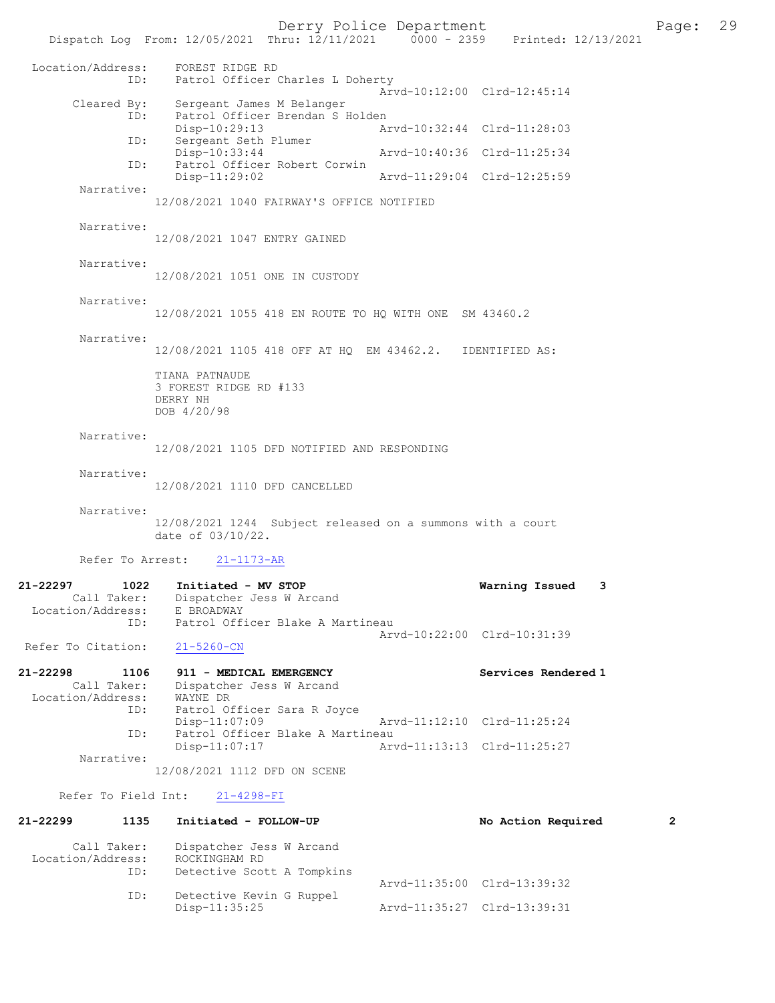Derry Police Department<br>Page: 29 Printed: 12/13/2021 0000 - 2359 Printed: 12/13/2021 Dispatch Log From: 12/05/2021 Thru: 12/11/2021 Location/Address: FOREST RIDGE RD ID: Patrol Officer Charles L Doherty Arvd-10:12:00 Clrd-12:45:14<br>Cleared By: Sergeant James M Belanger By: Sergeant James M Belanger<br>ID: Patrol Officer Brendan S H Patrol Officer Brendan S Holden<br>Disp-10:29:13 Ar Disp-10:29:13 Arvd-10:32:44 Clrd-11:28:03 ID: Sergeant Seth Plumer<br>Disp-10:33:44 Disp-10:33:44 Arvd-10:40:36 Clrd-11:25:34<br>ID: Patrol Officer Robert Corwin Patrol Officer Robert Corwin<br>Disp-11:29:02 Arvd-11:29:04 Clrd-12:25:59 Narrative: 12/08/2021 1040 FAIRWAY'S OFFICE NOTIFIED Narrative: 12/08/2021 1047 ENTRY GAINED Narrative: 12/08/2021 1051 ONE IN CUSTODY Narrative: 12/08/2021 1055 418 EN ROUTE TO HQ WITH ONE SM 43460.2 Narrative: 12/08/2021 1105 418 OFF AT HQ EM 43462.2. IDENTIFIED AS: TIANA PATNAUDE 3 FOREST RIDGE RD #133 DERRY NH DOB 4/20/98 Narrative: 12/08/2021 1105 DFD NOTIFIED AND RESPONDING Narrative: 12/08/2021 1110 DFD CANCELLED Narrative: 12/08/2021 1244 Subject released on a summons with a court date of 03/10/22. Refer To Arrest: 21-1173-AR 21-22297 1022 Initiated - MV STOP Warning Issued 3 Call Taker: Dispatcher Jess W Arcand<br>.on/Address: E BROADWAY Location/Address:<br>ID: Patrol Officer Blake A Martineau Arvd-10:22:00 Clrd-10:31:39 Refer To Citation: 21-5260-CN 21-22298 1106 911 - MEDICAL EMERGENCY Services Rendered 1<br>Call Taker: Dispatcher Jess W Arcand Dispatcher Jess W Arcand<br>WAYNE DR Location/Address:<br>ID: Patrol Officer Sara R Joyce<br>Disp-11:07:09 Arvd-11:12:10 Clrd-11:25:24 ID: Patrol Officer Blake A Martineau Arvd-11:13:13 Clrd-11:25:27 Narrative: 12/08/2021 1112 DFD ON SCENE Refer To Field Int: 21-4298-FI 21-22299 1135 Initiated - FOLLOW-UP No Action Required 2 Call Taker: Dispatcher Jess W Arcand<br>ion/Address: ROCKINGHAM RD Location/Address: ID: Detective Scott A Tompkins Arvd-11:35:00 Clrd-13:39:32 ID: Detective Kevin G Ruppel<br>Disp-11:35:25 Disp-11:35:25 Arvd-11:35:27 Clrd-13:39:31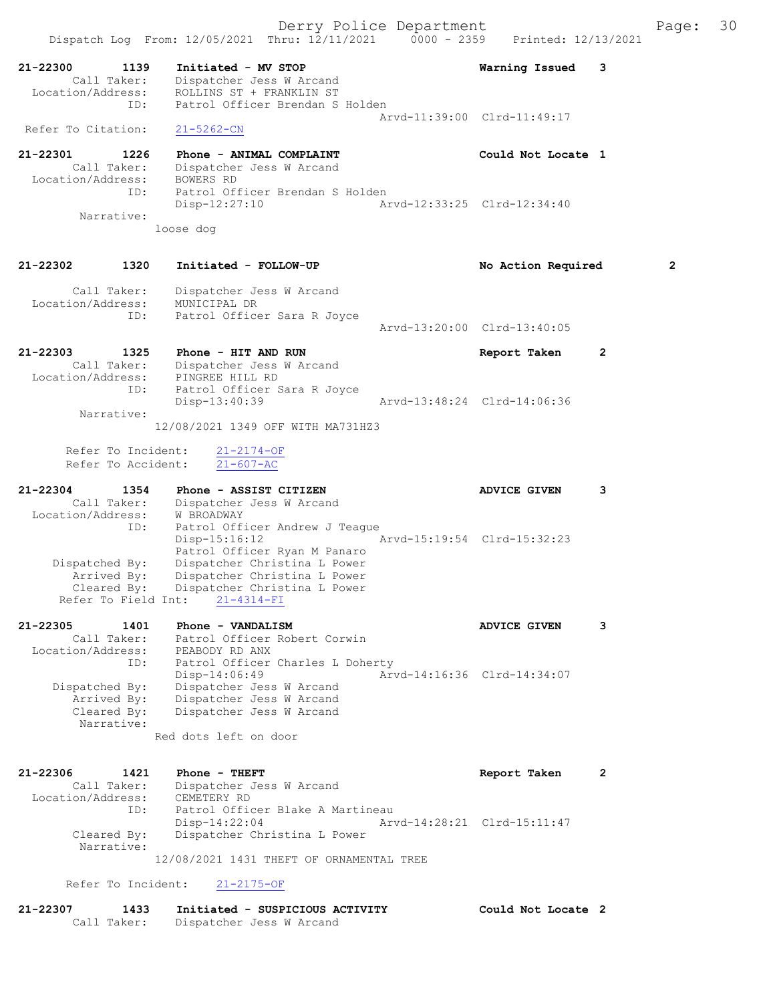Derry Police Department Fage: 30 Dispatch Log From:  $12/05/2021$  Thru:  $12/11/2021$  0000 - 2359 Printed:  $12/13/2021$ 21-22300 1139 Initiated - MV STOP Warning Issued 3 Call Taker: Dispatcher Jess W Arcand Location/Address: ROLLINS ST + FRANKLIN ST ID: Patrol Officer Brendan S Holden Arvd-11:39:00 Clrd-11:49:17 Refer To Citation: 21-5262-CN 21-22301 1226 Phone - ANIMAL COMPLAINT Could Not Locate 1 Call Taker: Dispatcher Jess W Arcand Location/Address: BOWERS RD ESS. DOWERS RD<br>ID: Patrol Officer Brendan S Holden<br>Disp-12:27:10 Ar Disp-12:27:10 Arvd-12:33:25 Clrd-12:34:40 Narrative: loose dog 21-22302 1320 Initiated - FOLLOW-UP No Action Required 2 Call Taker: Dispatcher Jess W Arcand Location/Address: MUNICIPAL DR ID: Patrol Officer Sara R Joyce Arvd-13:20:00 Clrd-13:40:05 21-22303 1325 Phone - HIT AND RUN Report Taken 2 Call Taker: Dispatcher Jess W Arcand Location/Address: PINGREE HILL RD ID: Patrol Officer Sara R Joyce Disp-13:40:39 Arvd-13:48:24 Clrd-14:06:36 Narrative: 12/08/2021 1349 OFF WITH MA731HZ3 Refer To Incident: 21-2174-OF Refer To Accident: 21-607-AC 21-22304 1354 Phone - ASSIST CITIZEN ADVICE GIVEN 3 Call Taker: Dispatcher Jess W Arcand Location/Address: W BROADWAY ID: Patrol Officer Andrew J Teague Disp-15:16:12 Arvd-15:19:54 Clrd-15:32:23 Patrol Officer Ryan M Panaro Dispatched By: Dispatcher Christina L Power Arrived By: Dispatcher Christina L Power Cleared By: Dispatcher Christina L Power Refer To Field Int: 21-4314-FI 21-22305 1401 Phone - VANDALISM **Phone - VANDALISM ADVICE GIVEN** 3 Call Taker: Patrol Officer Robert Corwin Location/Address: PEABODY RD ANX ID: Patrol Officer Charles L Doherty Disp-14:06:49 Arvd-14:16:36 Clrd-14:34:07 Dispatched By: Dispatcher Jess W Arcand Arrived By: Dispatcher Jess W Arcand Cleared By: Dispatcher Jess W Arcand Narrative: Red dots left on door 21-22306 1421 Phone - THEFT Report Taken 2 Call Taker: Dispatcher Jess W Arcand Location/Address: CEMETERY RD ID: Patrol Officer Blake A Martineau Disp-14:22:04 Arvd-14:28:21 Clrd-15:11:47 Cleared By: Dispatcher Christina L Power Narrative: 12/08/2021 1431 THEFT OF ORNAMENTAL TREE

Refer To Incident: 21-2175-OF

| 21-22307 | 1433        | Initiated - SUSPICIOUS ACTIVITY | Could Not Locate 2 |  |
|----------|-------------|---------------------------------|--------------------|--|
|          | Call Taker: | Dispatcher Jess W Arcand        |                    |  |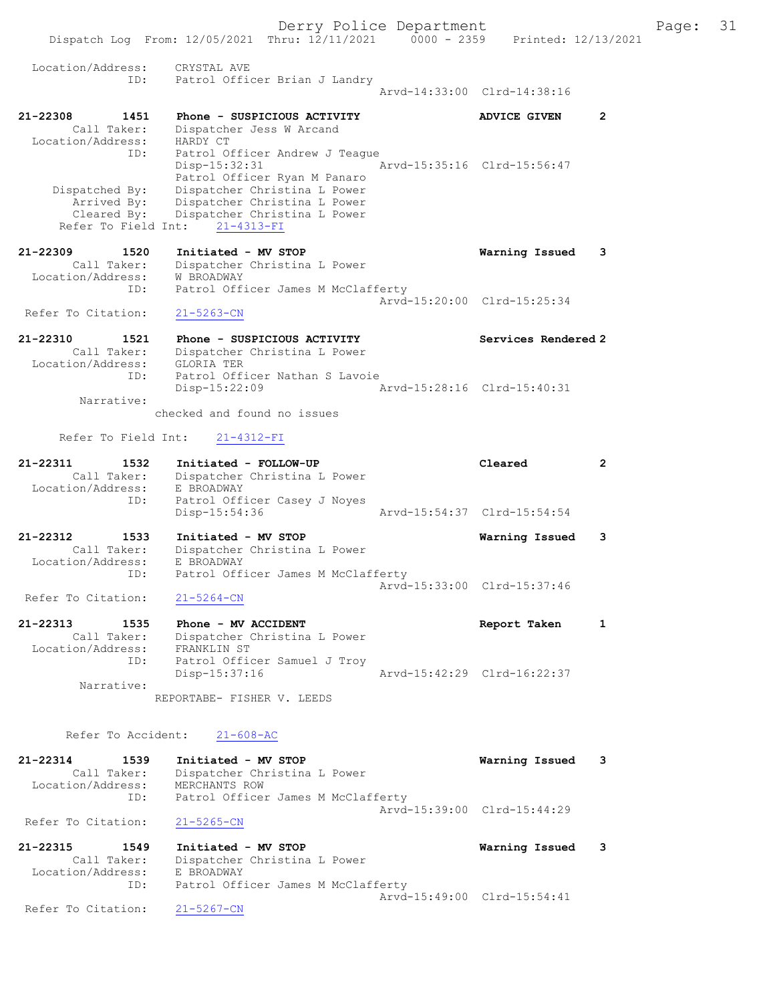Derry Police Department Fage: 31 Dispatch Log From: 12/05/2021 Thru: 12/11/2021 0000 - 2359 Printed: 12/13/2021 Location/Address: CRYSTAL AVE ID: Patrol Officer Brian J Landry Arvd-14:33:00 Clrd-14:38:16 21-22308 1451 Phone - SUSPICIOUS ACTIVITY ADVICE GIVEN 2 Call Taker: Dispatcher Jess W Arcand Location/Address: HARDY CT ID: Patrol Officer Andrew J Teague Disp-15:32:31 Arvd-15:35:16 Clrd-15:56:47 Patrol Officer Ryan M Panaro Dispatched By: Dispatcher Christina L Power Arrived By: Dispatcher Christina L Power Cleared By: Dispatcher Christina L Power Refer To Field Int: 21-4313-FI 21-22309 1520 Initiated - MV STOP Warning Issued 3 Call Taker: Dispatcher Christina L Power Location/Address: W BROADWAY ID: Patrol Officer James M McClafferty Arvd-15:20:00 Clrd-15:25:34 Refer To Citation: 21-5263-CN 21-22310 1521 Phone - SUSPICIOUS ACTIVITY Services Rendered 2 Call Taker: Dispatcher Christina L Power Location/Address: GLORIA TER ID: Patrol Officer Nathan S Lavoie Disp-15:22:09 Arvd-15:28:16 Clrd-15:40:31 Narrative: checked and found no issues Refer To Field Int: 21-4312-FI 21-22311 1532 Initiated - FOLLOW-UP Cleared 2 Call Taker: Dispatcher Christina L Power Location/Address: E BROADWAY ID: Patrol Officer Casey J Noyes Disp-15:54:36 Arvd-15:54:37 Clrd-15:54:54 21-22312 1533 Initiated - MV STOP Warning Issued 3 Call Taker: Dispatcher Christina L Power Location/Address: E BROADWAY ID: Patrol Officer James M McClafferty Arvd-15:33:00 Clrd-15:37:46<br>21-5264-CN Refer To Citation: 21-22313 1535 Phone - MV ACCIDENT Report Taken 1 Call Taker: Dispatcher Christina L Power Location/Address: FRANKLIN ST ID: Patrol Officer Samuel J Troy Disp-15:37:16 Arvd-15:42:29 Clrd-16:22:37 Narrative: REPORTABE- FISHER V. LEEDS Refer To Accident: 21-608-AC 21-22314 1539 Initiated - MV STOP Warning Issued 3 Call Taker: Dispatcher Christina L Power Location/Address: MERCHANTS ROW ID: Patrol Officer James M McClafferty Arvd-15:39:00 Clrd-15:44:29 Refer To Citation: 21-5265-CN 21-22315 1549 Initiated - MV STOP Warning Issued 3 Call Taker: Dispatcher Christina L Power Location/Address: E BROADWAY ID: Patrol Officer James M McClafferty Arvd-15:49:00 Clrd-15:54:41 Refer To Citation: 21-5267-CN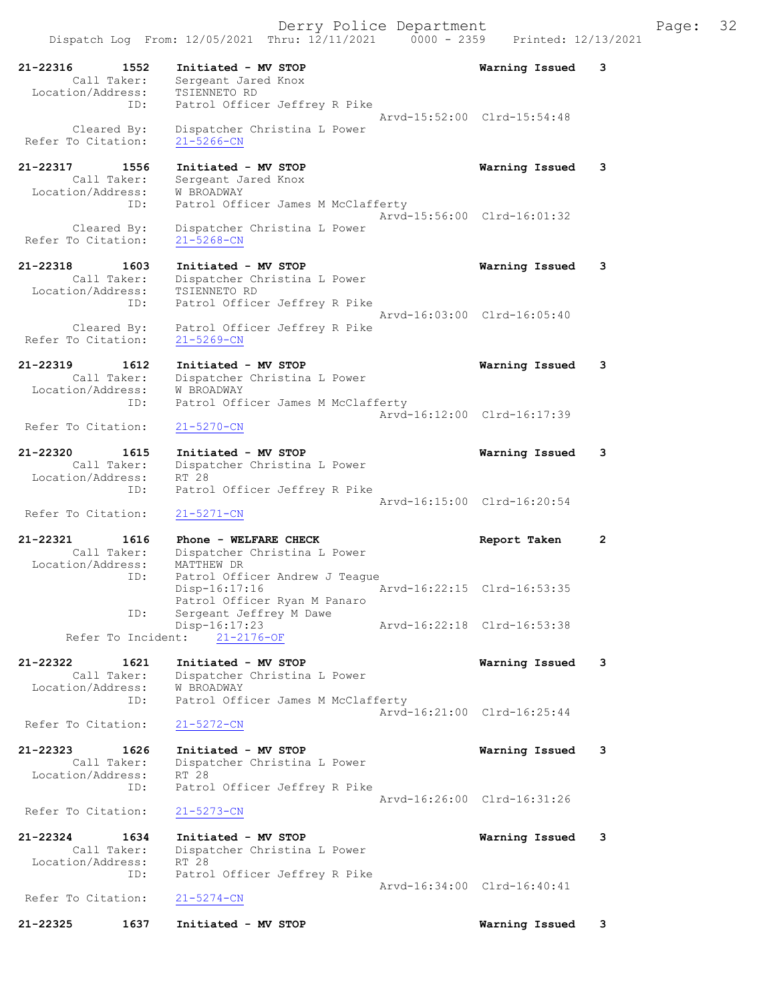Derry Police Department Fage: 32 Dispatch Log From: 12/05/2021 Thru: 12/11/2021 0000 - 2359 Printed: 12/13/2021 21-22316 1552 Initiated - MV STOP Warning Issued 3 Call Taker: Sergeant Jared Knox Location/Address: TSIENNETO RD ID: Patrol Officer Jeffrey R Pike Arvd-15:52:00 Clrd-15:54:48 Cleared By: Dispatcher Christina L Power Refer To Citation: 21-5266-CN 21-22317 1556 Initiated - MV STOP Warning Issued 3 Call Taker: Sergeant Jared Knox Location/Address: W BROADWAY ID: Patrol Officer James M McClafferty Arvd-15:56:00 Clrd-16:01:32 Cleared By: Dispatcher Christina L Power Refer To Citation: 21-5268-CN 21-22318 1603 Initiated - MV STOP Warning Issued 3 Call Taker: Dispatcher Christina L Power Location/Address: TSIENNETO RD ID: Patrol Officer Jeffrey R Pike Arvd-16:03:00 Clrd-16:05:40 Cleared By: Patrol Officer Jeffrey R Pike Refer To Citation: 21-5269-CN 21-22319 1612 Initiated - MV STOP Warning Issued 3 Call Taker: Dispatcher Christina L Power Location/Address: W BROADWAY ID: Patrol Officer James M McClafferty Arvd-16:12:00 Clrd-16:17:39<br>21-5270-CN Refer To Citation: 21-22320 1615 Initiated - MV STOP Warning Issued 3 Call Taker: Dispatcher Christina L Power Location/Address: RT 28 ID: Patrol Officer Jeffrey R Pike Arvd-16:15:00 Clrd-16:20:54 Refer To Citation: 21-5271-CN 21-22321 1616 Phone - WELFARE CHECK 10 Report Taken 2 Call Taker: Dispatcher Christina L Power Location/Address: MATTHEW DR ID: Patrol Officer Andrew J Teague Disp-16:17:16 Arvd-16:22:15 Clrd-16:53:35 Patrol Officer Ryan M Panaro ID: Sergeant Jeffrey M Dawe<br>Disp-16:17:23 Disp-16:17:23 Arvd-16:22:18 Clrd-16:53:38 Refer To Incident: 21-2176-OF 21-22322 1621 Initiated - MV STOP Warning Issued 3 Call Taker: Dispatcher Christina L Power Location/Address: W BROADWAY ID: Patrol Officer James M McClafferty Arvd-16:21:00 Clrd-16:25:44 Refer To Citation: 21-5272-CN 21-22323 1626 Initiated - MV STOP Warning Issued 3 Call Taker: Dispatcher Christina L Power Location/Address: RT 28 ID: Patrol Officer Jeffrey R Pike Arvd-16:26:00 Clrd-16:31:26 Refer To Citation: 21-5273-CN 21-22324 1634 Initiated - MV STOP 1634 Varning Issued 3<br>Call Taker: Dispatcher Christina L Power Call Taker: Dispatcher Christina L Power Location/Address: RT 28 ID: Patrol Officer Jeffrey R Pike Arvd-16:34:00 Clrd-16:40:41 Refer To Citation: 21-5274-CN

21-22325 1637 Initiated - MV STOP Warning Issued 3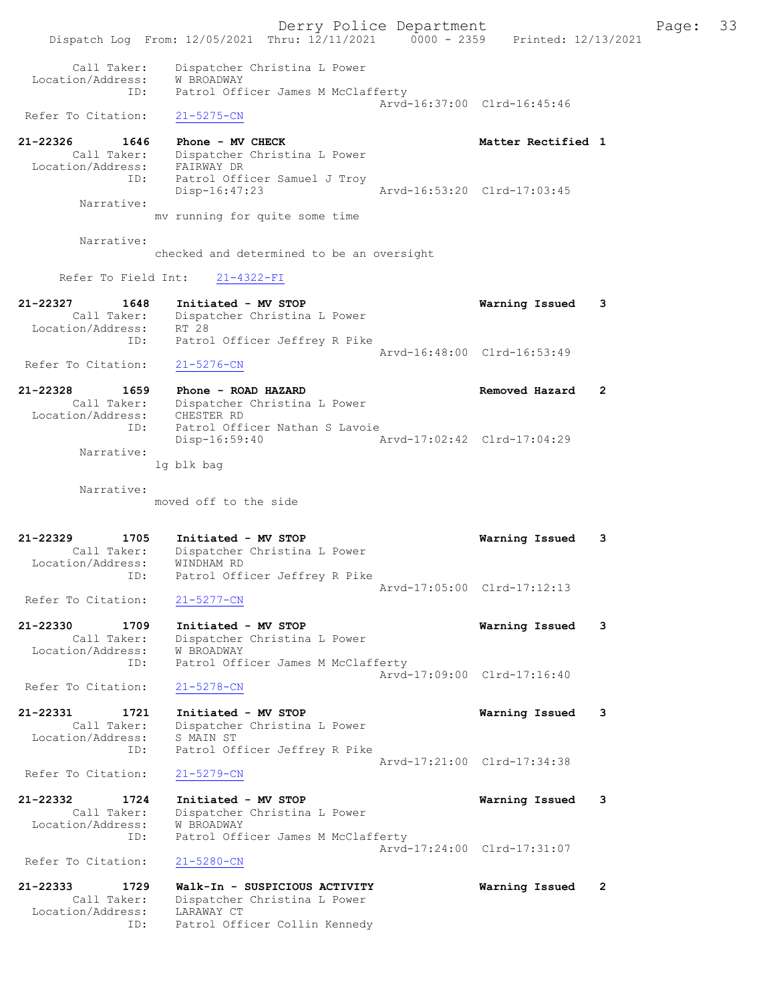Derry Police Department Fage: 33 Dispatch Log From: 12/05/2021 Thru: 12/11/2021 0000 - 2359 Printed: 12/13/2021 Call Taker: Dispatcher Christina L Power Location/Address: W BROADWAY ID: Patrol Officer James M McClafferty Arvd-16:37:00 Clrd-16:45:46 Refer To Citation: 21-5275-CN 21-22326 1646 Phone - MV CHECK 1 21-22326 Matter Rectified 1 Call Taker: Dispatcher Christina L Power Location/Address: FAIRWAY DR ID: Patrol Officer Samuel J Troy Disp-16:47:23 Arvd-16:53:20 Clrd-17:03:45 Narrative: mv running for quite some time Narrative: checked and determined to be an oversight Refer To Field Int: 21-4322-FI 21-22327 1648 Initiated - MV STOP Warning Issued 3 Call Taker: Dispatcher Christina L Power Location/Address: RT 28 ID: Patrol Officer Jeffrey R Pike Arvd-16:48:00 Clrd-16:53:49 Refer To Citation: 21-5276-CN 21-22328 1659 Phone - ROAD HAZARD Removed Hazard 2 Call Taker: Dispatcher Christina L Power Location/Address: CHESTER RD<br>ID: Patrol Officer<br>Disp-16:59:40 Patrol Officer Nathan S Lavoie Disp-16:59:40 Arvd-17:02:42 Clrd-17:04:29 Narrative: lg blk bag Narrative: moved off to the side 21-22329 1705 Initiated - MV STOP Warning Issued 3 Call Taker: Dispatcher Christina L Power Location/Address: WINDHAM RD ID: Patrol Officer Jeffrey R Pike Arvd-17:05:00 Clrd-17:12:13<br>21-5277-CN Refer To Citation: 21-22330 1709 Initiated - MV STOP Warning Issued 3 Call Taker: Dispatcher Christina L Power Location/Address: W BROADWAY ID: Patrol Officer James M McClafferty Arvd-17:09:00 Clrd-17:16:40 Refer To Citation: 21-5278-CN 21-22331 1721 Initiated - MV STOP Warning Issued 3 Call Taker: Dispatcher Christina L Power Location/Address: S MAIN ST ID: Patrol Officer Jeffrey R Pike Arvd-17:21:00 Clrd-17:34:38<br>21-5279-CN Refer To Citation: 21-22332 1724 Initiated - MV STOP Warning Issued 3 Call Taker: Dispatcher Christina L Power Location/Address: W BROADWAY ID: Patrol Officer James M McClafferty Arvd-17:24:00 Clrd-17:31:07 Refer To Citation: 21-5280-CN 21-22333 1729 Walk-In - SUSPICIOUS ACTIVITY Warning Issued 2 Call Taker: Dispatcher Christina L Power Location/Address: LARAWAY CT ID: Patrol Officer Collin Kennedy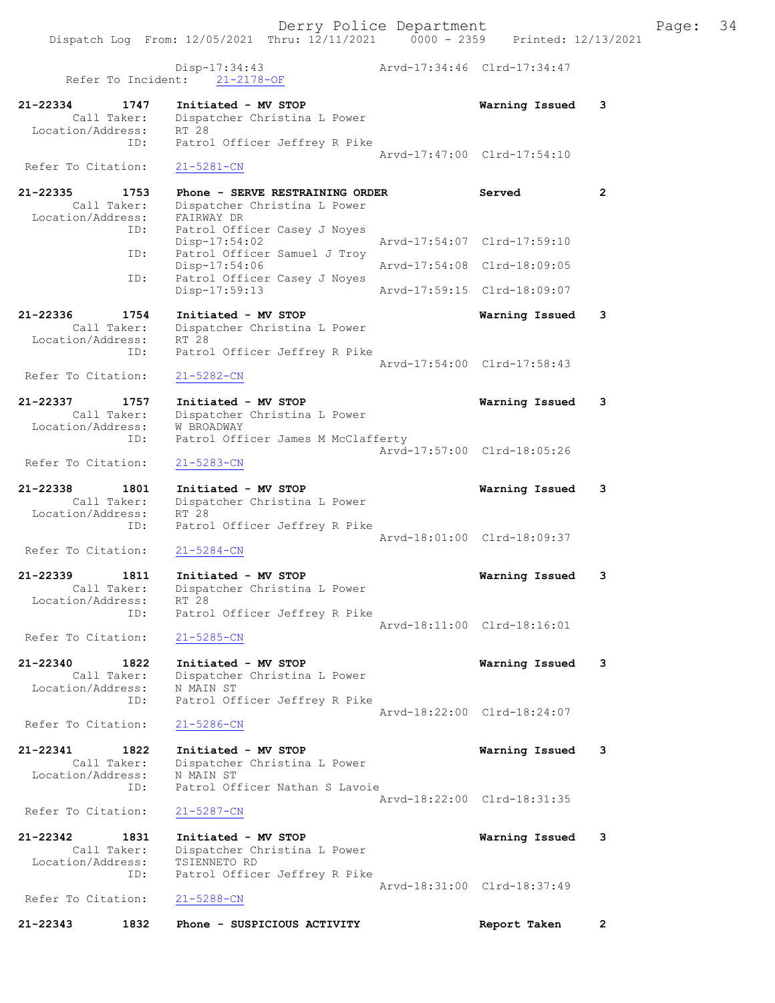Dispatch Log From: 12/05/2021 Thru: 12/11/2021 0000 - 2359 Printed: 12/13/2021 Disp-17:34:43 Arvd-17:34:46 Clrd-17:34:47 Refer To Incident: 21-2178-OF 21-22334 1747 Initiated - MV STOP Warning Issued 3 Call Taker: Dispatcher Christina L Power Location/Address: RT 28 ID: Patrol Officer Jeffrey R Pike Arvd-17:47:00 Clrd-17:54:10 Refer To Citation: 21-5281-CN 21-22335 1753 Phone - SERVE RESTRAINING ORDER Served 2 Call Taker: Dispatcher Christina L Power Location/Address: FAIRWAY DR ID: Patrol Officer Casey J Noyes<br>Disp-17:54:02 Disp-17:54:02 Arvd-17:54:07 Clrd-17:59:10<br>ID: Patrol Officer Samuel J Trov Patrol Officer Samuel J Troy<br>Disp-17:54:06 Disp-17:54:06 Arvd-17:54:08 Clrd-18:09:05 ID: Patrol Officer Casey J Noyes<br>Disp-17:59:13 Disp-17:59:13 Arvd-17:59:15 Clrd-18:09:07 21-22336 1754 Initiated - MV STOP Warning Issued 3 Call Taker: Dispatcher Christina L Power Location/Address: RT 28 ID: Patrol Officer Jeffrey R Pike Arvd-17:54:00 Clrd-17:58:43 Refer To Citation: 21-5282-CN 21-22337 1757 Initiated - MV STOP Warning Issued 3 Call Taker: Dispatcher Christina L Power Location/Address: W BROADWAY ID: Patrol Officer James M McClafferty Arvd-17:57:00 Clrd-18:05:26 Refer To Citation: 21-5283-CN 21-22338 1801 Initiated - MV STOP Warning Issued 3 Call Taker: Dispatcher Christina L Power<br>tion/Address: RT 28 Location/Address:<br>ID: Patrol Officer Jeffrey R Pike Arvd-18:01:00 Clrd-18:09:37 Refer To Citation: 21-5284-CN 21-22339 1811 Initiated - MV STOP Warning Issued 3 Call Taker: Dispatcher Christina L Power Location/Address: RT 28 ID: Patrol Officer Jeffrey R Pike Arvd-18:11:00 Clrd-18:16:01 Refer To Citation: 21-5285-CN 21-22340 1822 Initiated - MV STOP Warning Issued 3 Call Taker: Dispatcher Christina L Power Location/Address: N MAIN ST ID: Patrol Officer Jeffrey R Pike Arvd-18:22:00 Clrd-18:24:07 Refer To Citation: 21-5286-CN 21-22341 1822 Initiated - MV STOP Warning Issued 3 Call Taker: Dispatcher Christina L Power Location/Address: N MAIN ST ID: Patrol Officer Nathan S Lavoie Arvd-18:22:00 Clrd-18:31:35<br>21-5287-CN Refer To Citation: 21-22342 1831 Initiated - MV STOP Warning Issued 3 Call Taker: Dispatcher Christina L Power Location/Address: TSIENNETO RD IS וואמאומוס איז TD: Patrol Officer Jeffrey R Pike Arvd-18:31:00 Clrd-18:37:49 Refer To Citation: 21-5288-CN

21-22343 1832 Phone - SUSPICIOUS ACTIVITY Report Taken 2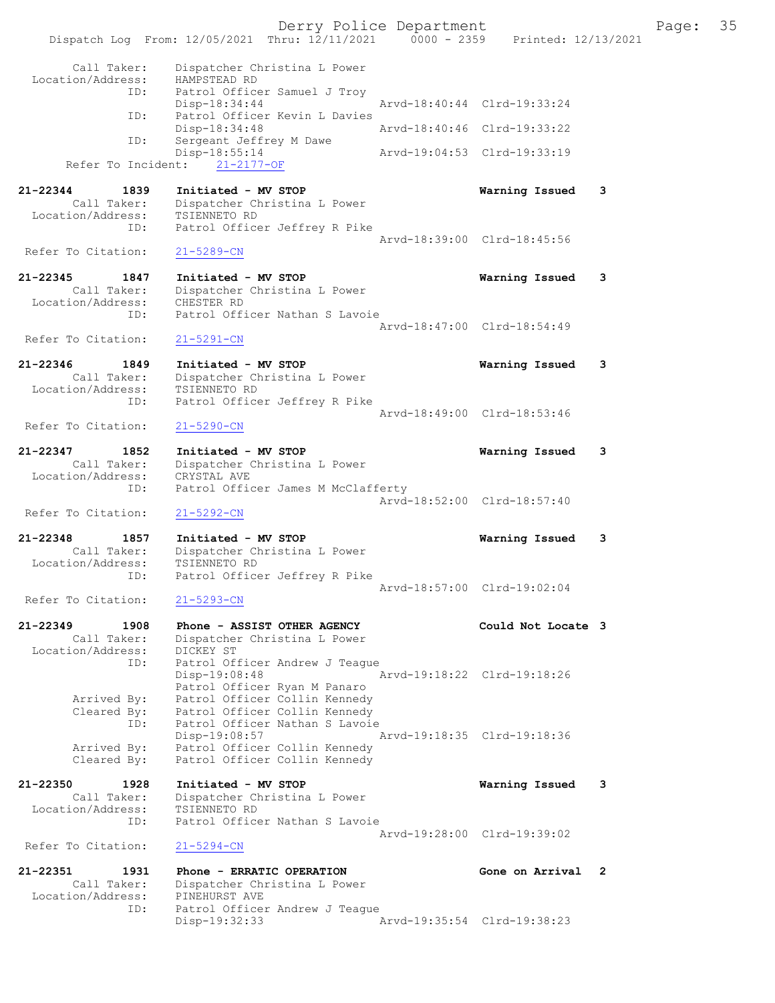Derry Police Department Fage: 35

 Dispatch Log From: 12/05/2021 Thru: 12/11/2021 0000 - 2359 Printed: 12/13/2021 Call Taker: Dispatcher Christina L Power Location/Address: HAMPSTEAD RD ID: Patrol Officer Samuel J Troy Disp-18:34:44 Arvd-18:40:44 Clrd-19:33:24 ID: Patrol Officer Kevin L Davies<br>Disp-18:34:48 Mrvd-18:40:46 Clrd-19:33:22 Disp-18:34:48 ID: Sergeant Jeffrey M Dawe<br>Disp-18:55:14 Disp-18:55:14 Arvd-19:04:53 Clrd-19:33:19 Refer To Incident: 21-2177-OF 21-22344 1839 Initiated - MV STOP Warning Issued 3 Call Taker: Dispatcher Christina L Power Location/Address: TSIENNETO RD ID: Patrol Officer Jeffrey R Pike Arvd-18:39:00 Clrd-18:45:56<br>21-5289-CN Refer To Citation: 21-22345 1847 Initiated - MV STOP Warning Issued 3 Call Taker: Dispatcher Christina L Power Location/Address: CHESTER RD ID: Patrol Officer Nathan S Lavoie Arvd-18:47:00 Clrd-18:54:49 Refer To Citation: 21-5291-CN 21-22346 1849 Initiated - MV STOP Warning Issued 3 Call Taker: Dispatcher Christina L Power Location/Address: TSIENNETO RD ID: Patrol Officer Jeffrey R Pike Arvd-18:49:00 Clrd-18:53:46<br>21-5290-CN Refer To Citation: 21-22347 1852 Initiated - MV STOP Warning Issued 3 Call Taker: Dispatcher Christina L Power Location/Address: CRYSTAL AVE ID: Patrol Officer James M McClafferty Arvd-18:52:00 Clrd-18:57:40 Refer To Citation: 21-5292-CN 21-22348 1857 Initiated - MV STOP Warning Issued 3 Call Taker: Dispatcher Christina L Power Location/Address: TSIENNETO RD ID: Patrol Officer Jeffrey R Pike Arvd-18:57:00 Clrd-19:02:04<br>21-5293-CN Refer To Citation: 21-22349 1908 Phone - ASSIST OTHER AGENCY Could Not Locate 3 Call Taker: Dispatcher Christina L Power Location/Address: DICKEY ST ID: Patrol Officer Andrew J Teague Disp-19:08:48 Arvd-19:18:22 Clrd-19:18:26 Patrol Officer Ryan M Panaro Arrived By: Patrol Officer Collin Kennedy Cleared By: Patrol Officer Collin Kennedy ID: Patrol Officer Nathan S Lavoie Disp-19:08:57 Arvd-19:18:35 Clrd-19:18:36 Arrived By: Patrol Officer Collin Kennedy Cleared By: Patrol Officer Collin Kennedy 21-22350 1928 Initiated - MV STOP Warning Issued 3 Call Taker: Dispatcher Christina L Power Location/Address: TSIENNETO RD ID: Patrol Officer Nathan S Lavoie Arvd-19:28:00 Clrd-19:39:02 Refer To Citation: 21-5294-CN 21-22351 1931 Phone - ERRATIC OPERATION Gone on Arrival 2 Call Taker: Dispatcher Christina L Power<br>Dispatcher Christina L Power<br>The Christian L Call 1.<br>Location/Address:<br>ID: Patrol Officer Andrew J Teague<br>Disp-19:32:33 Arvd-19:35:54 Clrd-19:38:23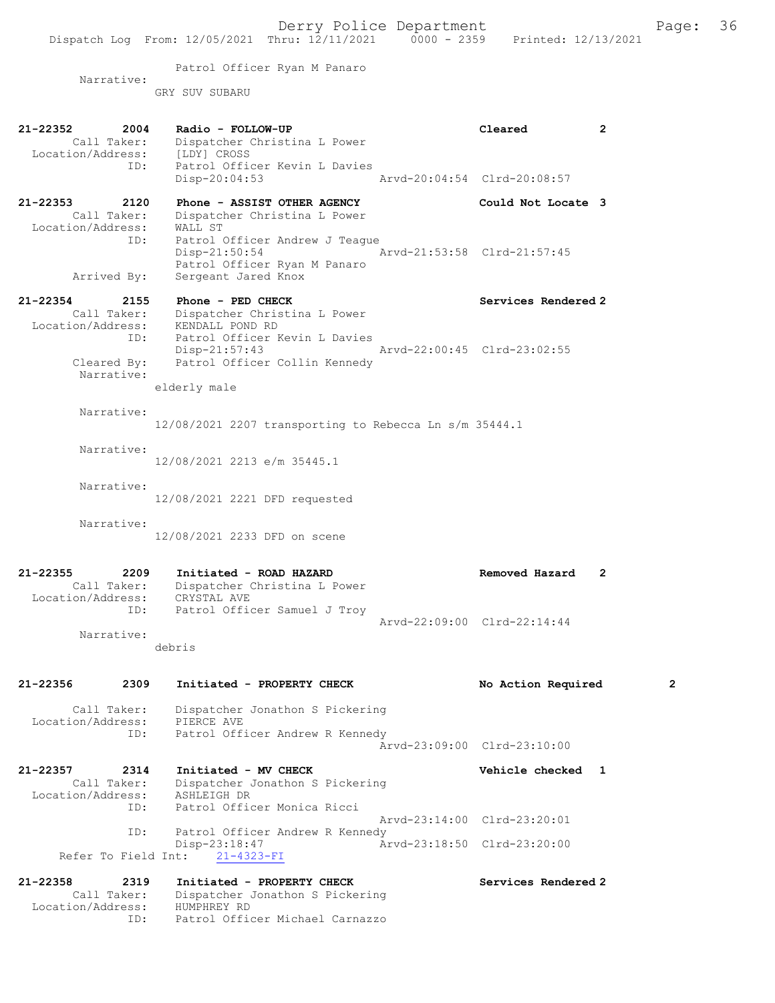Patrol Officer Ryan M Panaro Narrative:

GRY SUV SUBARU

| 21-22352<br>2004<br>Call Taker:<br>Location/Address:            | Radio - FOLLOW-UP<br>Dispatcher Christina L Power<br>[LDY] CROSS                                                | Cleared                     | $\overline{2}$ |
|-----------------------------------------------------------------|-----------------------------------------------------------------------------------------------------------------|-----------------------------|----------------|
| ID:                                                             | Patrol Officer Kevin L Davies<br>$Disp-20:04:53$                                                                | Arvd-20:04:54 Clrd-20:08:57 |                |
| 21-22353<br>2120<br>Call Taker:<br>Location/Address:            | Phone - ASSIST OTHER AGENCY<br>Dispatcher Christina L Power<br>WALL ST                                          | Could Not Locate 3          |                |
| ID:<br>Arrived By:                                              | Patrol Officer Andrew J Teaque<br>$Disp-21:50:54$<br>Patrol Officer Ryan M Panaro<br>Sergeant Jared Knox        | Arvd-21:53:58 Clrd-21:57:45 |                |
| $21 - 22354$<br>2155                                            | Phone - PED CHECK                                                                                               | Services Rendered 2         |                |
| Call Taker:<br>Location/Address:<br>ID:                         | Dispatcher Christina L Power<br>KENDALL POND RD<br>Patrol Officer Kevin L Davies<br>$Disp-21:57:43$             | Arvd-22:00:45 Clrd-23:02:55 |                |
| Cleared By:<br>Narrative:                                       | Patrol Officer Collin Kennedy<br>elderly male                                                                   |                             |                |
| Narrative:                                                      | 12/08/2021 2207 transporting to Rebecca Ln s/m 35444.1                                                          |                             |                |
| Narrative:                                                      | 12/08/2021 2213 e/m 35445.1                                                                                     |                             |                |
| Narrative:                                                      | 12/08/2021 2221 DFD requested                                                                                   |                             |                |
| Narrative:                                                      | 12/08/2021 2233 DFD on scene                                                                                    |                             |                |
| $21 - 22355$<br>2209<br>Call Taker:<br>Location/Address:<br>ID: | Initiated - ROAD HAZARD<br>Dispatcher Christina L Power<br>CRYSTAL AVE<br>Patrol Officer Samuel J Troy          | Removed Hazard              | 2              |
| Narrative:                                                      |                                                                                                                 | Arvd-22:09:00 Clrd-22:14:44 |                |
|                                                                 | debris                                                                                                          |                             |                |
| 21-22356<br>2309                                                | Initiated - PROPERTY CHECK                                                                                      | No Action Required          | z              |
| Call Taker:<br>Location/Address:                                | Dispatcher Jonathon S Pickering<br>PIERCE AVE                                                                   |                             |                |
| ID:                                                             | Patrol Officer Andrew R Kennedy                                                                                 | Arvd-23:09:00 Clrd-23:10:00 |                |
| 21-22357<br>2314<br>Call Taker:<br>Location/Address:            | Initiated - MV CHECK<br>Dispatcher Jonathon S Pickering<br>ASHLEIGH DR                                          | Vehicle checked 1           |                |
| ID:                                                             | Patrol Officer Monica Ricci                                                                                     | Arvd-23:14:00 Clrd-23:20:01 |                |
| ID:<br>Refer To Field Int:                                      | Patrol Officer Andrew R Kennedy<br>Disp-23:18:47<br>$21 - 4323 - FI$                                            | Arvd-23:18:50 Clrd-23:20:00 |                |
| 21-22358<br>2319<br>Call Taker:<br>Location/Address:<br>ID:     | Initiated - PROPERTY CHECK<br>Dispatcher Jonathon S Pickering<br>HUMPHREY RD<br>Patrol Officer Michael Carnazzo | Services Rendered 2         |                |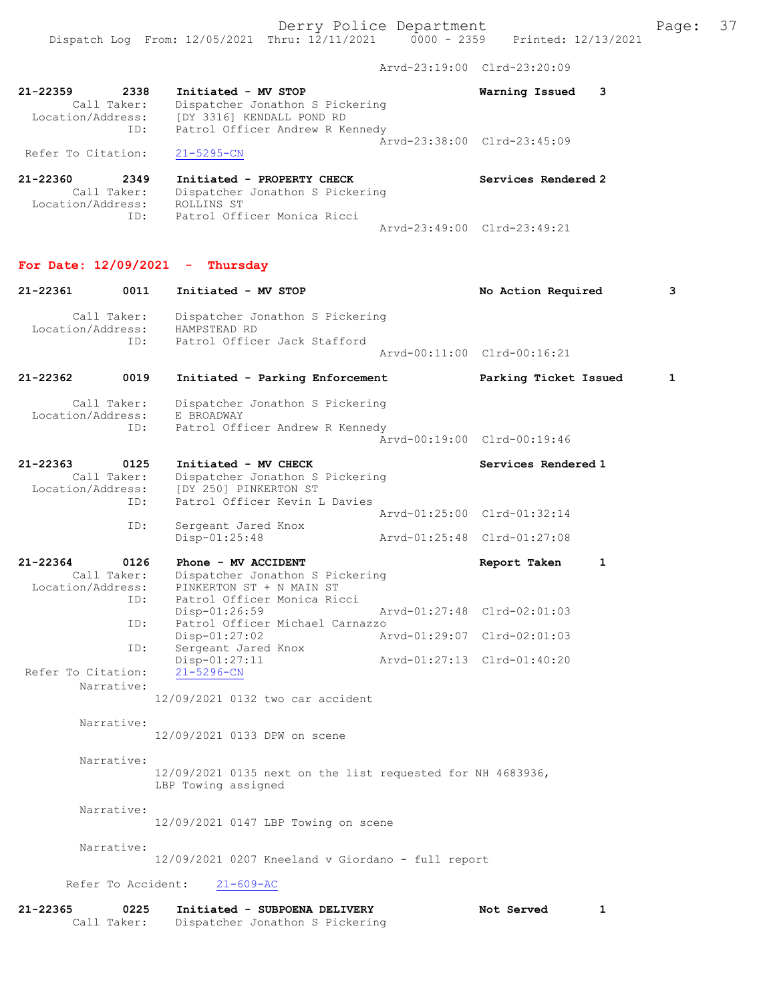Arvd-23:19:00 Clrd-23:20:09

| $21 - 22359$<br>Call Taker:<br>Location/Address: | 2338<br>Initiated - MV STOP<br>Dispatcher Jonathon S Pickering<br>[DY 3316] KENDALL POND RD<br>Patrol Officer Andrew R Kennedy<br>ID: | Warning Issued              | 3 |
|--------------------------------------------------|---------------------------------------------------------------------------------------------------------------------------------------|-----------------------------|---|
| Refer To Citation:                               | $21 - 5295 - CN$                                                                                                                      | Arvd-23:38:00 Clrd-23:45:09 |   |
| 21-22360<br>Call Taker:<br>Location/Address:     | 2349<br>Initiated - PROPERTY CHECK<br>Dispatcher Jonathon S Pickering<br>ROLLINS ST<br>Patrol Officer Monica Ricci<br>ID:             | Services Rendered 2         |   |
|                                                  |                                                                                                                                       | Arvd-23:49:00 Clrd-23:49:21 |   |
|                                                  | For Date: $12/09/2021$ - Thursday                                                                                                     |                             |   |
| 21-22361                                         | 0011<br>Initiated - MV STOP                                                                                                           | No Action Required          | 3 |
| Call Taker:<br>Location/Address:                 | Dispatcher Jonathon S Pickering<br>HAMPSTEAD RD<br>Patrol Officer Jack Stafford<br>ID:                                                |                             |   |
|                                                  |                                                                                                                                       | Aryd-00:11:00 Clrd-00:16:21 |   |
| 21-22362                                         | 0019<br>Initiated - Parking Enforcement                                                                                               | Parking Ticket Issued       | 1 |
| Call Taker:<br>Location/Address:                 | Dispatcher Jonathon S Pickering<br>E BROADWAY                                                                                         |                             |   |
|                                                  | ID:<br>Patrol Officer Andrew R Kennedy                                                                                                | Arvd-00:19:00 Clrd-00:19:46 |   |
| $21 - 22363$                                     | 0125<br>Initiated - MV CHECK                                                                                                          | Services Rendered 1         |   |
| Call Taker:<br>Location/Address:                 | Dispatcher Jonathon S Pickering<br>[DY 250] PINKERTON ST<br>Patrol Officer Kevin L Davies<br>ID:                                      |                             |   |
|                                                  | ID:<br>Sergeant Jared Knox                                                                                                            | Arvd-01:25:00 Clrd-01:32:14 |   |
|                                                  | $Disp-01:25:48$                                                                                                                       | Arvd-01:25:48 Clrd-01:27:08 |   |
| 21-22364<br>Call Taker:<br>Location/Address:     | 0126<br>Phone - MV ACCIDENT<br>Dispatcher Jonathon S Pickering<br>PINKERTON ST + N MAIN ST                                            | Report Taken                | 1 |
|                                                  | Patrol Officer Monica Ricci<br>ID:<br>Disp-01:26:59<br>Patrol Officer Michael Carnazzo<br>ID:                                         | Arvd-01:27:48 Clrd-02:01:03 |   |
|                                                  | Disp-01:27:02                                                                                                                         | Arvd-01:29:07 Clrd-02:01:03 |   |
| Refer To Citation:                               | Sergeant Jared Knox<br>ID:<br>Disp-01:27:11<br>$21 - 5296 - CN$                                                                       | Arvd-01:27:13 Clrd-01:40:20 |   |
| Narrative:                                       | 12/09/2021 0132 two car accident                                                                                                      |                             |   |
| Narrative:                                       |                                                                                                                                       |                             |   |
|                                                  | 12/09/2021 0133 DPW on scene                                                                                                          |                             |   |
| Narrative:                                       | 12/09/2021 0135 next on the list requested for NH 4683936,<br>LBP Towing assigned                                                     |                             |   |
| Narrative:                                       | 12/09/2021 0147 LBP Towing on scene                                                                                                   |                             |   |
| Narrative:                                       |                                                                                                                                       |                             |   |

12/09/2021 0207 Kneeland v Giordano - full report

Refer To Accident: 21-609-AC

| 21-22365 | 0225        | Initiated - SUBPOENA DELIVERY   | Not Served |  |
|----------|-------------|---------------------------------|------------|--|
|          | Call Taker: | Dispatcher Jonathon S Pickering |            |  |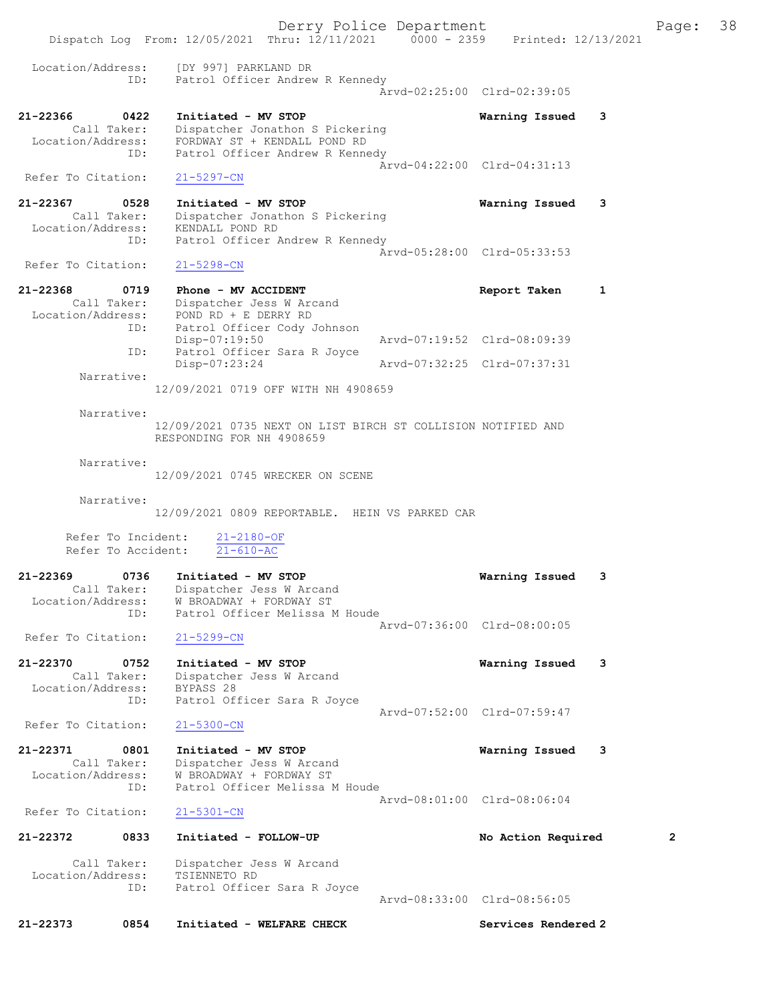|                                                             | Dispatch Log From: 12/05/2021 Thru: 12/11/2021 0000 - 2359 Printed: 12/13/2021                               | Derry Police Department     |                     |     | Page:          | 38 |
|-------------------------------------------------------------|--------------------------------------------------------------------------------------------------------------|-----------------------------|---------------------|-----|----------------|----|
| Location/Address:<br>ID:                                    | [DY 997] PARKLAND DR<br>Patrol Officer Andrew R Kennedy                                                      |                             |                     |     |                |    |
|                                                             |                                                                                                              | Arvd-02:25:00 Clrd-02:39:05 |                     |     |                |    |
| 21-22366<br>0422<br>Call Taker:<br>Location/Address:        | Initiated - MV STOP<br>Dispatcher Jonathon S Pickering<br>FORDWAY ST + KENDALL POND RD                       |                             | Warning Issued      | - 3 |                |    |
| ID:                                                         | Patrol Officer Andrew R Kennedy                                                                              | Arvd-04:22:00 Clrd-04:31:13 |                     |     |                |    |
| Refer To Citation:                                          | $21 - 5297 - CN$                                                                                             |                             |                     |     |                |    |
| 21-22367<br>0528<br>Call Taker:<br>Location/Address:<br>ID: | Initiated - MV STOP<br>Dispatcher Jonathon S Pickering<br>KENDALL POND RD<br>Patrol Officer Andrew R Kennedy |                             | Warning Issued      | -3  |                |    |
| Refer To Citation:                                          | $21 - 5298 - CN$                                                                                             | Arvd-05:28:00 Clrd-05:33:53 |                     |     |                |    |
| 21-22368<br>0719                                            | Phone - MV ACCIDENT                                                                                          |                             | Report Taken        | 1   |                |    |
| Call Taker:<br>Location/Address:                            | Dispatcher Jess W Arcand<br>POND RD + E DERRY RD<br>ID: Patrol Officer Cody Johnson                          |                             |                     |     |                |    |
| ID:                                                         | Disp-07:19:50<br>Patrol Officer Sara R Joyce                                                                 | Arvd-07:19:52 Clrd-08:09:39 |                     |     |                |    |
| Narrative:                                                  | Disp-07:23:24                                                                                                | Arvd-07:32:25 Clrd-07:37:31 |                     |     |                |    |
|                                                             | 12/09/2021 0719 OFF WITH NH 4908659                                                                          |                             |                     |     |                |    |
| Narrative:                                                  | 12/09/2021 0735 NEXT ON LIST BIRCH ST COLLISION NOTIFIED AND<br>RESPONDING FOR NH 4908659                    |                             |                     |     |                |    |
| Narrative:                                                  | 12/09/2021 0745 WRECKER ON SCENE                                                                             |                             |                     |     |                |    |
| Narrative:                                                  | 12/09/2021 0809 REPORTABLE. HEIN VS PARKED CAR                                                               |                             |                     |     |                |    |
| Refer To Incident:<br>Refer To Accident:                    | $21 - 2180 - OF$<br>$21 - 610 - AC$                                                                          |                             |                     |     |                |    |
| 21-22369<br>0736                                            | Initiated - MV STOP                                                                                          |                             | Warning Issued      | 3   |                |    |
| Location/Address:<br>ID:                                    | Call Taker: Dispatcher Jess W Arcand<br>W BROADWAY + FORDWAY ST<br>Patrol Officer Melissa M Houde            |                             |                     |     |                |    |
| Refer To Citation:                                          | $21 - 5299 - CN$                                                                                             | Arvd-07:36:00 Clrd-08:00:05 |                     |     |                |    |
| 21-22370<br>0752                                            | Initiated - MV STOP                                                                                          |                             | Warning Issued 3    |     |                |    |
| Call Taker:<br>Location/Address:<br>ID:                     | Dispatcher Jess W Arcand<br>BYPASS 28<br>Patrol Officer Sara R Joyce                                         |                             |                     |     |                |    |
|                                                             |                                                                                                              | Arvd-07:52:00 Clrd-07:59:47 |                     |     |                |    |
| Refer To Citation:                                          | $21 - 5300 - CN$                                                                                             |                             |                     |     |                |    |
| 21-22371<br>0801<br>Call Taker:<br>Location/Address:<br>ID: | Initiated - MV STOP<br>Dispatcher Jess W Arcand<br>W BROADWAY + FORDWAY ST<br>Patrol Officer Melissa M Houde |                             | Warning Issued      | - 3 |                |    |
| Refer To Citation:                                          | $21 - 5301 - CN$                                                                                             | Arvd-08:01:00 Clrd-08:06:04 |                     |     |                |    |
| 21-22372<br>0833                                            | Initiated - FOLLOW-UP                                                                                        |                             | No Action Required  |     | $\overline{2}$ |    |
| Call Taker:<br>Location/Address:<br>ID:                     | Dispatcher Jess W Arcand<br>TSIENNETO RD<br>Patrol Officer Sara R Joyce                                      | Arvd-08:33:00 Clrd-08:56:05 |                     |     |                |    |
| 21-22373<br>0854                                            | Initiated - WELFARE CHECK                                                                                    |                             | Services Rendered 2 |     |                |    |
|                                                             |                                                                                                              |                             |                     |     |                |    |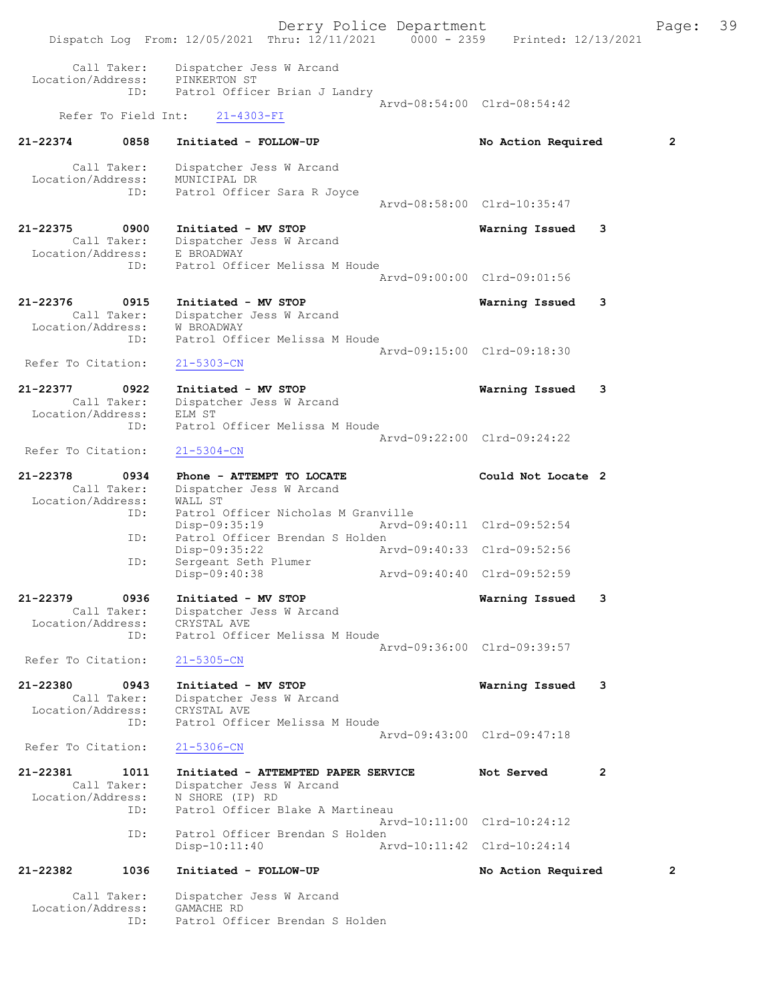Derry Police Department Fage: 39 Dispatch Log From: 12/05/2021 Thru: 12/11/2021 0000 - 2359 Printed: 12/13/2021 Call Taker: Dispatcher Jess W Arcand Location/Address: PINKERTON ST ID: Patrol Officer Brian J Landry Arvd-08:54:00 Clrd-08:54:42 Refer To Field Int: 21-4303-FI 21-22374 0858 Initiated - FOLLOW-UP No Action Required 2 Call Taker: Dispatcher Jess W Arcand Location/Address: MUNICIPAL DR ID: Patrol Officer Sara R Joyce Arvd-08:58:00 Clrd-10:35:47 21-22375 0900 Initiated - MV STOP Warning Issued 3 Call Taker: Dispatcher Jess W Arcand Location/Address: E BROADWAY ID: Patrol Officer Melissa M Houde Arvd-09:00:00 Clrd-09:01:56 21-22376 0915 Initiated - MV STOP Warning Issued 3 Call Taker: Dispatcher Jess W Arcand Location/Address: W BROADWAY ID: Patrol Officer Melissa M Houde Arvd-09:15:00 Clrd-09:18:30<br>21-5303-CN Refer To Citation: 21-22377 0922 Initiated - MV STOP Warning Issued 3 Call Taker: Dispatcher Jess W Arcand<br>cion/Address: ELM ST Location/Address:<br>ID: Patrol Officer Melissa M Houde Arvd-09:22:00 Clrd-09:24:22 Refer To Citation: 21-5304-CN 21-22378 0934 Phone - ATTEMPT TO LOCATE Could Not Locate 2 Call Taker: Dispatcher Jess W Arcand Location/Address: WALL ST ID: Patrol Officer Nicholas M Granville Disp-09:35:19 Arvd-09:40:11 Clrd-09:52:54 ID: Patrol Officer Brendan S Holden<br>Disp-09:35:22 Arvd-09:40:33 Clrd-09:52:56 Disp-09:35:22<br>ID: Sergeant Seth Plumer Sergeant Seth Plumer<br>Disp-09:40:38 Disp-09:40:38 Arvd-09:40:40 Clrd-09:52:59 21-22379 0936 Initiated - MV STOP Warning Issued 3 Call Taker: Dispatcher Jess W Arcand Location/Address: CRYSTAL AVE<br>TD: Patrol Offic Patrol Officer Melissa M Houde Arvd-09:36:00 Clrd-09:39:57 Refer To Citation: 21-5305-CN 21-22380 0943 Initiated - MV STOP Warning Issued 3 Call Taker: Dispatcher Jess W Arcand Location/Address: CRYSTAL AVE ID: Patrol Officer Melissa M Houde Arvd-09:43:00 Clrd-09:47:18<br>21-5306-CN Refer To Citation: 21-22381 1011 Initiated - ATTEMPTED PAPER SERVICE Not Served 2 Call Taker: Dispatcher Jess W Arcand Location/Address: N SHORE (IP) RD<br>
TD: Patrol Officer B Patrol Officer Blake A Martineau Arvd-10:11:00 Clrd-10:24:12<br>The Patrol Officer Brendan S Holden Patrol Officer Brendan S Holden Disp-10:11:40 Arvd-10:11:42 Clrd-10:24:14 21-22382 1036 Initiated - FOLLOW-UP No Action Required 2 Call Taker: Dispatcher Jess W Arcand Location/Address: GAMACHE RD ID: Patrol Officer Brendan S Holden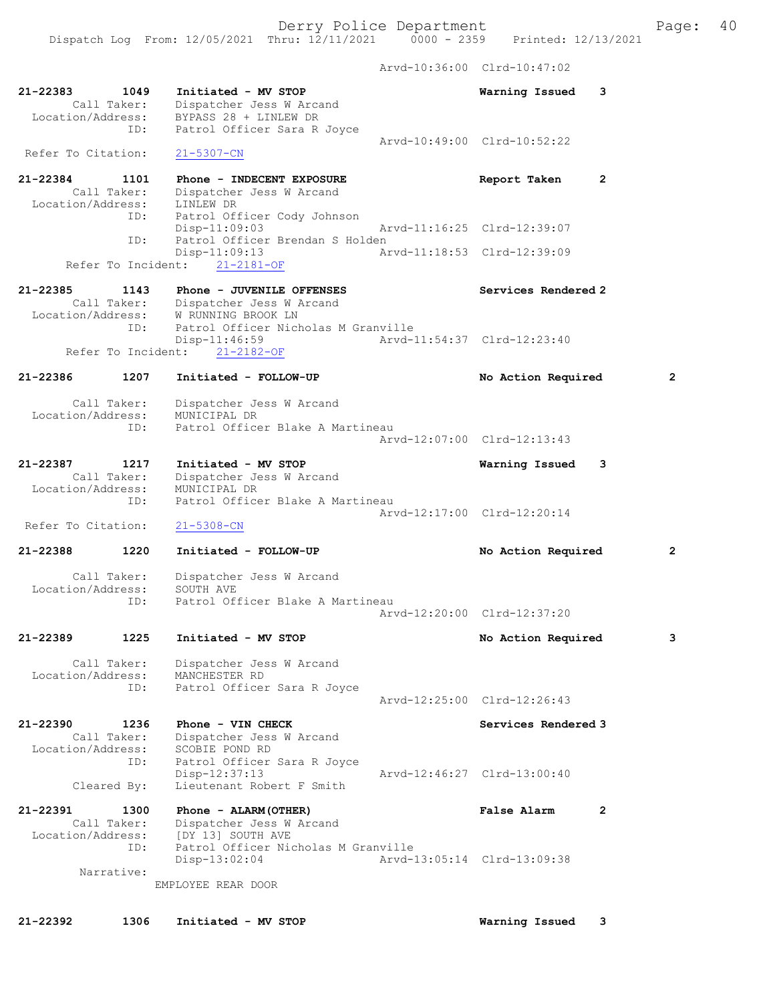Dispatch Log From: 12/05/2021 Thru: 12/11/2021 0000 - 2359 Printed: 12/13/2021 Arvd-10:36:00 Clrd-10:47:02 21-22383 1049 Initiated - MV STOP Warning Issued 3 Call Taker: Dispatcher Jess W Arcand Location/Address: BYPASS 28 + LINLEW DR ID: Patrol Officer Sara R Joyce Arvd-10:49:00 Clrd-10:52:22 Refer To Citation: 21-5307-CN 21-22384 1101 Phone - INDECENT EXPOSURE Report Taken 2 Call Taker: Dispatcher Jess W Arcand Location/Address: LINLEW DR ID: Patrol Officer Cody Johnson<br>Disp-11:09:03 Disp-11:09:03 Arvd-11:16:25 Clrd-12:39:07<br>ID: Patrol Officer Brendan S Holden Patrol Officer Brendan S Holden Disp-11:09:13 Arvd-11:18:53 Clrd-12:39:09 Refer To Incident: 21-2181-OF 21-22385 1143 Phone - JUVENILE OFFENSES Services Rendered 2 Call Taker: Dispatcher Jess W Arcand Location/Address: W RUNNING BROOK LN ID: Patrol Officer Nicholas M Granville Disp-11:46:59 Arvd-11:54:37 Clrd-12:23:40 Refer To Incident: 21-2182-OF 21-22386 1207 Initiated - FOLLOW-UP No Action Required 2 Call Taker: Dispatcher Jess W Arcand Location/Address: MUNICIPAL DR ID: Patrol Officer Blake A Martineau Arvd-12:07:00 Clrd-12:13:43 21-22387 1217 Initiated - MV STOP Warning Issued 3 Call Taker: Dispatcher Jess W Arcand Location/Address: MUNICIPAL DR ID: Patrol Officer Blake A Martineau Arvd-12:17:00 Clrd-12:20:14 Refer To Citation: 21-5308-CN 21-22388 1220 Initiated - FOLLOW-UP No Action Required 2 Call Taker: Dispatcher Jess W Arcand Location/Address: SOUTH AVE ID: Patrol Officer Blake A Martineau Arvd-12:20:00 Clrd-12:37:20 21-22389 1225 Initiated - MV STOP No Action Required 3 Call Taker: Dispatcher Jess W Arcand Location/Address: MANCHESTER RD ID: Patrol Officer Sara R Joyce Arvd-12:25:00 Clrd-12:26:43 21-22390 1236 Phone - VIN CHECK Services Rendered 3 Call Taker: Dispatcher Jess W Arcand Location/Address: SCOBIE POND RD ID: Patrol Officer Sara R Joyce Disp-12:37:13 Arvd-12:46:27 Clrd-13:00:40<br>Cleared By: Lieutenant Robert F Smith Lieutenant Robert F Smith 21-22391 1300 Phone - ALARM(OTHER) False Alarm 2 Call Taker: Dispatcher Jess W Arcand Location/Address: [DY 13] SOUTH AVE ID: Patrol Officer Nicholas M Granville<br>Disp-13:02:04 Arvd-1 Disp-13:02:04 Arvd-13:05:14 Clrd-13:09:38 Narrative: EMPLOYEE REAR DOOR

21-22392 1306 Initiated - MV STOP Warning Issued 3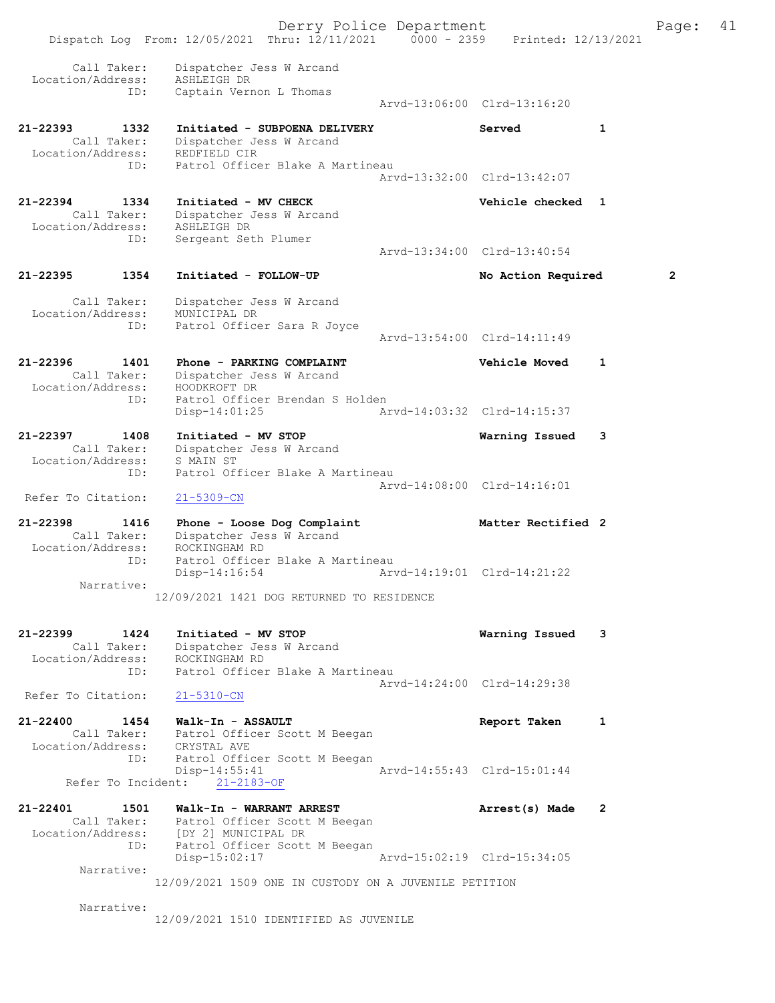| Call Taker:<br>Dispatcher Jess W Arcand<br>Location/Address:<br>ASHLEIGH DR<br>ID:<br>Captain Vernon L Thomas<br>Arvd-13:06:00 Clrd-13:16:20<br>21-22393<br>1332<br>Initiated - SUBPOENA DELIVERY<br>Served<br>1<br>Call Taker:<br>Dispatcher Jess W Arcand<br>Location/Address:<br>REDFIELD CIR<br>Patrol Officer Blake A Martineau<br>ID:<br>Arvd-13:32:00 Clrd-13:42:07<br>21-22394<br>1334<br>Vehicle checked 1<br>Initiated - MV CHECK<br>Call Taker:<br>Dispatcher Jess W Arcand<br>Location/Address:<br>ASHLEIGH DR<br>ID:<br>Sergeant Seth Plumer<br>Arvd-13:34:00 Clrd-13:40:54<br>21-22395<br>1354<br>Initiated - FOLLOW-UP<br>No Action Required<br>Call Taker:<br>Dispatcher Jess W Arcand<br>Location/Address:<br>MUNICIPAL DR<br>Patrol Officer Sara R Joyce<br>ID:<br>Arvd-13:54:00 Clrd-14:11:49<br>21-22396<br>1401<br>Phone - PARKING COMPLAINT<br><b>Vehicle Moved</b><br>1<br>Call Taker:<br>Dispatcher Jess W Arcand<br>Location/Address:<br>HOODKROFT DR | $\mathbf{2}$ |
|--------------------------------------------------------------------------------------------------------------------------------------------------------------------------------------------------------------------------------------------------------------------------------------------------------------------------------------------------------------------------------------------------------------------------------------------------------------------------------------------------------------------------------------------------------------------------------------------------------------------------------------------------------------------------------------------------------------------------------------------------------------------------------------------------------------------------------------------------------------------------------------------------------------------------------------------------------------------------------|--------------|
|                                                                                                                                                                                                                                                                                                                                                                                                                                                                                                                                                                                                                                                                                                                                                                                                                                                                                                                                                                                |              |
|                                                                                                                                                                                                                                                                                                                                                                                                                                                                                                                                                                                                                                                                                                                                                                                                                                                                                                                                                                                |              |
|                                                                                                                                                                                                                                                                                                                                                                                                                                                                                                                                                                                                                                                                                                                                                                                                                                                                                                                                                                                |              |
|                                                                                                                                                                                                                                                                                                                                                                                                                                                                                                                                                                                                                                                                                                                                                                                                                                                                                                                                                                                |              |
|                                                                                                                                                                                                                                                                                                                                                                                                                                                                                                                                                                                                                                                                                                                                                                                                                                                                                                                                                                                |              |
|                                                                                                                                                                                                                                                                                                                                                                                                                                                                                                                                                                                                                                                                                                                                                                                                                                                                                                                                                                                |              |
|                                                                                                                                                                                                                                                                                                                                                                                                                                                                                                                                                                                                                                                                                                                                                                                                                                                                                                                                                                                |              |
|                                                                                                                                                                                                                                                                                                                                                                                                                                                                                                                                                                                                                                                                                                                                                                                                                                                                                                                                                                                |              |
|                                                                                                                                                                                                                                                                                                                                                                                                                                                                                                                                                                                                                                                                                                                                                                                                                                                                                                                                                                                |              |
|                                                                                                                                                                                                                                                                                                                                                                                                                                                                                                                                                                                                                                                                                                                                                                                                                                                                                                                                                                                |              |
|                                                                                                                                                                                                                                                                                                                                                                                                                                                                                                                                                                                                                                                                                                                                                                                                                                                                                                                                                                                |              |
| Patrol Officer Brendan S Holden<br>ID:<br>$Disp-14:01:25$<br>Arvd-14:03:32 Clrd-14:15:37                                                                                                                                                                                                                                                                                                                                                                                                                                                                                                                                                                                                                                                                                                                                                                                                                                                                                       |              |
| 21-22397<br>1408<br>Initiated - MV STOP<br>Warning Issued<br>3                                                                                                                                                                                                                                                                                                                                                                                                                                                                                                                                                                                                                                                                                                                                                                                                                                                                                                                 |              |
| Call Taker:<br>Dispatcher Jess W Arcand<br>Location/Address:<br>S MAIN ST                                                                                                                                                                                                                                                                                                                                                                                                                                                                                                                                                                                                                                                                                                                                                                                                                                                                                                      |              |
| Patrol Officer Blake A Martineau<br>ID:                                                                                                                                                                                                                                                                                                                                                                                                                                                                                                                                                                                                                                                                                                                                                                                                                                                                                                                                        |              |
| Arvd-14:08:00 Clrd-14:16:01<br>Refer To Citation:<br>$21 - 5309 - CN$                                                                                                                                                                                                                                                                                                                                                                                                                                                                                                                                                                                                                                                                                                                                                                                                                                                                                                          |              |
| 21-22398<br>1416<br>Phone - Loose Dog Complaint<br>Matter Rectified 2<br>Call Taker:<br>Dispatcher Jess W Arcand<br>Location/Address:<br>ROCKINGHAM RD                                                                                                                                                                                                                                                                                                                                                                                                                                                                                                                                                                                                                                                                                                                                                                                                                         |              |
| Patrol Officer Blake A Martineau<br>ID:<br>Disp-14:16:54<br>Arvd-14:19:01 Clrd-14:21:22                                                                                                                                                                                                                                                                                                                                                                                                                                                                                                                                                                                                                                                                                                                                                                                                                                                                                        |              |
| Narrative:<br>12/09/2021 1421 DOG RETURNED TO RESIDENCE                                                                                                                                                                                                                                                                                                                                                                                                                                                                                                                                                                                                                                                                                                                                                                                                                                                                                                                        |              |
| 21-22399<br>1424<br>Initiated - MV STOP<br>Warning Issued 3<br>Dispatcher Jess W Arcand<br>Call Taker:<br>Location/Address:<br>ROCKINGHAM RD                                                                                                                                                                                                                                                                                                                                                                                                                                                                                                                                                                                                                                                                                                                                                                                                                                   |              |
| Patrol Officer Blake A Martineau<br>ID:<br>Arvd-14:24:00 Clrd-14:29:38<br>Refer To Citation:<br>$21 - 5310 - CN$                                                                                                                                                                                                                                                                                                                                                                                                                                                                                                                                                                                                                                                                                                                                                                                                                                                               |              |
| 21-22400<br>1454<br>Walk-In - ASSAULT<br>Report Taken<br>1                                                                                                                                                                                                                                                                                                                                                                                                                                                                                                                                                                                                                                                                                                                                                                                                                                                                                                                     |              |
| Call Taker: Patrol Officer Scott M Beegan<br>Location/Address: CRYSTAL AVE                                                                                                                                                                                                                                                                                                                                                                                                                                                                                                                                                                                                                                                                                                                                                                                                                                                                                                     |              |
| Patrol Officer Scott M Beegan<br>ID:<br>$Disp-14:55:41$<br>Arvd-14:55:43 Clrd-15:01:44                                                                                                                                                                                                                                                                                                                                                                                                                                                                                                                                                                                                                                                                                                                                                                                                                                                                                         |              |
| Refer To Incident:<br>21-2183-OF                                                                                                                                                                                                                                                                                                                                                                                                                                                                                                                                                                                                                                                                                                                                                                                                                                                                                                                                               |              |
| 21-22401<br>Walk-In - WARRANT ARREST<br>1501<br>Arrest(s) Made<br>2<br>Call Taker: Patrol Officer Scott M Beegan<br>Location/Address: [DY 2] MUNICIPAL DR<br>ID: Patrol Officer Scott M Beegan                                                                                                                                                                                                                                                                                                                                                                                                                                                                                                                                                                                                                                                                                                                                                                                 |              |
| Arvd-15:02:19 Clrd-15:34:05<br>Disp-15:02:17                                                                                                                                                                                                                                                                                                                                                                                                                                                                                                                                                                                                                                                                                                                                                                                                                                                                                                                                   |              |
| Narrative:<br>12/09/2021 1509 ONE IN CUSTODY ON A JUVENILE PETITION                                                                                                                                                                                                                                                                                                                                                                                                                                                                                                                                                                                                                                                                                                                                                                                                                                                                                                            |              |
| Narrative:                                                                                                                                                                                                                                                                                                                                                                                                                                                                                                                                                                                                                                                                                                                                                                                                                                                                                                                                                                     |              |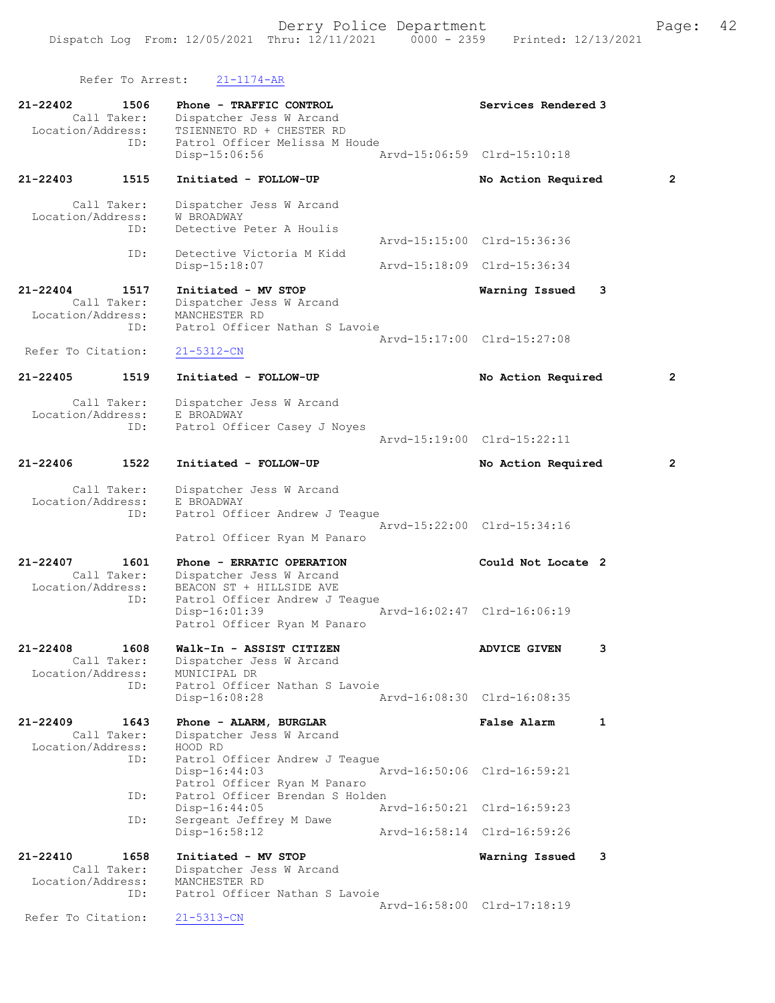```
Refer To Arrest: 21-1174-AR
```

| 21-22402<br>1506<br>Call Taker:<br>Location/Address:<br>ID: | Phone - TRAFFIC CONTROL<br>Dispatcher Jess W Arcand<br>TSIENNETO RD + CHESTER RD<br>Patrol Officer Melissa M Houde | Services Rendered 3                  |
|-------------------------------------------------------------|--------------------------------------------------------------------------------------------------------------------|--------------------------------------|
|                                                             | Disp-15:06:56                                                                                                      | Arvd-15:06:59 Clrd-15:10:18          |
| $21 - 22403$<br>1515                                        | Initiated - FOLLOW-UP                                                                                              | $\overline{2}$<br>No Action Required |
| Call Taker:<br>Location/Address:<br>ID:                     | Dispatcher Jess W Arcand<br>W BROADWAY                                                                             |                                      |
|                                                             | Detective Peter A Houlis                                                                                           | Arvd-15:15:00 Clrd-15:36:36          |
| ID:                                                         | Detective Victoria M Kidd<br>Disp-15:18:07                                                                         | Arvd-15:18:09 Clrd-15:36:34          |
| 21-22404<br>1517                                            | Initiated - MV STOP                                                                                                | Warning Issued<br>3                  |
| Call Taker:<br>Location/Address:<br>ID:                     | Dispatcher Jess W Arcand<br>MANCHESTER RD<br>Patrol Officer Nathan S Lavoie                                        |                                      |
| Refer To Citation:                                          | $21 - 5312 - CN$                                                                                                   | Arvd-15:17:00 Clrd-15:27:08          |
| 21-22405<br>1519                                            | Initiated - FOLLOW-UP                                                                                              | $\mathbf{2}$<br>No Action Required   |
| Call Taker:<br>Location/Address:<br>ID:                     | Dispatcher Jess W Arcand<br>E BROADWAY<br>Patrol Officer Casey J Noyes                                             |                                      |
|                                                             |                                                                                                                    | Arvd-15:19:00 Clrd-15:22:11          |
| $21 - 22406$<br>1522                                        | Initiated - FOLLOW-UP                                                                                              | No Action Required<br>$\overline{2}$ |
| Call Taker:<br>Location/Address:<br>ID:                     | Dispatcher Jess W Arcand<br>E BROADWAY<br>Patrol Officer Andrew J Teaque                                           |                                      |
|                                                             | Patrol Officer Ryan M Panaro                                                                                       | Arvd-15:22:00 Clrd-15:34:16          |
| 21-22407<br>1601<br>Call Taker:<br>Location/Address:        | Phone - ERRATIC OPERATION<br>Dispatcher Jess W Arcand<br>BEACON ST + HILLSIDE AVE                                  | Could Not Locate 2                   |
| ID:                                                         | Patrol Officer Andrew J Teaque<br>Disp-16:01:39<br>Patrol Officer Ryan M Panaro                                    | Arvd-16:02:47 Clrd-16:06:19          |
| $21 - 22408$<br>1608<br>Call Taker:<br>Location/Address:    | Walk-In - ASSIST CITIZEN<br>Dispatcher Jess W Arcand<br>MUNICIPAL DR                                               | 3<br><b>ADVICE GIVEN</b>             |
| ID:                                                         | Patrol Officer Nathan S Lavoie<br>Disp-16:08:28                                                                    | Arvd-16:08:30 Clrd-16:08:35          |
| 21-22409<br>1643<br>Call Taker:<br>Location/Address:        | Phone - ALARM, BURGLAR<br>Dispatcher Jess W Arcand<br>HOOD RD                                                      | <b>False Alarm</b><br>$\mathbf{1}$   |
| ID:                                                         | Patrol Officer Andrew J Teague<br>Disp-16:44:03<br>Patrol Officer Ryan M Panaro                                    | Arvd-16:50:06 Clrd-16:59:21          |
| ID:                                                         | Patrol Officer Brendan S Holden<br>$Disp-16:44:05$                                                                 | Arvd-16:50:21 Clrd-16:59:23          |
| ID:                                                         | Sergeant Jeffrey M Dawe<br>$Disp-16:58:12$                                                                         | Arvd-16:58:14 Clrd-16:59:26          |
| 21-22410<br>1658<br>Call Taker:<br>Location/Address:        | Initiated - MV STOP<br>Dispatcher Jess W Arcand<br>MANCHESTER RD                                                   | Warning Issued<br>3                  |
| ID:                                                         | Patrol Officer Nathan S Lavoie                                                                                     | Arvd-16:58:00 Clrd-17:18:19          |
| Refer To Citation:                                          | $21 - 5313 - CN$                                                                                                   |                                      |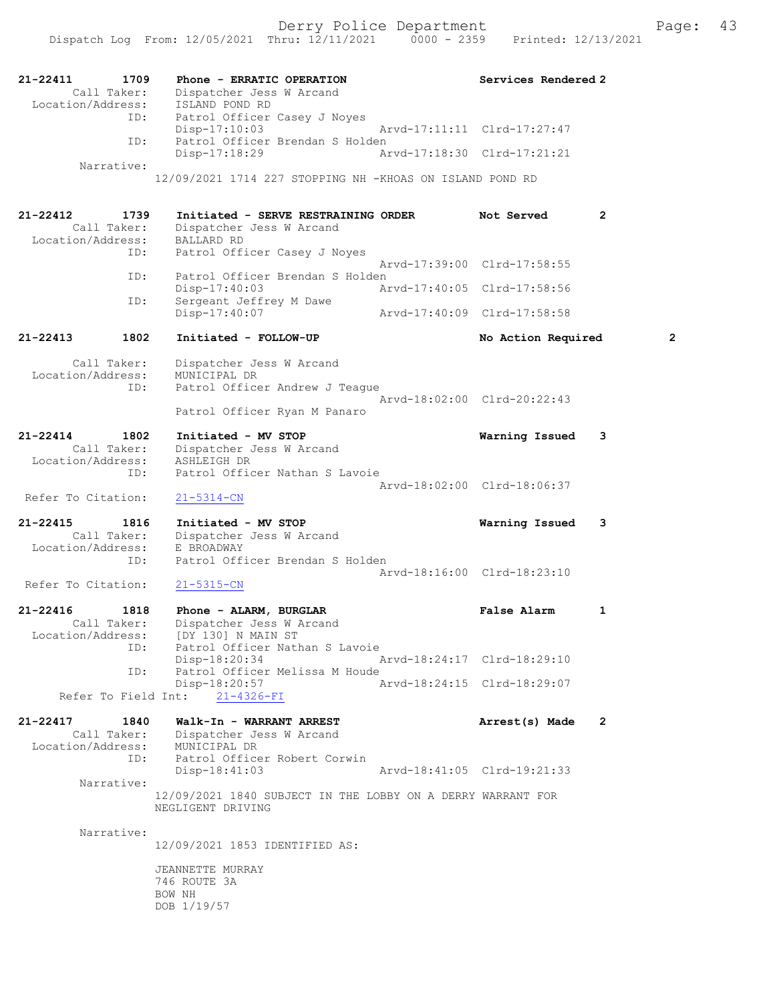21-22411 1709 Phone - ERRATIC OPERATION Services Rendered 2 Call Taker: Dispatcher Jess W Arcand Location/Address: ISLAND POND RD ID: Patrol Officer Casey J Noyes Disp-17:10:03 Arvd-17:11:11 Clrd-17:27:47 ID: Patrol Officer Brendan S Holden Disp-17:18:29 Arvd-17:18:30 Clrd-17:21:21 Narrative: 12/09/2021 1714 227 STOPPING NH -KHOAS ON ISLAND POND RD 21-22412 1739 Initiated - SERVE RESTRAINING ORDER Not Served 2 Call Taker: Dispatcher Jess W Arcand Location/Address: BALLARD RD ID: Patrol Officer Casey J Noyes Arvd-17:39:00 Clrd-17:58:55 ID: Patrol Officer Brendan S Holden<br>Disp-17:40:03 Ar Disp-17:40:03 Arvd-17:40:05 Clrd-17:58:56<br>ID: Sergeant Jeffrey M Dawe Disp-17.40.00<br>Sergeant Jeffrey M Dawe<br>Disp-17:40:07 Disp-17:40:07 Arvd-17:40:09 Clrd-17:58:58 21-22413 1802 Initiated - FOLLOW-UP No Action Required 2 Call Taker: Dispatcher Jess W Arcand Location/Address: MUNICIPAL DR ID: Patrol Officer Andrew J Teague Arvd-18:02:00 Clrd-20:22:43 Patrol Officer Ryan M Panaro 21-22414 1802 Initiated - MV STOP Warning Issued 3 Call Taker: Dispatcher Jess W Arcand Location/Address: ASHLEIGH DR ID: Patrol Officer Nathan S Lavoie Arvd-18:02:00 Clrd-18:06:37 Refer To Citation: 21-5314-CN 21-22415 1816 Initiated - MV STOP Warning Issued 3 Call Taker: Dispatcher Jess W Arcand Location/Address: E BROADWAY ID: Patrol Officer Brendan S Holden Arvd-18:16:00 Clrd-18:23:10<br>21-5315-CN Refer To Citation: 21-22416 1818 Phone - ALARM, BURGLAR False Alarm 1 Call Taker: Dispatcher Jess W Arcand Location/Address: [DY 130] N MAIN ST ID: Patrol Officer Nathan S Lavoie Disp-18:20:34 Arvd-18:24:17 Clrd-18:29:10 ID: Patrol Officer Melissa M Houde<br>Disp-18:20:57 A Disp-18:20:57 Arvd-18:24:15 Clrd-18:29:07 Refer To Field Int: 21-4326-FI 21-22417 1840 Walk-In - WARRANT ARREST Arrest(s) Made 2 Call Taker: Dispatcher Jess W Arcand Location/Address: MUNICIPAL DR ID: Patrol Officer Robert Corwin<br>Disp-18:41:03 Arvd-18:41:05 Clrd-19:21:33 Disp-18:41:03 Narrative: 12/09/2021 1840 SUBJECT IN THE LOBBY ON A DERRY WARRANT FOR NEGLIGENT DRIVING Narrative: 12/09/2021 1853 IDENTIFIED AS: JEANNETTE MURRAY 746 ROUTE 3A BOW NH DOB 1/19/57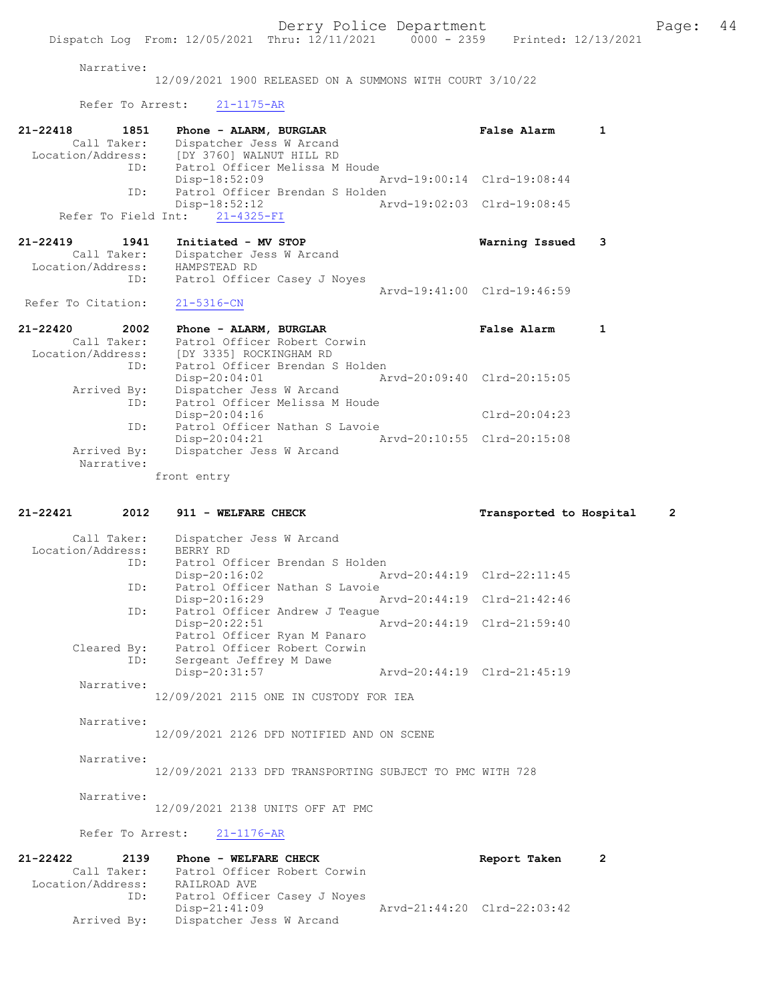#### Narrative:

12/09/2021 1900 RELEASED ON A SUMMONS WITH COURT 3/10/22

### Refer To Arrest: 21-1175-AR

| Warning Issued 3 |
|------------------|
|                  |
|                  |
|                  |
|                  |
|                  |
|                  |
| 1                |
|                  |
|                  |
|                  |

 Arrived By: Dispatcher Jess W Arcand Narrative:

front entry

# 21-22421 2012 911 - WELFARE CHECK Transported to Hospital 2 Call Taker: Dispatcher Jess W Arcand<br>ion/Address: BERRY RD Location/Address:<br>ID: Patrol Officer Brendan S Holden<br>Disp-20:16:02 A Disp-20:16:02 Arvd-20:44:19 Clrd-22:11:45<br>ID: Patrol Officer Nathan S Lavoie Patrol Officer Nathan S Lavoie<br>Disp-20:16:29 7 Disp-20:16:29 Arvd-20:44:19 Clrd-21:42:46<br>ID: Patrol Officer Andrew J Teague Patrol Officer Andrew J Teague<br>Disp-20:22:51 Disp-20:22:51 Arvd-20:44:19 Clrd-21:59:40 Patrol Officer Ryan M Panaro Cleared By: Patrol Officer Robert Corwin ID: Sergeant Jeffrey M Dawe Disp-20:31:57 Arvd-20:44:19 Clrd-21:45:19 Narrative: 12/09/2021 2115 ONE IN CUSTODY FOR IEA Narrative: 12/09/2021 2126 DFD NOTIFIED AND ON SCENE Narrative: 12/09/2021 2133 DFD TRANSPORTING SUBJECT TO PMC WITH 728 Narrative: 12/09/2021 2138 UNITS OFF AT PMC Refer To Arrest: 21-1176-AR 21-22422 2139 Phone - WELFARE CHECK 2 Report Taken 2 Call Taker: Patrol Officer Robert Corwin Location/Address: RAILROAD AVE<br>ID: Patrol Office Patrol Officer Casey J Noyes<br>Disp-21:41:09

Disp-21:41:09<br>Arrived By: Dispatcher Jess W Arcand<br>Arrived By: Dispatcher Jess W Arcand

Dispatcher Jess W Arcand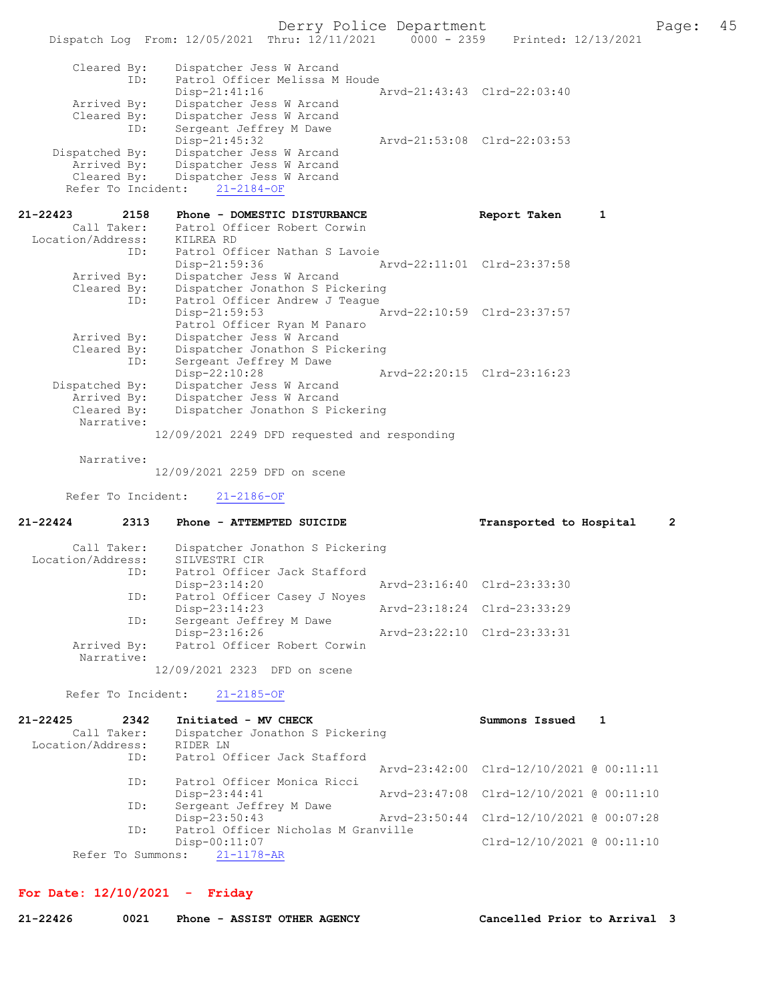|                    |      |                              | Dispatch Log From: 12/05/2021 Thru: 12/11/2021 | $0000 - 2359$ |                             | Printed: 12/13/2021 |
|--------------------|------|------------------------------|------------------------------------------------|---------------|-----------------------------|---------------------|
| Cleared By:        |      | Dispatcher Jess W Arcand     |                                                |               |                             |                     |
|                    | ID:  |                              | Patrol Officer Melissa M Houde                 |               |                             |                     |
|                    |      | $Disp-21:41:16$              |                                                |               | Arvd-21:43:43 Clrd-22:03:40 |                     |
| Arrived By:        |      | Dispatcher Jess W Arcand     |                                                |               |                             |                     |
| Cleared By:        |      | Dispatcher Jess W Arcand     |                                                |               |                             |                     |
|                    | ID:  | Sergeant Jeffrey M Dawe      |                                                |               |                             |                     |
|                    |      | Disp-21:45:32                |                                                |               | Arvd-21:53:08 Clrd-22:03:53 |                     |
| Dispatched By:     |      | Dispatcher Jess W Arcand     |                                                |               |                             |                     |
| Arrived By:        |      | Dispatcher Jess W Arcand     |                                                |               |                             |                     |
| Cleared By:        |      | Dispatcher Jess W Arcand     |                                                |               |                             |                     |
| Refer To Incident: |      | $21 - 2184 - OF$             |                                                |               |                             |                     |
| 21-22423           | 2158 |                              | Phone - DOMESTIC DISTURBANCE                   |               | Report Taken                | 1                   |
| Call Taker:        |      |                              | Patrol Officer Robert Corwin                   |               |                             |                     |
| Location/Address:  |      | KILREA RD                    |                                                |               |                             |                     |
|                    | ID:  |                              | Patrol Officer Nathan S Lavoie                 |               |                             |                     |
|                    |      | Disp-21:59:36                |                                                |               | Arvd-22:11:01 Clrd-23:37:58 |                     |
| Arrived By:        |      | Dispatcher Jess W Arcand     |                                                |               |                             |                     |
| Cleared By:        |      |                              | Dispatcher Jonathon S Pickering                |               |                             |                     |
|                    | ID:  |                              | Patrol Officer Andrew J Teague                 |               |                             |                     |
|                    |      | Disp-21:59:53                |                                                |               | Arvd-22:10:59 Clrd-23:37:57 |                     |
|                    |      |                              | Patrol Officer Ryan M Panaro                   |               |                             |                     |
| Arrived By:        |      | Dispatcher Jess W Arcand     |                                                |               |                             |                     |
| Cleared By:        |      |                              | Dispatcher Jonathon S Pickering                |               |                             |                     |
|                    | ID:  | Sergeant Jeffrey M Dawe      |                                                |               |                             |                     |
|                    |      | Disp-22:10:28                |                                                |               | Arvd-22:20:15 Clrd-23:16:23 |                     |
| Dispatched By:     |      | Dispatcher Jess W Arcand     |                                                |               |                             |                     |
| Arrived By:        |      | Dispatcher Jess W Arcand     |                                                |               |                             |                     |
| Cleared By:        |      |                              | Dispatcher Jonathon S Pickering                |               |                             |                     |
| Narrative:         |      |                              |                                                |               |                             |                     |
|                    |      |                              | 12/09/2021 2249 DFD requested and responding   |               |                             |                     |
| Narrative:         |      |                              |                                                |               |                             |                     |
|                    |      | 12/09/2021 2259 DFD on scene |                                                |               |                             |                     |
| Refer To Incident: |      | $21 - 2186 - OF$             |                                                |               |                             |                     |

| Call Taker:<br>Location/Address:<br>ID: | Dispatcher Jonathon S Pickering<br>SILVESTRI CIR<br>Patrol Officer Jack Stafford |                             |  |
|-----------------------------------------|----------------------------------------------------------------------------------|-----------------------------|--|
|                                         | $Disp-23:14:20$                                                                  | Arvd-23:16:40 Clrd-23:33:30 |  |
| ID:                                     | Patrol Officer Casey J Noyes                                                     |                             |  |
|                                         | Disp-23:14:23                                                                    | Arvd-23:18:24 Clrd-23:33:29 |  |
| ID:                                     | Sergeant Jeffrey M Dawe                                                          |                             |  |
|                                         | Disp-23:16:26                                                                    | Arvd-23:22:10 Clrd-23:33:31 |  |
| Arrived By:<br>Narrative:               | Patrol Officer Robert Corwin                                                     |                             |  |
|                                         | 12/09/2021 2323 DFD on scene                                                     |                             |  |

21-22424 2313 Phone - ATTEMPTED SUICIDE Transported to Hospital 2

Refer To Incident: 21-2185-OF

| 21-22425          | 2342        | Initiated - MV CHECK                | Summons Issued 1                         |  |
|-------------------|-------------|-------------------------------------|------------------------------------------|--|
|                   | Call Taker: | Dispatcher Jonathon S Pickering     |                                          |  |
| Location/Address: |             | RIDER LN                            |                                          |  |
|                   | ID:         | Patrol Officer Jack Stafford        |                                          |  |
|                   |             |                                     | Arvd-23:42:00 Clrd-12/10/2021 @ 00:11:11 |  |
|                   | ID:         | Patrol Officer Monica Ricci         |                                          |  |
|                   |             | $Disp-23:44:41$                     | Arvd-23:47:08 Clrd-12/10/2021 @ 00:11:10 |  |
|                   | ID:         | Sergeant Jeffrey M Dawe             |                                          |  |
|                   |             | $Disp-23:50:43$                     | Arvd-23:50:44 Clrd-12/10/2021 @ 00:07:28 |  |
|                   | ID:         | Patrol Officer Nicholas M Granville |                                          |  |
|                   |             | Disp-00:11:07                       | Clrd-12/10/2021 @ 00:11:10               |  |
|                   |             | Refer To Summons: 21-1178-AR        |                                          |  |

## For Date: 12/10/2021 - Friday

21-22426 0021 Phone - ASSIST OTHER AGENCY Cancelled Prior to Arrival 3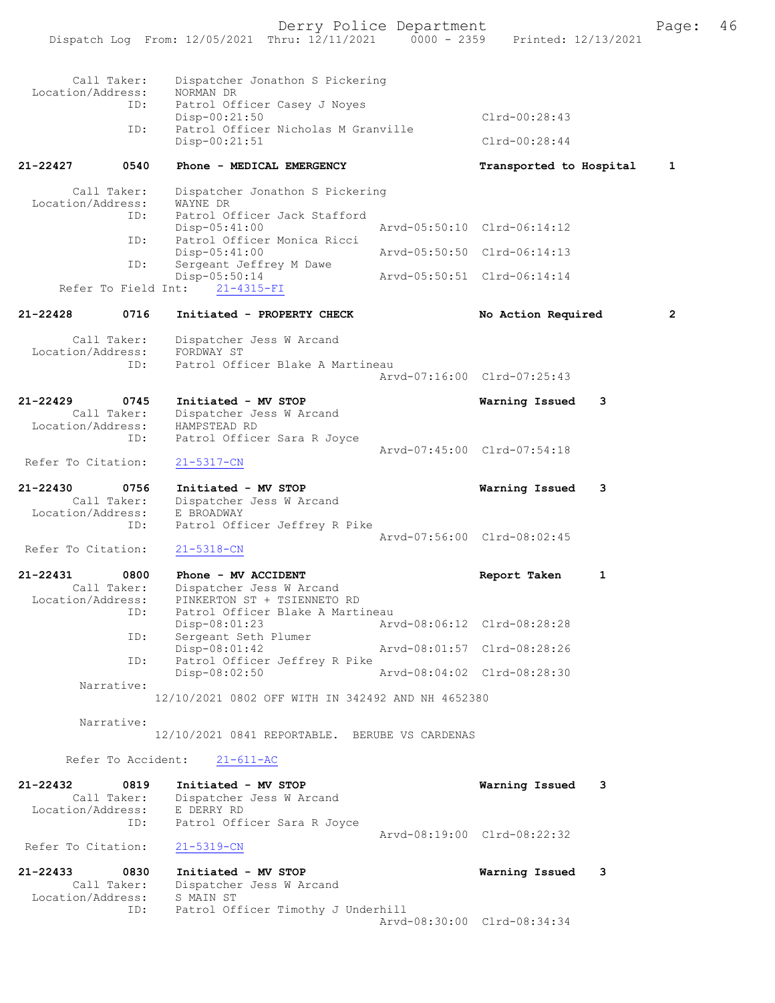| Location/Address:  | Call Taker:<br>ID:  | Dispatcher Jonathon S Pickering<br>NORMAN DR           |                             |   |   |
|--------------------|---------------------|--------------------------------------------------------|-----------------------------|---|---|
|                    |                     | Patrol Officer Casey J Noyes<br>$Disp-00:21:50$        | $Clrd-00:28:43$             |   |   |
|                    | ID:                 | Patrol Officer Nicholas M Granville<br>$Disp-00:21:51$ | $Clrd-00:28:44$             |   |   |
| 21-22427           | 0540                | Phone - MEDICAL EMERGENCY                              | Transported to Hospital     |   | 1 |
|                    | Call Taker:         | Dispatcher Jonathon S Pickering                        |                             |   |   |
| Location/Address:  | ID:                 | WAYNE DR<br>Patrol Officer Jack Stafford               |                             |   |   |
|                    | ID:                 | $Disp-05:41:00$<br>Patrol Officer Monica Ricci         | Arvd-05:50:10 Clrd-06:14:12 |   |   |
|                    |                     | $Disp-05:41:00$                                        | Arvd-05:50:50 Clrd-06:14:13 |   |   |
|                    | ID:                 | Sergeant Jeffrey M Dawe<br>Disp-05:50:14               | Arvd-05:50:51 Clrd-06:14:14 |   |   |
|                    | Refer To Field Int: | $21 - 4315 - FI$                                       |                             |   |   |
| 21-22428           | 0716                | Initiated - PROPERTY CHECK                             | No Action Required          |   | 2 |
| Location/Address:  | Call Taker:         | Dispatcher Jess W Arcand<br>FORDWAY ST                 |                             |   |   |
|                    | ID:                 | Patrol Officer Blake A Martineau                       |                             |   |   |
|                    |                     |                                                        | Aryd-07:16:00 Clrd-07:25:43 |   |   |
| 21-22429           | 0745                | Initiated - MV STOP                                    | Warning Issued              | 3 |   |
| Location/Address:  | Call Taker:         | Dispatcher Jess W Arcand<br>HAMPSTEAD RD               |                             |   |   |
|                    | ID:                 | Patrol Officer Sara R Joyce                            |                             |   |   |
| Refer To Citation: |                     | $21 - 5317 - CN$                                       | Arvd-07:45:00 Clrd-07:54:18 |   |   |
| 21-22430           | 0756                | Initiated - MV STOP                                    | Warning Issued              | 3 |   |
| Location/Address:  | Call Taker:         | Dispatcher Jess W Arcand<br>E BROADWAY                 |                             |   |   |
|                    | ID:                 | Patrol Officer Jeffrey R Pike                          |                             |   |   |
| Refer To Citation: |                     | $21 - 5318 - CN$                                       | Arvd-07:56:00 Clrd-08:02:45 |   |   |
|                    |                     |                                                        |                             |   |   |
| 21-22431           | 0800<br>Call Taker: | Phone - MV ACCIDENT<br>Dispatcher Jess W Arcand        | Report Taken                | 1 |   |
| Location/Address:  |                     | PINKERTON ST + TSIENNETO RD                            |                             |   |   |
|                    | ID:                 | Patrol Officer Blake A Martineau<br>Disp-08:01:23      | Arvd-08:06:12 Clrd-08:28:28 |   |   |
|                    | ID:                 | Sergeant Seth Plumer                                   |                             |   |   |
|                    | ID:                 | Disp-08:01:42<br>Patrol Officer Jeffrey R Pike         | Arvd-08:01:57 Clrd-08:28:26 |   |   |
|                    | Narrative:          | Disp-08:02:50                                          | Arvd-08:04:02 Clrd-08:28:30 |   |   |
|                    |                     | 12/10/2021 0802 OFF WITH IN 342492 AND NH 4652380      |                             |   |   |
|                    | Narrative:          |                                                        |                             |   |   |
|                    |                     | 12/10/2021 0841 REPORTABLE. BERUBE VS CARDENAS         |                             |   |   |
|                    | Refer To Accident:  | $21 - 611 - AC$                                        |                             |   |   |
| 21-22432           | 0819                | Initiated - MV STOP                                    | Warning Issued              | 3 |   |
| Location/Address:  | Call Taker:         | Dispatcher Jess W Arcand<br>E DERRY RD                 |                             |   |   |
|                    | ID:                 | Patrol Officer Sara R Joyce                            |                             |   |   |
| Refer To Citation: |                     | $21 - 5319 - CN$                                       | Arvd-08:19:00 Clrd-08:22:32 |   |   |
| 21-22433           | 0830                | Initiated - MV STOP                                    | Warning Issued              | 3 |   |
| Location/Address:  | Call Taker:         | Dispatcher Jess W Arcand<br>S MAIN ST                  |                             |   |   |
|                    | ID:                 | Patrol Officer Timothy J Underhill                     |                             |   |   |
|                    |                     |                                                        | Arvd-08:30:00 Clrd-08:34:34 |   |   |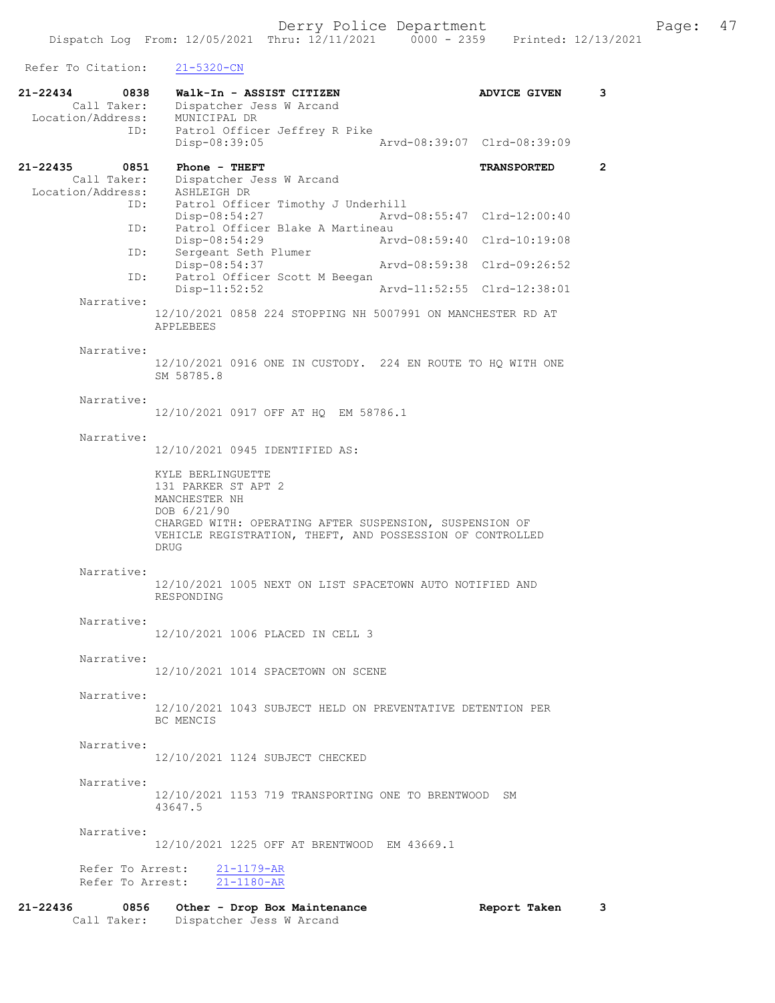Refer To Citation: 21-5320-CN 21-22434 0838 Walk-In - ASSIST CITIZEN ADVICE GIVEN 3 Call Taker: Dispatcher Jess W Arcand Location/Address: MUNICIPAL DR ID: Patrol Officer Jeffrey R Pike Disp-08:39:05 Arvd-08:39:07 Clrd-08:39:09 21-22435 0851 Phone - THEFT TRANSPORTED 2 Call Taker: Dispatcher Jess W Arcand Call Taker: Dispatcher J<br>Location/Address: ASHLEIGH DR ID: Patrol Officer Timothy J Underhill<br>Disp-08:54:27 Arvd Disp-08:54:27 Arvd-08:55:47 Clrd-12:00:40<br>ID: Patrol Officer Blake A Martineau Patrol Officer Blake A Martineau<br>Disp-08:54:29 Art Arvd-08:59:40 Clrd-10:19:08 ID: Sergeant Seth Plumer<br>Disp-08:54:37 Disp-08:54:37 Arvd-08:59:38 Clrd-09:26:52<br>TD: Patrol Officer Scott M Beegan Patrol Officer Scott M Beegan<br>Disp-11:52:52 Arvd-11:52:55 Clrd-12:38:01 Narrative: 12/10/2021 0858 224 STOPPING NH 5007991 ON MANCHESTER RD AT APPLEBEES Narrative: 12/10/2021 0916 ONE IN CUSTODY. 224 EN ROUTE TO HQ WITH ONE SM 58785.8 Narrative: 12/10/2021 0917 OFF AT HQ EM 58786.1 Narrative: 12/10/2021 0945 IDENTIFIED AS: KYLE BERLINGUETTE 131 PARKER ST APT 2 MANCHESTER NH DOB 6/21/90 CHARGED WITH: OPERATING AFTER SUSPENSION, SUSPENSION OF VEHICLE REGISTRATION, THEFT, AND POSSESSION OF CONTROLLED DRUG Narrative: 12/10/2021 1005 NEXT ON LIST SPACETOWN AUTO NOTIFIED AND RESPONDING Narrative: 12/10/2021 1006 PLACED IN CELL 3 Narrative: 12/10/2021 1014 SPACETOWN ON SCENE Narrative: 12/10/2021 1043 SUBJECT HELD ON PREVENTATIVE DETENTION PER BC MENCIS Narrative: 12/10/2021 1124 SUBJECT CHECKED Narrative: 12/10/2021 1153 719 TRANSPORTING ONE TO BRENTWOOD SM 43647.5 Narrative: 12/10/2021 1225 OFF AT BRENTWOOD EM 43669.1 Refer To Arrest: 21-1179-AR Refer To Arrest: 21-1180-AR 21-22436 0856 Other - Drop Box Maintenance 3<br>Call Taker: Dispatcher Jess W Arcand Dispatcher Jess W Arcand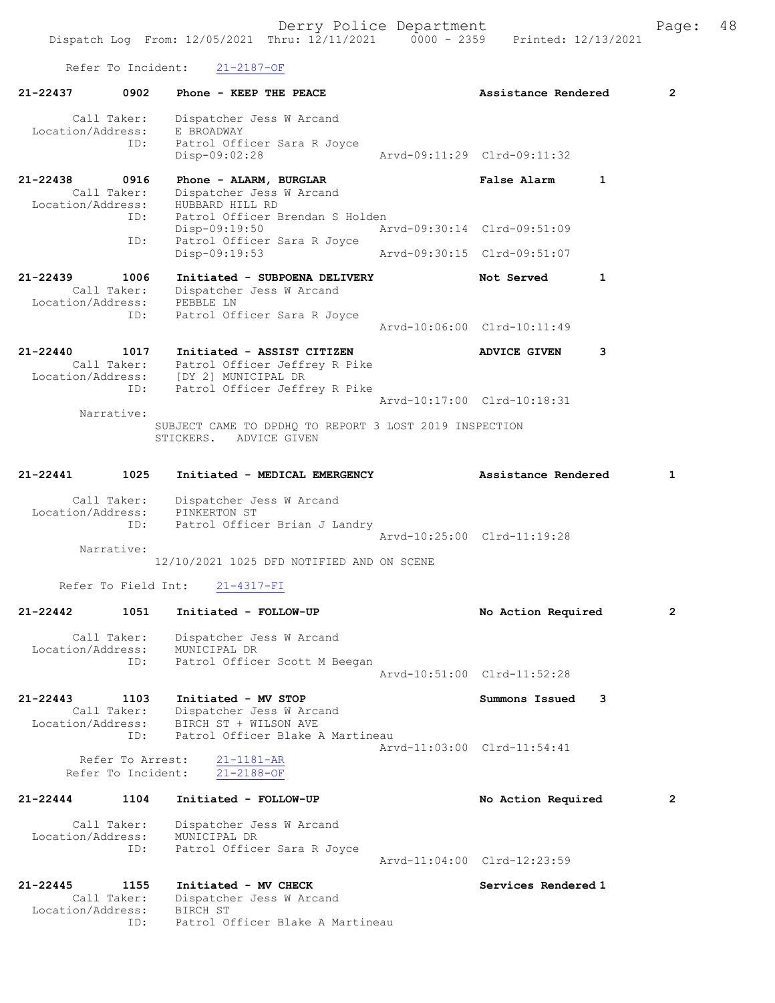Derry Police Department Fage: 48

 Refer To Incident: 21-2187-OF 21-22437 0902 Phone - KEEP THE PEACE 2 Assistance Rendered 2 Call Taker: Dispatcher Jess W Arcand Location/Address: E BROADWAY<br>ID: Patrol Offi Patrol Officer Sara R Joyce<br>Disp-09:02:28 Disp-09:02:28 Arvd-09:11:29 Clrd-09:11:32 21-22438 0916 Phone - ALARM, BURGLAR False Alarm 1 Call Taker: Dispatcher Jess W Arcand Location/Address: HUBBARD HILL RD ID: Patrol Officer Brendan S Holden<br>Disp-09:19:50 Ar Disp-09:19:50 Arvd-09:30:14 Clrd-09:51:09 ID: Patrol Officer Sara R Joyce Disp-09:19:53 Arvd-09:30:15 Clrd-09:51:07 21-22439 1006 Initiated - SUBPOENA DELIVERY Not Served 1 Call Taker: Dispatcher Jess W Arcand<br>ion/Address: PEBBLE LN Location/Address:<br>ID: Patrol Officer Sara R Joyce Arvd-10:06:00 Clrd-10:11:49 21-22440 1017 Initiated - ASSIST CITIZEN ADVICE GIVEN 3 Call Taker: Patrol Officer Jeffrey R Pike Location/Address: [DY 2] MUNICIPAL DR ID: Patrol Officer Jeffrey R Pike Arvd-10:17:00 Clrd-10:18:31 Narrative: SUBJECT CAME TO DPDHQ TO REPORT 3 LOST 2019 INSPECTION STICKERS. ADVICE GIVEN 21-22441 1025 Initiated - MEDICAL EMERGENCY Assistance Rendered 1 Call Taker: Dispatcher Jess W Arcand Location/Address: PINKERTON ST ID: Patrol Officer Brian J Landry Arvd-10:25:00 Clrd-11:19:28 Narrative: 12/10/2021 1025 DFD NOTIFIED AND ON SCENE Refer To Field Int: 21-4317-FI 21-22442 1051 Initiated - FOLLOW-UP No Action Required 2 Call Taker: Dispatcher Jess W Arcand Location/Address: MUNICIPAL DR ID: Patrol Officer Scott M Beegan Arvd-10:51:00 Clrd-11:52:28 21-22443 1103 Initiated - MV STOP Summons Issued 3 Call Taker: Dispatcher Jess W Arcand Location/Address: BIRCH ST + WILSON AVE ID: Patrol Officer Blake A Martineau Arvd-11:03:00 Clrd-11:54:41<br>21-1181-AR Refer To Arrest: Refer To Incident: 21-2188-OF 21-22444 1104 Initiated - FOLLOW-UP No Action Required 2 Call Taker: Dispatcher Jess W Arcand Location/Address: MUNICIPAL DR ID: Patrol Officer Sara R Joyce Arvd-11:04:00 Clrd-12:23:59 21-22445 1155 Initiated - MV CHECK Services Rendered 1 Call Taker: Dispatcher Jess W Arcand Location/Address: BIRCH ST ID: Patrol Officer Blake A Martineau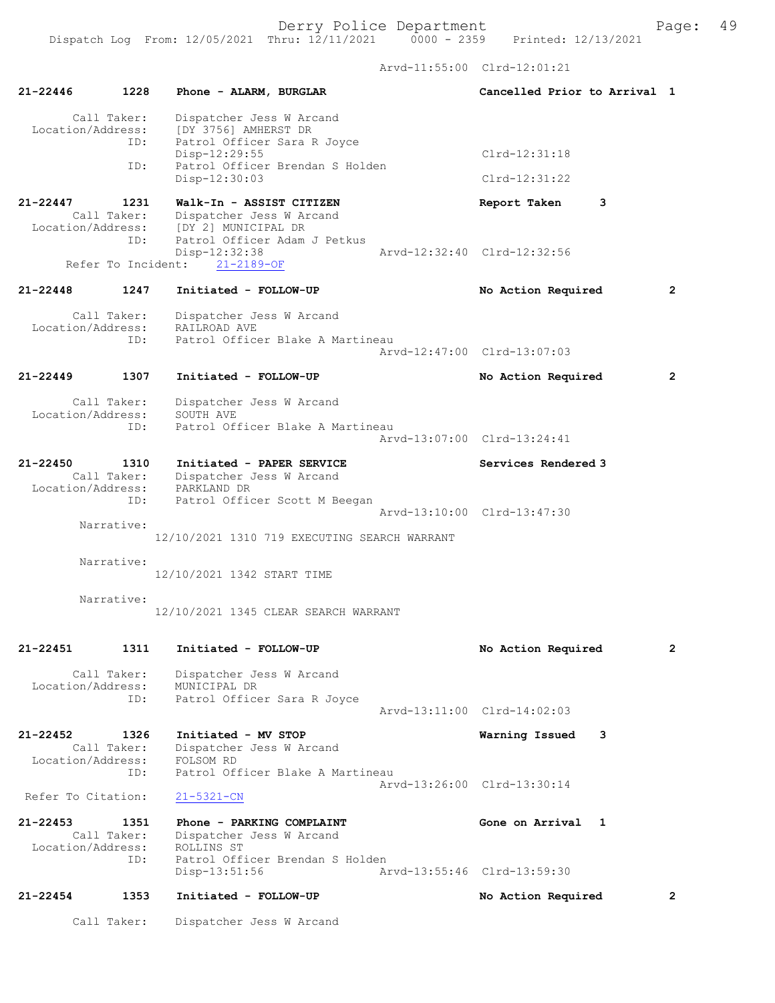Arvd-11:55:00 Clrd-12:01:21

| $21 - 22446$                      | 1228                       | Phone - ALARM, BURGLAR                                                                                                                    | Cancelled Prior to Arrival 1                     |                |
|-----------------------------------|----------------------------|-------------------------------------------------------------------------------------------------------------------------------------------|--------------------------------------------------|----------------|
| Location/Address:                 | Call Taker:<br>ID:         | Dispatcher Jess W Arcand<br>[DY 3756] AMHERST DR<br>Patrol Officer Sara R Joyce                                                           |                                                  |                |
|                                   | ID:                        | Disp-12:29:55<br>Patrol Officer Brendan S Holden                                                                                          | Clrd-12:31:18                                    |                |
|                                   |                            | Disp-12:30:03                                                                                                                             | $Clrd-12:31:22$                                  |                |
| 21-22447                          | 1231<br>ID:                | Walk-In - ASSIST CITIZEN<br>Call Taker: Dispatcher Jess W Arcand<br>Location/Address: [DY 2] MUNICIPAL DR<br>Patrol Officer Adam J Petkus | 3<br>Report Taken                                |                |
|                                   |                            | Disp-12:32:38<br>Arvd-12:32:40 Clrd-12:32:56<br>Refer To Incident:<br>$21 - 2189 - OF$                                                    |                                                  |                |
| $21 - 22448$                      | 1247                       | Initiated - FOLLOW-UP                                                                                                                     | No Action Required                               | $\mathbf{2}$   |
| Location/Address:                 | Call Taker:<br>ID:         | Dispatcher Jess W Arcand<br>RAILROAD AVE<br>Patrol Officer Blake A Martineau                                                              |                                                  |                |
|                                   |                            |                                                                                                                                           | Arvd-12:47:00 Clrd-13:07:03                      |                |
| 21-22449                          | 1307                       | Initiated - FOLLOW-UP                                                                                                                     | No Action Required                               | $\mathbf{2}$   |
| Location/Address:                 | Call Taker:                | Dispatcher Jess W Arcand<br>SOUTH AVE                                                                                                     |                                                  |                |
|                                   | ID:                        | Patrol Officer Blake A Martineau                                                                                                          | Arvd-13:07:00 Clrd-13:24:41                      |                |
| 21-22450                          | 1310                       | Initiated - PAPER SERVICE<br>Call Taker: Dispatcher Jess W Arcand<br>Location/Address: PARKLAND DR                                        | Services Rendered 3                              |                |
|                                   | ID:                        | Patrol Officer Scott M Beegan                                                                                                             | Arvd-13:10:00 Clrd-13:47:30                      |                |
|                                   | Narrative:                 | 12/10/2021 1310 719 EXECUTING SEARCH WARRANT                                                                                              |                                                  |                |
|                                   | Narrative:                 |                                                                                                                                           |                                                  |                |
|                                   |                            | 12/10/2021 1342 START TIME                                                                                                                |                                                  |                |
|                                   | Narrative:                 | 12/10/2021 1345 CLEAR SEARCH WARRANT                                                                                                      |                                                  |                |
| 21-22451                          | 1311                       | Initiated - FOLLOW-UP                                                                                                                     | No Action Required                               |                |
| Location/Address:                 | Call Taker:                | Dispatcher Jess W Arcand<br>MUNICIPAL DR                                                                                                  |                                                  |                |
|                                   | ID:                        | Patrol Officer Sara R Joyce                                                                                                               | Arvd-13:11:00 Clrd-14:02:03                      |                |
| 21-22452                          | 1326                       | Initiated - MV STOP                                                                                                                       | Warning Issued 3                                 |                |
| Location/Address:                 | Call Taker:                | Dispatcher Jess W Arcand<br>FOLSOM RD                                                                                                     |                                                  |                |
|                                   | ID:                        | Patrol Officer Blake A Martineau                                                                                                          | Arvd-13:26:00 Clrd-13:30:14                      |                |
| Refer To Citation:                |                            | $21 - 5321 - CN$                                                                                                                          |                                                  |                |
| $21 - 22453$<br>Location/Address: | 1351<br>Call Taker:<br>ID: | Phone - PARKING COMPLAINT<br>Dispatcher Jess W Arcand<br>ROLLINS ST<br>Patrol Officer Brendan S Holden<br>$Disp-13:51:56$                 | Gone on Arrival 1<br>Arvd-13:55:46 Clrd-13:59:30 |                |
| $21 - 22454$                      | 1353                       | Initiated - FOLLOW-UP                                                                                                                     | No Action Required                               | $\overline{2}$ |
|                                   | Call Taker:                | Dispatcher Jess W Arcand                                                                                                                  |                                                  |                |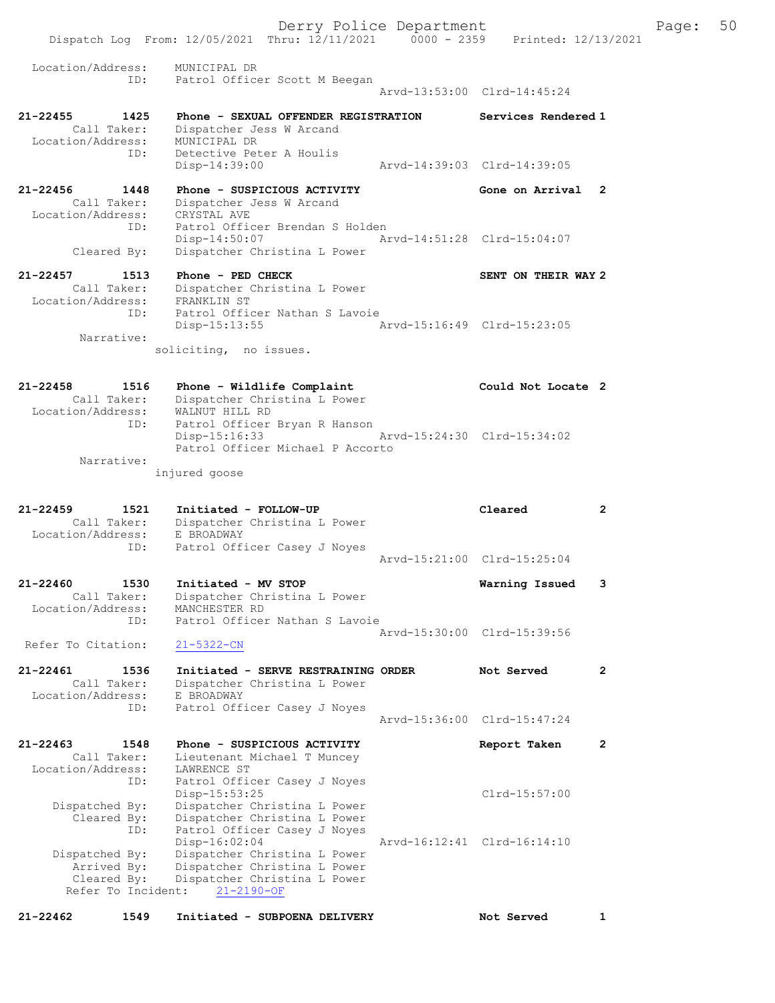Derry Police Department Fage: 50 Dispatch Log From: 12/05/2021 Thru: 12/11/2021 0000 - 2359 Printed: 12/13/2021 Location/Address: MUNICIPAL DR ID: Patrol Officer Scott M Beegan Arvd-13:53:00 Clrd-14:45:24 21-22455 1425 Phone - SEXUAL OFFENDER REGISTRATION Services Rendered 1 Call Taker: Dispatcher Jess W Arcand Location/Address: MUNICIPAL DR ID: Detective Peter A Houlis Disp-14:39:00 Arvd-14:39:03 Clrd-14:39:05 21-22456 1448 Phone - SUSPICIOUS ACTIVITY Gone on Arrival 2 Call Taker: Dispatcher Jess W Arcand Location/Address: CRYSTAL AVE ID: Patrol Officer Brendan S Holden Disp-14:50:07 Arvd-14:51:28 Clrd-15:04:07 Cleared By: Dispatcher Christina L Power 21-22457 1513 Phone - PED CHECK SENT ON THEIR WAY 2 Call Taker: Dispatcher Christina L Power Location/Address: FRANKLIN ST ID: Patrol Officer Nathan S Lavoie Disp-15:13:55 Arvd-15:16:49 Clrd-15:23:05 Narrative: soliciting, no issues. 21-22458 1516 Phone - Wildlife Complaint Could Not Locate 2 Call Taker: Dispatcher Christina L Power Location/Address: WALNUT HILL RD ID: Patrol Officer Bryan R Hanson Disp-15:16:33 Arvd-15:24:30 Clrd-15:34:02 Patrol Officer Michael P Accorto Narrative: injured goose 21-22459 1521 Initiated - FOLLOW-UP Cleared 2 Call Taker: Dispatcher Christina L Power Location/Address: E BROADWAY ID: Patrol Officer Casey J Noyes Arvd-15:21:00 Clrd-15:25:04 21-22460 1530 Initiated - MV STOP Warning Issued 3 Call Taker: Dispatcher Christina L Power Location/Address: MANCHESTER RD ID: Patrol Officer Nathan S Lavoie Arvd-15:30:00 Clrd-15:39:56 Refer To Citation: 21-5322-CN 21-22461 1536 Initiated - SERVE RESTRAINING ORDER Not Served 2 Call Taker: Dispatcher Christina L Power Location/Address: E BROADWAY ID: Patrol Officer Casey J Noyes Arvd-15:36:00 Clrd-15:47:24 21-22463 1548 Phone - SUSPICIOUS ACTIVITY Report Taken 2 Call Taker: Lieutenant Michael T Muncey Location/Address: LAWRENCE ST ID: Patrol Officer Casey J Noyes Disp-15:53:25 Clrd-15:57:00 Dispatched By: Dispatcher Christina L Power Cleared By: Dispatcher Christina L Power ID: Patrol Officer Casey J Noyes Disp-16:02:04 Arvd-16:12:41 Clrd-16:14:10 Dispatched By: Dispatcher Christina L Power Arrived By: Dispatcher Christina L Power Cleared By: Dispatcher Christina L Power Refer To Incident: 21-2190-OF

21-22462 1549 Initiated - SUBPOENA DELIVERY Not Served 1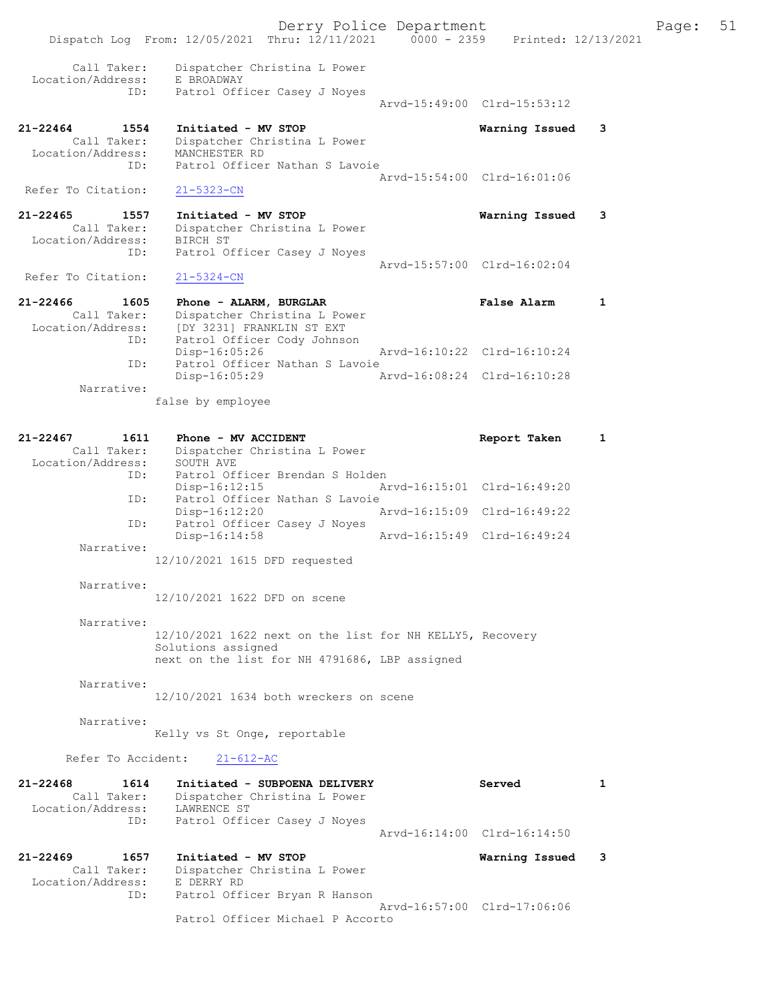Dispatch Log From: 12/05/2021 Thru: 12/11/2021 0000 - 2359 Printed: 12/13/2021 Call Taker: Dispatcher Christina L Power Location/Address: E BROADWAY ID: Patrol Officer Casey J Noyes Arvd-15:49:00 Clrd-15:53:12 21-22464 1554 Initiated - MV STOP Warning Issued 3 Call Taker: Dispatcher Christina L Power Location/Address: MANCHESTER RD ID: Patrol Officer Nathan S Lavoie Arvd-15:54:00 Clrd-16:01:06 Refer To Citation: 21-5323-CN 21-22465 1557 Initiated - MV STOP Warning Issued 3 Call Taker: Dispatcher Christina L Power Location/Address: BIRCH ST ID: Patrol Officer Casey J Noyes Arvd-15:57:00 Clrd-16:02:04<br>21-5324-CN Refer To Citation: 21-22466 1605 Phone - ALARM, BURGLAR 1 Phone 1 Palse Alarm 1 Call Taker: Dispatcher Christina L Power Location/Address: [DY 3231] FRANKLIN ST EXT ID: Patrol Officer Cody Johnson Disp-16:05:26 Arvd-16:10:22 Clrd-16:10:24 ID: Patrol Officer Nathan S Lavoie<br>Disp-16:05:29 A Disp-16:05:29 Arvd-16:08:24 Clrd-16:10:28 Narrative: false by employee 21-22467 1611 Phone - MV ACCIDENT Report Taken 1 Call Taker: Dispatcher Christina L Power Location/Address: SOUTH AVE ID: Patrol Officer Brendan S Holden Disp-16:12:15 Arvd-16:15:01 Clrd-16:49:20 ID: Patrol Officer Nathan S Lavoie<br>Disp-16:12:20 Disp-16:12:20 Arvd-16:15:09 Clrd-16:49:22 ID: Patrol Officer Casey J Noyes<br>Disp-16:14:58 Mrvd-16:15:49 Clrd-16:49:24 Disp-16:14:58 Narrative: 12/10/2021 1615 DFD requested Narrative: 12/10/2021 1622 DFD on scene Narrative: 12/10/2021 1622 next on the list for NH KELLY5, Recovery Solutions assigned next on the list for NH 4791686, LBP assigned Narrative: 12/10/2021 1634 both wreckers on scene Narrative: Kelly vs St Onge, reportable Refer To Accident: 21-612-AC 21-22468 1614 Initiated - SUBPOENA DELIVERY Served 1 Call Taker: Dispatcher Christina L Power Location/Address: LAWRENCE ST ID: Patrol Officer Casey J Noyes Arvd-16:14:00 Clrd-16:14:50 21-22469 1657 Initiated - MV STOP Warning Issued 3 Call Taker: Dispatcher Christina L Power Location/Address: E DERRY RD ID: Patrol Officer Bryan R Hanson Arvd-16:57:00 Clrd-17:06:06 Patrol Officer Michael P Accorto

Derry Police Department Fage: 51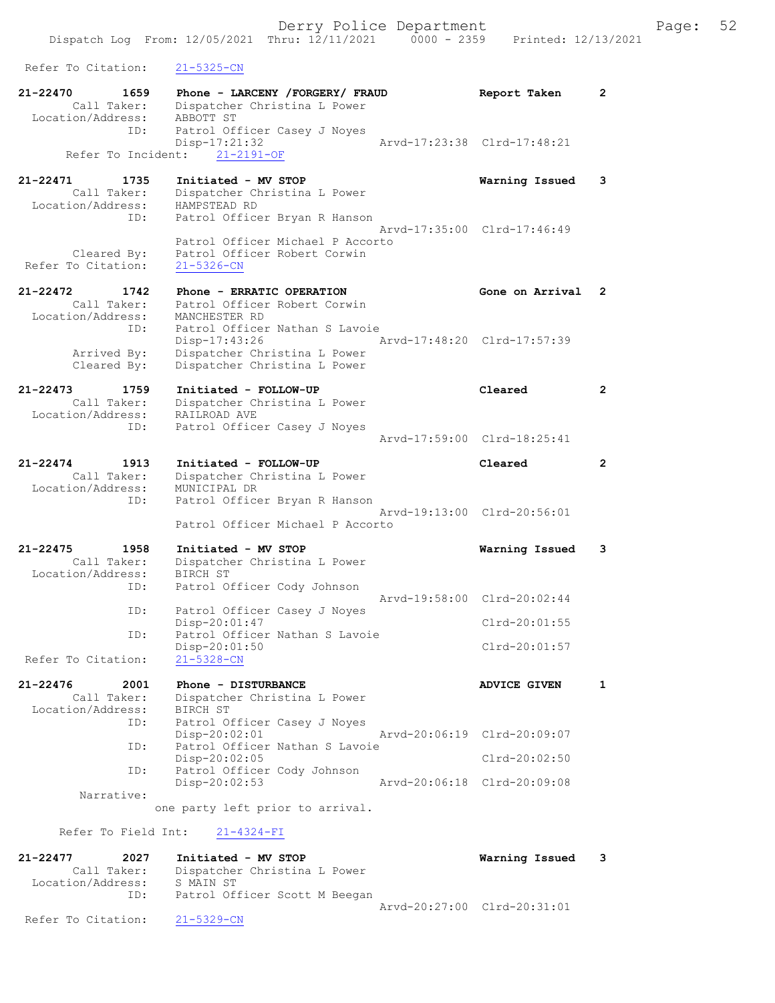Refer To Citation: 21-5325-CN 21-22470 1659 Phone - LARCENY /FORGERY/ FRAUD Report Taken 2 Call Taker: Dispatcher Christina L Power Location/Address: ABBOTT ST ID: Patrol Officer Casey J Noyes Disp-17:21:32 Arvd-17:23:38 Clrd-17:48:21 Refer To Incident: 21-2191-OF 21-22471 1735 Initiated - MV STOP Warning Issued 3 Call Taker: Dispatcher Christina L Power Location/Address: HAMPSTEAD RD ID: Fatrol Officer Bryan R Hanson<br>ID: Patrol Officer Bryan R Hanson<br>Arvd-17:35:00 Clrd-17:46:49 Arvd-17:35:00 Clrd-17:46:49 Patrol Officer Michael P Accorto Cleared By: Patrol Officer Robert Corwin Refer To Citation: 21-5326-CN 21-22472 1742 Phone - ERRATIC OPERATION Gone on Arrival 2 Call Taker: Patrol Officer Robert Corwin Location/Address: MANCHESTER RD ID: Patrol Officer Nathan S Lavoie Disp-17:43:26 Arvd-17:48:20 Clrd-17:57:39 Arrived By: Dispatcher Christina L Power Cleared By: Dispatcher Christina L Power 21-22473 1759 Initiated - FOLLOW-UP Cleared 2 Call Taker: Dispatcher Christina L Power Location/Address: RAILROAD AVE ID: Patrol Officer Casey J Noyes Arvd-17:59:00 Clrd-18:25:41 21-22474 1913 Initiated - FOLLOW-UP Cleared 2 Call Taker: Dispatcher Christina L Power Location/Address: MUNICIPAL DR ID: Patrol Officer Bryan R Hanson Arvd-19:13:00 Clrd-20:56:01 Patrol Officer Michael P Accorto 21-22475 1958 Initiated - MV STOP Warning Issued 3 Call Taker: Dispatcher Christina L Power Location/Address: BIRCH ST ID: Patrol Officer Cody Johnson Arvd-19:58:00 Clrd-20:02:44 ID: Patrol Officer Casey J Noyes<br>Disp-20:01:47 Disp-20:01:47 Clrd-20:01:55 ID: Patrol Officer Nathan S Lavoie Disp-20:01:50 Clrd-20:01:57 Refer To Citation: 21-5328-CN 21-22476 2001 Phone - DISTURBANCE 2001 2001 2001 1 Call Taker: Dispatcher Christina L Power Location/Address: BIRCH ST ID: Patrol Officer Casey J Noyes Disp-20:02:01 Arvd-20:06:19 Clrd-20:09:07 ID: Patrol Officer Nathan S Lavoie Disp-20:02:05 Clrd-20:02:50 ID: Patrol Officer Cody Johnson Disp-20:02:53 Arvd-20:06:18 Clrd-20:09:08 Narrative: one party left prior to arrival. Refer To Field Int: 21-4324-FI 21-22477 2027 Initiated - MV STOP Warning Issued 3 Call Taker: Dispatcher Christina L Power Location/Address: S MAIN ST ID: Patrol Officer Scott M Beegan Arvd-20:27:00 Clrd-20:31:01<br>21-5329-CN Refer To Citation: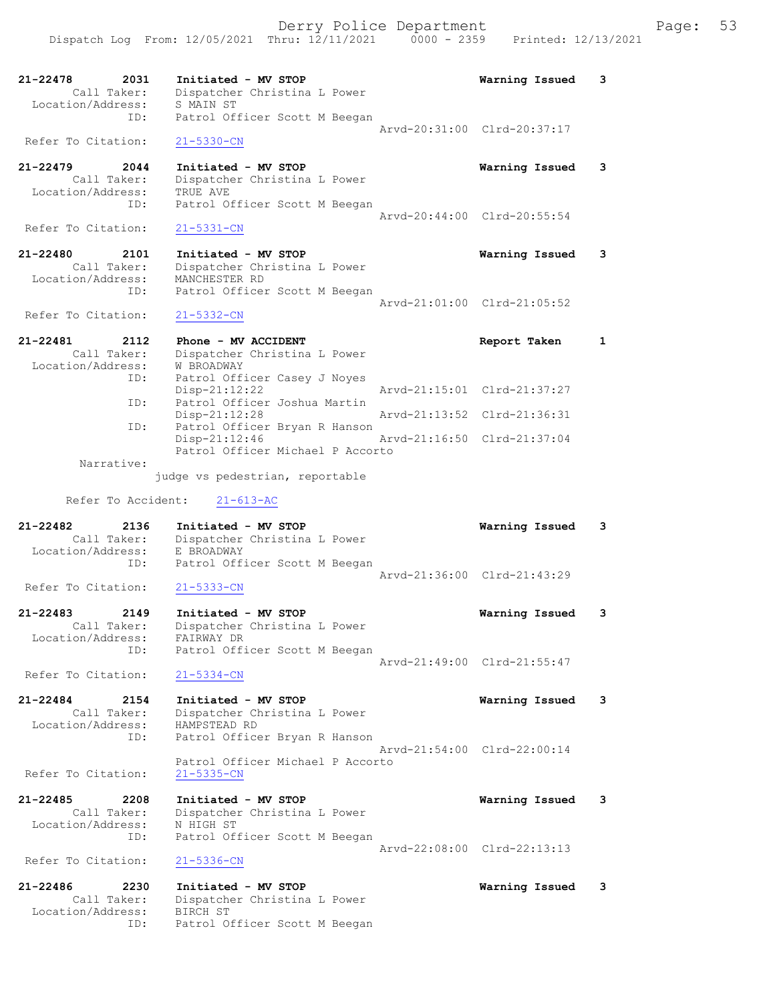

21-22486 2230 Initiated - MV STOP Warning Issued 3 Call Taker: Dispatcher Christina L Power Location/Address: BIRCH ST ID: Patrol Officer Scott M Beegan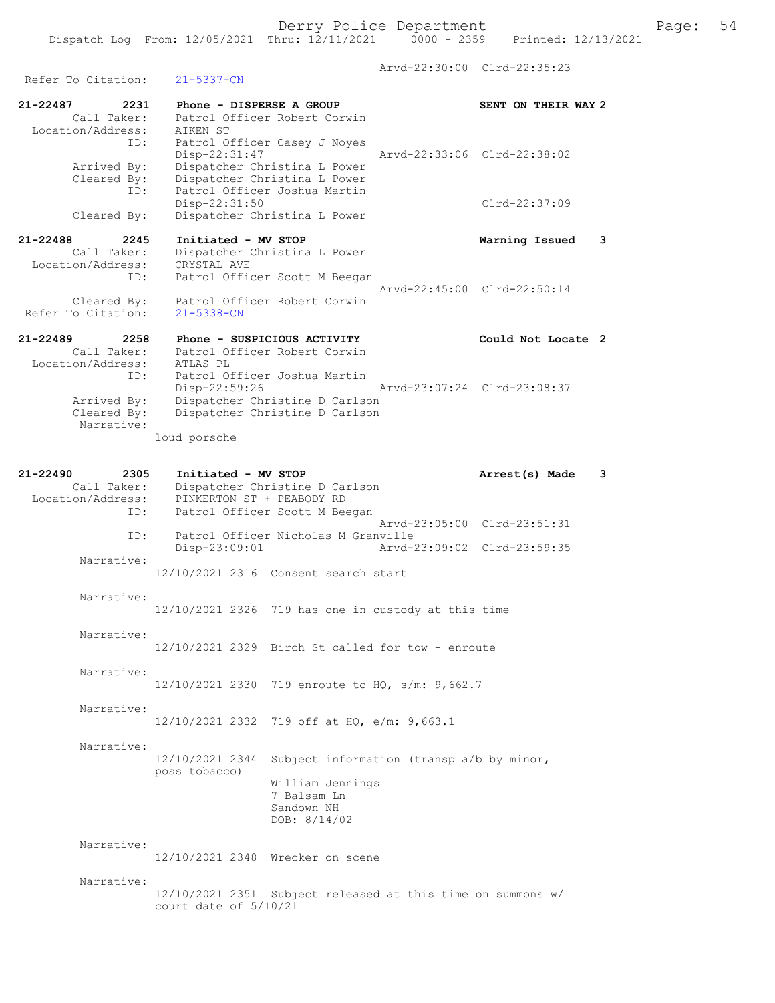Arvd-22:30:00 Clrd-22:35:23

Refer To Citation: 21-5337-CN

| 21-22488 | 2245                | Initiated - MV STOP                                      | Warning Issued              |  |
|----------|---------------------|----------------------------------------------------------|-----------------------------|--|
|          | Cleared By:         | Dispatcher Christina L Power                             |                             |  |
|          | ID:                 | Patrol Officer Joshua Martin<br>$Disp-22:31:50$          | $Clrd-22:37:09$             |  |
|          | Cleared By:         | Dispatcher Christina L Power                             |                             |  |
|          | Arrived By:         | Dispatcher Christina L Power                             |                             |  |
|          | ID:                 | Patrol Officer Casey J Noyes<br>Disp-22:31:47            | Arvd-22:33:06 Clrd-22:38:02 |  |
|          | Location/Address:   | AIKEN ST                                                 |                             |  |
| 21-22487 | 2231<br>Call Taker: | Phone - DISPERSE A GROUP<br>Patrol Officer Robert Corwin | SENT ON THEIR WAY 2         |  |

#### Call Taker: Dispatcher Christina L Power Location/Address: CRYSTAL AVE ID: Patrol Officer Scott M Beegan Arvd-22:45:00 Clrd-22:50:14 Cleared By: Patrol Officer Robert Corwin Refer To Citation: 21-5338-CN

| 21-22489<br>2258  | Phone - SUSPICIOUS ACTIVITY    | Could Not Locate 2          |  |
|-------------------|--------------------------------|-----------------------------|--|
| Call Taker:       | Patrol Officer Robert Corwin   |                             |  |
| Location/Address: | ATLAS PL                       |                             |  |
| ID:               | Patrol Officer Joshua Martin   |                             |  |
|                   | Disp-22:59:26                  | Arvd-23:07:24 Clrd-23:08:37 |  |
| Arrived By:       | Dispatcher Christine D Carlson |                             |  |
| Cleared By:       | Dispatcher Christine D Carlson |                             |  |
| Narrative:        |                                |                             |  |
|                   | loud porsche                   |                             |  |

#### 21-22490 2305 Initiated - MV STOP Arrest(s) Made 3 Call Taker: Dispatcher Christine D Carlson Location/Address: PINKERTON ST + PEABODY RD ID: Patrol Officer Scott M Beegan Arvd-23:05:00 Clrd-23:51:31<br>ID: Patrol Officer Nicholas M Granville Patrol Officer Nicholas M Granville

 Disp-23:09:01 Arvd-23:09:02 Clrd-23:59:35 Narrative:

12/10/2021 2316 Consent search start

#### Narrative:

12/10/2021 2326 719 has one in custody at this time

Narrative:

12/10/2021 2329 Birch St called for tow - enroute

Narrative:

12/10/2021 2330 719 enroute to HQ, s/m: 9,662.7

Narrative:

12/10/2021 2332 719 off at HQ, e/m: 9,663.1

Narrative:

12/10/2021 2344 Subject information (transp a/b by minor, poss tobacco) William Jennings 7 Balsam Ln Sandown NH DOB: 8/14/02

## Narrative:

12/10/2021 2348 Wrecker on scene

#### Narrative:

12/10/2021 2351 Subject released at this time on summons w/ court date of 5/10/21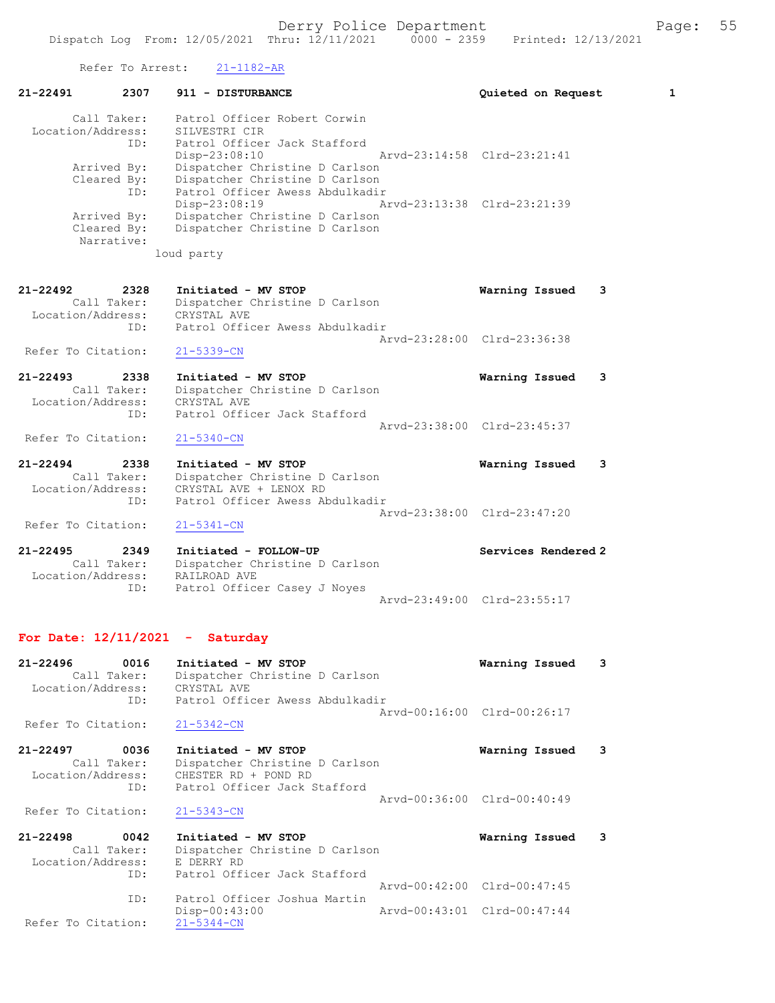## Refer To Arrest: 21-1182-AR

| 21-22491                          | 2307                                     | 911 - DISTURBANCE                                                                                                    | Quieted on Request          | 1 |
|-----------------------------------|------------------------------------------|----------------------------------------------------------------------------------------------------------------------|-----------------------------|---|
| Location/Address:                 | Call Taker:<br>ID:                       | Patrol Officer Robert Corwin<br>SILVESTRI CIR<br>Patrol Officer Jack Stafford<br>$Disp-23:08:10$                     | Arvd-23:14:58 Clrd-23:21:41 |   |
|                                   | Arrived By:<br>Cleared By:<br>ID:        | Dispatcher Christine D Carlson<br>Dispatcher Christine D Carlson<br>Patrol Officer Awess Abdulkadir<br>Disp-23:08:19 | Arvd-23:13:38 Clrd-23:21:39 |   |
|                                   | Arrived By:<br>Cleared By:<br>Narrative: | Dispatcher Christine D Carlson<br>Dispatcher Christine D Carlson<br>loud party                                       |                             |   |
|                                   |                                          |                                                                                                                      |                             |   |
| 21-22492<br>Location/Address:     | 2328<br>Call Taker:<br>ID:               | Initiated - MV STOP<br>Dispatcher Christine D Carlson<br>CRYSTAL AVE<br>Patrol Officer Awess Abdulkadir              | Warning Issued              | 3 |
| Refer To Citation:                |                                          | $21 - 5339 - CN$                                                                                                     | Arvd-23:28:00 Clrd-23:36:38 |   |
| $21 - 22493$                      |                                          | Initiated - MV STOP                                                                                                  |                             |   |
| Location/Address:                 | 2338<br>Call Taker:<br>ID:               | Dispatcher Christine D Carlson<br>CRYSTAL AVE<br>Patrol Officer Jack Stafford                                        | Warning Issued              | 3 |
| Refer To Citation:                |                                          | $21 - 5340 - CN$                                                                                                     | Aryd-23:38:00 Clrd-23:45:37 |   |
| 21-22494<br>Location/Address:     | 2338<br>Call Taker:<br>ID:               | Initiated - MV STOP<br>Dispatcher Christine D Carlson<br>CRYSTAL AVE + LENOX RD<br>Patrol Officer Awess Abdulkadir   | Warning Issued              | 3 |
| Refer To Citation:                |                                          | $21 - 5341 - CN$                                                                                                     | Arvd-23:38:00 Clrd-23:47:20 |   |
| $21 - 22495$<br>Location/Address: | 2349<br>Call Taker:                      | Initiated - FOLLOW-UP<br>Dispatcher Christine D Carlson<br>RAILROAD AVE                                              | Services Rendered 2         |   |
|                                   | ID:                                      | Patrol Officer Casey J Noyes                                                                                         | Arvd-23:49:00 Clrd-23:55:17 |   |
|                                   |                                          | For Date: $12/11/2021$ - Saturday                                                                                    |                             |   |
| 21-22496<br>Location/Address:     | 0016<br>Call Taker:                      | Initiated - MV STOP<br>Dispatcher Christine D Carlson<br>CRYSTAL AVE                                                 | Warning Issued              | 3 |
| Refer To Citation:                | ID:                                      | Patrol Officer Awess Abdulkadir<br>$21 - 5342 - CN$                                                                  | Arvd-00:16:00 Clrd-00:26:17 |   |
| 21-22497                          | 0036<br>Call Taker:                      | Initiated - MV STOP<br>Dispatcher Christine D Carlson                                                                | Warning Issued              | 3 |
| Location/Address:                 | ID:                                      | CHESTER RD + POND RD<br>Patrol Officer Jack Stafford                                                                 |                             |   |
| Refer To Citation:                |                                          | $21 - 5343 - CN$                                                                                                     | Aryd-00:36:00 Clrd-00:40:49 |   |
| $21 - 22498$<br>Location/Address: | 0042<br>Call Taker:                      | Initiated - MV STOP<br>Dispatcher Christine D Carlson<br>E DERRY RD                                                  | Warning Issued              | 3 |
|                                   | ID:                                      | Patrol Officer Jack Stafford                                                                                         | Arvd-00:42:00 Clrd-00:47:45 |   |
|                                   | ID:                                      | Patrol Officer Joshua Martin<br>$Disp-00:43:00$                                                                      | Arvd-00:43:01 Clrd-00:47:44 |   |
| Refer To Citation:                |                                          | $21 - 5344 - CN$                                                                                                     |                             |   |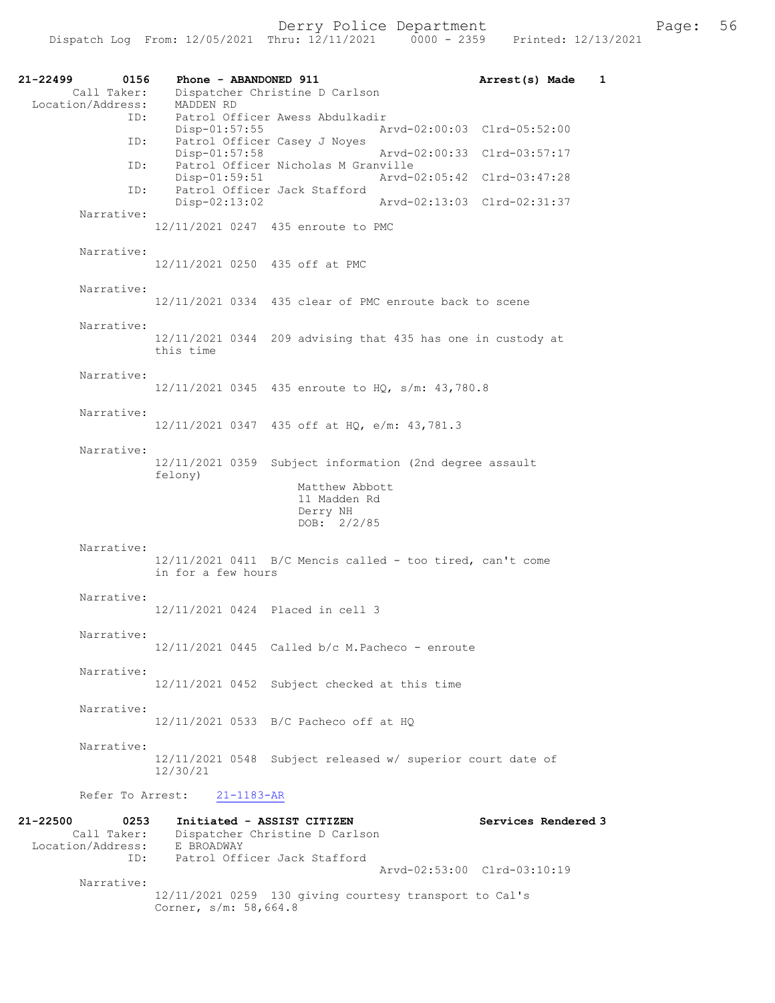| 21-22499<br>0156<br>Call Taker:<br>Location/Address:     | Phone - ABANDONED 911<br>Dispatcher Christine D Carlson<br>MADDEN RD                                         | Arrest(s) Made<br>1         |
|----------------------------------------------------------|--------------------------------------------------------------------------------------------------------------|-----------------------------|
| ID:                                                      | Patrol Officer Awess Abdulkadir<br>$Disp-01:57:55$                                                           | Arvd-02:00:03 Clrd-05:52:00 |
| ID:                                                      | Patrol Officer Casey J Noyes<br>Disp-01:57:58                                                                | Arvd-02:00:33 Clrd-03:57:17 |
| ID:                                                      | Patrol Officer Nicholas M Granville<br>$Disp-01:59:51$                                                       | Arvd-02:05:42 Clrd-03:47:28 |
| ID:                                                      | Patrol Officer Jack Stafford<br>Disp-02:13:02                                                                | Arvd-02:13:03 Clrd-02:31:37 |
| Narrative:                                               | 12/11/2021 0247 435 enroute to PMC                                                                           |                             |
| Narrative:                                               | 12/11/2021 0250 435 off at PMC                                                                               |                             |
| Narrative:                                               | $12/11/2021$ 0334 435 clear of PMC enroute back to scene                                                     |                             |
| Narrative:                                               | 12/11/2021 0344 209 advising that 435 has one in custody at<br>this time                                     |                             |
| Narrative:                                               | 12/11/2021 0345 435 enroute to HQ, s/m: 43,780.8                                                             |                             |
| Narrative:                                               | 12/11/2021 0347 435 off at HQ, e/m: 43,781.3                                                                 |                             |
| Narrative:                                               | 12/11/2021 0359<br>Subject information (2nd degree assault<br>felony)<br>Matthew Abbott<br>11 Madden Rd      |                             |
| Narrative:                                               | Derry NH<br>DOB: $2/2/85$<br>12/11/2021 0411 B/C Mencis called - too tired, can't come<br>in for a few hours |                             |
| Narrative:                                               | 12/11/2021 0424 Placed in cell 3                                                                             |                             |
| Narrative:                                               | $12/11/2021$ 0445 Called b/c M.Pacheco - enroute                                                             |                             |
| Narrative:                                               | 12/11/2021 0452 Subject checked at this time                                                                 |                             |
| Narrative:                                               | 12/11/2021 0533 B/C Pacheco off at HQ                                                                        |                             |
| Narrative:                                               | 12/11/2021 0548 Subject released w/ superior court date of<br>12/30/21                                       |                             |
|                                                          | Refer To Arrest: 21-1183-AR                                                                                  |                             |
| $21 - 22500$<br>0253<br>Call Taker:<br>Location/Address: | Initiated - ASSIST CITIZEN<br>Dispatcher Christine D Carlson<br>E BROADWAY<br>Patrol Officer Jack Stafford   | Services Rendered 3         |
| ID:<br>Narrative:                                        |                                                                                                              | Arvd-02:53:00 Clrd-03:10:19 |
|                                                          | 12/11/2021 0259 130 giving courtesy transport to Cal's<br>Corner, s/m: 58,664.8                              |                             |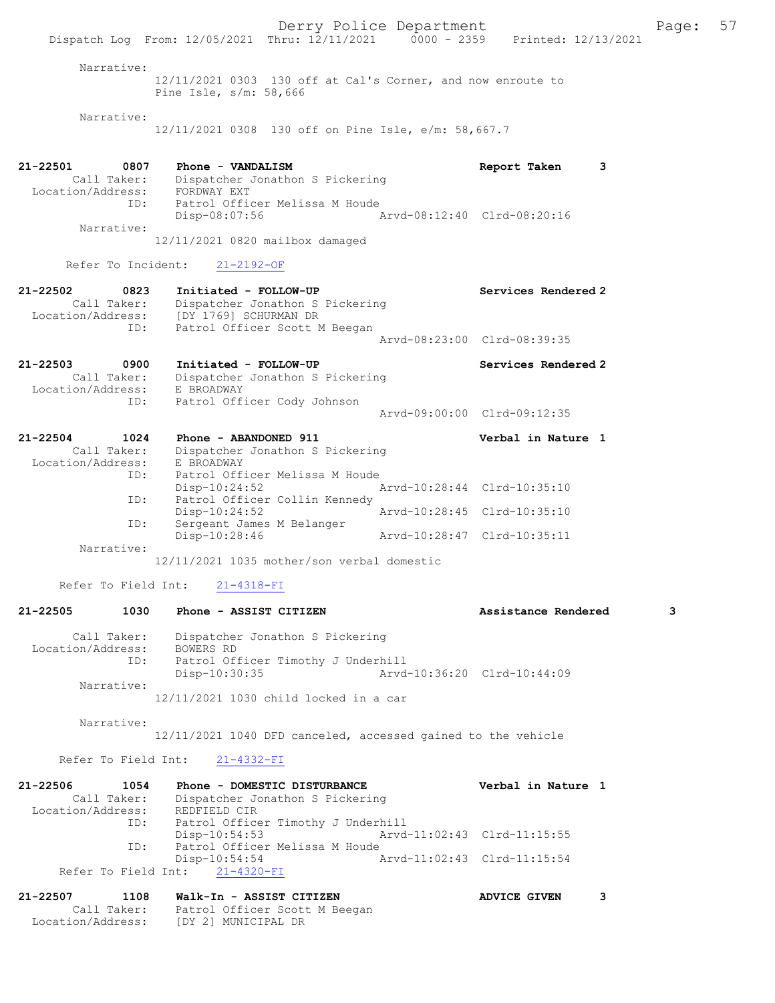Derry Police Department Fage: 57 Dispatch Log From: 12/05/2021 Thru: 12/11/2021 0000 - 2359 Printed: 12/13/2021 Narrative: 12/11/2021 0303 130 off at Cal's Corner, and now enroute to Pine Isle, s/m: 58,666 Narrative: 12/11/2021 0308 130 off on Pine Isle, e/m: 58,667.7 21-22501 0807 Phone - VANDALISM Report Taken 3 Call Taker: Dispatcher Jonathon S Pickering Location/Address: FORDWAY EXT ID: Patrol Officer Melissa M Houde<br>Disp-08:07:56 Mrvd-08:12:40 Clrd-08:20:16 Disp-08:07:56 Narrative: 12/11/2021 0820 mailbox damaged Refer To Incident: 21-2192-OF 21-22502 0823 Initiated - FOLLOW-UP Services Rendered 2 Call Taker: Dispatcher Jonathon S Pickering Location/Address: [DY 1769] SCHURMAN DR ID: Patrol Officer Scott M Beegan Arvd-08:23:00 Clrd-08:39:35 21-22503 0900 Initiated - FOLLOW-UP Services Rendered 2 Call Taker: Dispatcher Jonathon S Pickering Location/Address: E BROADWAY ID: Patrol Officer Cody Johnson Arvd-09:00:00 Clrd-09:12:35 21-22504 1024 Phone - ABANDONED 911 Verbal in Nature 1 Call Taker: Dispatcher Jonathon S Pickering Location/Address: E BROADWAY ID: Patrol Officer Melissa M Houde Disp-10:24:52 Arvd-10:28:44 Clrd-10:35:10 ID: Patrol Officer Collin Kennedy<br>Disp-10:24:52 Disp-10:24:52 Arvd-10:28:45 Clrd-10:35:10 ID: Sergeant James M Belanger Disp-10:28:46 Arvd-10:28:47 Clrd-10:35:11 Narrative: 12/11/2021 1035 mother/son verbal domestic Refer To Field Int: 21-4318-FI 21-22505 1030 Phone - ASSIST CITIZEN Assistance Rendered 3 Call Taker: Dispatcher Jonathon S Pickering Location/Address: BOWERS RD ID: Patrol Officer Timothy J Underhill Disp-10:30:35 Arvd-10:36:20 Clrd-10:44:09 Narrative: 12/11/2021 1030 child locked in a car Narrative: 12/11/2021 1040 DFD canceled, accessed gained to the vehicle Refer To Field Int: 21-4332-FI 21-22506 1054 Phone - DOMESTIC DISTURBANCE Verbal in Nature 1 Call Taker: Dispatcher Jonathon S Pickering Location/Address: REDFIELD CIR ID: Patrol Officer Timothy J Underhill Disp-10:54:53 Arvd-11:02:43 Clrd-11:15:55<br>TD: Patrol Officer Melissa M Houde Patrol Officer Melissa M Houde Disp-10:54:54 Arvd-11:02:43 Clrd-11:15:54 Refer To Field Int: 21-4320-FI 21-22507 1108 Walk-In - ASSIST CITIZEN ADVICE GIVEN 3 Call Taker: Patrol Officer Scott M Beegan

Location/Address: [DY 2] MUNICIPAL DR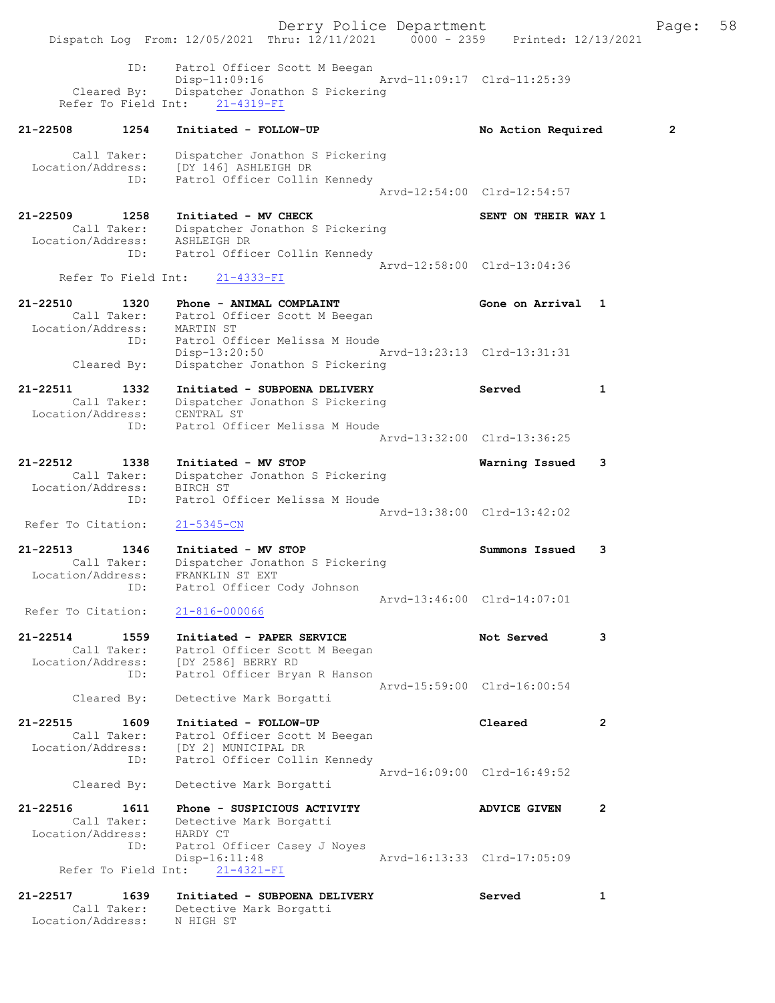Derry Police Department Fage: 58 Dispatch Log From: 12/05/2021 Thru: 12/11/2021 0000 - 2359 Printed: 12/13/2021 ID: Patrol Officer Scott M Beegan<br>Disp-11:09:16 Arvd-11:09:17 Clrd-11:25:39 Disp-11:09:16 Arvd-11:09:17 Clrd-11:25:39 Cleared By: Dispatcher Jonathon S Pickering Refer To Field Int: 21-4319-FI 21-22508 1254 Initiated - FOLLOW-UP No Action Required 2 Call Taker: Dispatcher Jonathon S Pickering Location/Address: [DY 146] ASHLEIGH DR ID: Patrol Officer Collin Kennedy Arvd-12:54:00 Clrd-12:54:57 21-22509 1258 Initiated - MV CHECK SENT ON THEIR WAY 1 Call Taker: Dispatcher Jonathon S Pickering Location/Address: ASHLEIGH DR ID: Patrol Officer Collin Kennedy Arvd-12:58:00 Clrd-13:04:36 Refer To Field Int: 21-4333-FI 21-22510 1320 Phone - ANIMAL COMPLAINT COMPONE AND Gone on Arrival 1 Call Taker: Patrol Officer Scott M Beegan Location/Address: MARTIN ST ID: Patrol Officer Melissa M Houde Disp-13:20:50 Arvd-13:23:13 Clrd-13:31:31 Cleared By: Dispatcher Jonathon S Pickering 21-22511 1332 Initiated - SUBPOENA DELIVERY Served 1 Call Taker: Dispatcher Jonathon S Pickering Location/Address: CENTRAL ST ID: Patrol Officer Melissa M Houde Arvd-13:32:00 Clrd-13:36:25 21-22512 1338 Initiated - MV STOP Warning Issued 3 Call Taker: Dispatcher Jonathon S Pickering Location/Address: BIRCH ST ID: Patrol Officer Melissa M Houde Arvd-13:38:00 Clrd-13:42:02 Refer To Citation: 21-5345-CN 21-22513 1346 Initiated - MV STOP Summons Issued 3 Call Taker: Dispatcher Jonathon S Pickering Location/Address: FRANKLIN ST EXT ID: Patrol Officer Cody Johnson Arvd-13:46:00 Clrd-14:07:01 Refer To Citation: 21-816-000066 21-22514 1559 Initiated - PAPER SERVICE 1997 Not Served 3 Call Taker: Patrol Officer Scott M Beegan Location/Address: [DY 2586] BERRY RD ID: Patrol Officer Bryan R Hanson Arvd-15:59:00 Clrd-16:00:54 Cleared By: Detective Mark Borgatti 21-22515 1609 Initiated - FOLLOW-UP Cleared 2 Call Taker: Patrol Officer Scott M Beegan Location/Address: [DY 2] MUNICIPAL DR ID: Patrol Officer Collin Kennedy Arvd-16:09:00 Clrd-16:49:52 Cleared By: Detective Mark Borgatti 21-22516 1611 Phone - SUSPICIOUS ACTIVITY ADVICE GIVEN 2 Call Taker: Detective Mark Borgatti Location/Address: HARDY CT ID: Patrol Officer Casey J Noyes Disp-16:11:48<br>  $\frac{1}{2}$  Arvd-16:13:33 Clrd-17:05:09 Refer To Field Int: 21-4321-FI 21-22517 1639 Initiated - SUBPOENA DELIVERY Served 1 Call Taker: Detective Mark Borgatti Location/Address: N HIGH ST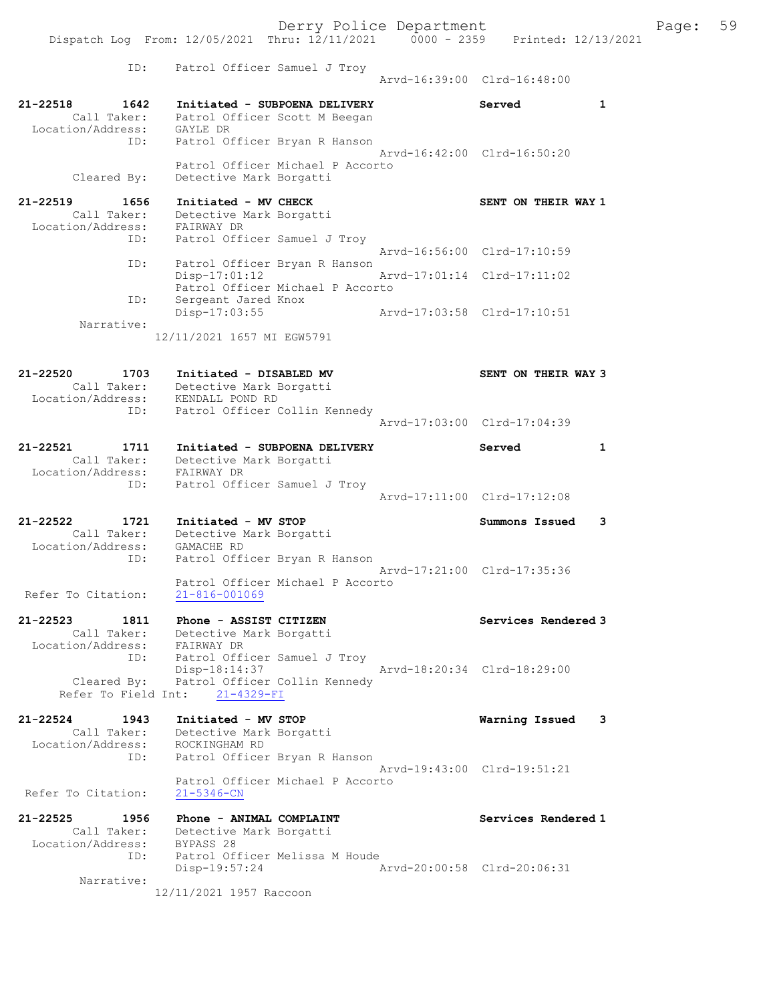Derry Police Department Fage: 59 Dispatch Log From: 12/05/2021 Thru: 12/11/2021 0000 - 2359 Printed: 12/13/2021 ID: Patrol Officer Samuel J Troy Arvd-16:39:00 Clrd-16:48:00 21-22518 1642 Initiated - SUBPOENA DELIVERY Served 1 Call Taker: Patrol Officer Scott M Beegan Location/Address: GAYLE DR ID: Patrol Officer Bryan R Hanson Arvd-16:42:00 Clrd-16:50:20 Patrol Officer Michael P Accorto Cleared By: Detective Mark Borgatti 21-22519 1656 Initiated - MV CHECK SENT ON THEIR WAY 1 Call Taker: Detective Mark Borgatti Location/Address: FAIRWAY DR ID: Patrol Officer Samuel J Troy Arvd-16:56:00 Clrd-17:10:59 ID: Patrol Officer Bryan R Hanson Disp-17:01:12 Arvd-17:01:14 Clrd-17:11:02 Patrol Officer Michael P Accorto ID: Sergeant Jared Knox Disp-17:03:55 Arvd-17:03:58 Clrd-17:10:51 Narrative: 12/11/2021 1657 MI EGW5791 21-22520 1703 Initiated - DISABLED MV SENT ON THEIR WAY 3 Call Taker: Detective Mark Borgatti Location/Address: KENDALL POND RD ID: Patrol Officer Collin Kennedy Arvd-17:03:00 Clrd-17:04:39 21-22521 1711 Initiated - SUBPOENA DELIVERY Served 1 Call Taker: Detective Mark Borgatti Location/Address: FAIRWAY DR ID: Patrol Officer Samuel J Troy Arvd-17:11:00 Clrd-17:12:08 21-22522 1721 Initiated - MV STOP Summons Issued 3 Call Taker: Detective Mark Borgatti Location/Address: GAMACHE RD ID: Patrol Officer Bryan R Hanson Arvd-17:21:00 Clrd-17:35:36 Patrol Officer Michael P Accorto Refer To Citation: 21-816-001069 21-22523 1811 Phone - ASSIST CITIZEN Services Rendered 3 Call Taker: Detective Mark Borgatti Location/Address: FAIRWAY DR ID: Patrol Officer Samuel J Troy Disp-18:14:37 Arvd-18:20:34 Clrd-18:29:00 Cleared By: Patrol Officer Collin Kennedy Refer To Field Int: 21-4329-FI 21-22524 1943 Initiated - MV STOP Warning Issued 3 Call Taker: Detective Mark Borgatti Location/Address: ROCKINGHAM RD ID: Patrol Officer Bryan R Hanson Arvd-19:43:00 Clrd-19:51:21 Patrol Officer Michael P Accorto Refer To Citation: 21-5346-CN 21-22525 1956 Phone - ANIMAL COMPLAINT Services Rendered 1 Call Taker: Detective Mark Borgatti Location/Address: BYPASS 28 ID: Patrol Officer Melissa M Houde Disp-19:57:24 Arvd-20:00:58 Clrd-20:06:31 Narrative: 12/11/2021 1957 Raccoon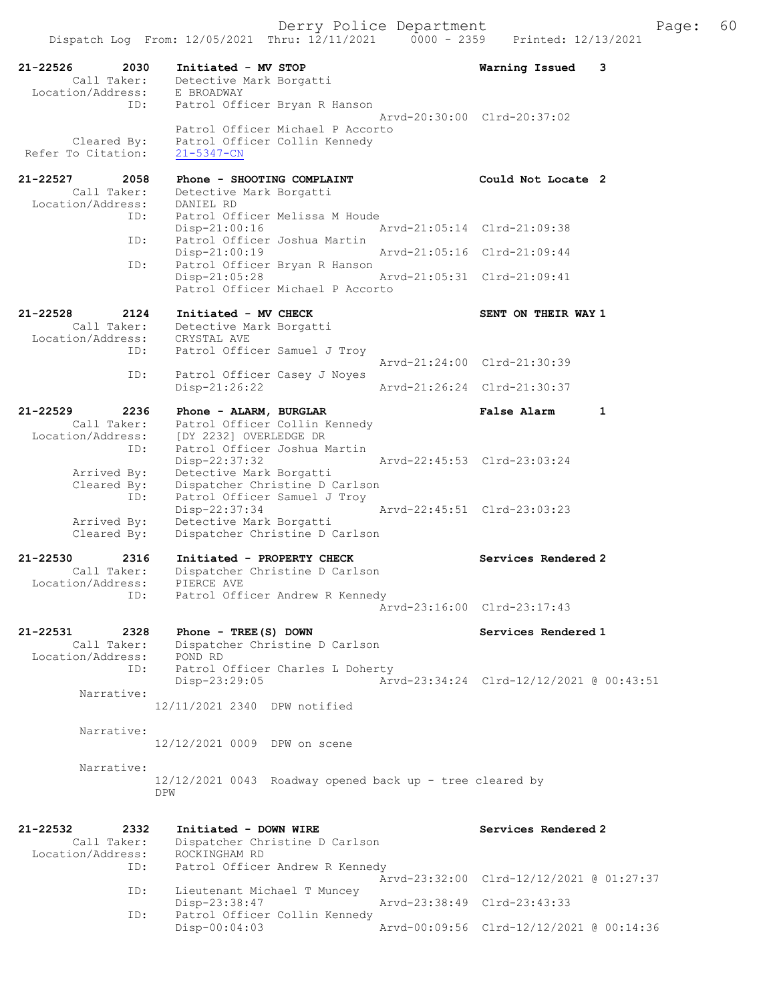21-22526 2030 Initiated - MV STOP Warning Issued 3 Call Taker: Detective Mark Borgatti Location/Address: E BROADWAY ID: Patrol Officer Bryan R Hanson<br>ID: Patrol Officer Bryan R Hanson<br>Arvd-20:30:00 Clrd-20:37:02 Arvd-20:30:00 Clrd-20:37:02 Patrol Officer Michael P Accorto Cleared By: Patrol Officer Collin Kennedy Refer To Citation: 21-5347-CN 21-22527 2058 Phone - SHOOTING COMPLAINT Could Not Locate 2 Call Taker: Detective Mark Borgatti Location/Address: DANIEL RD ID: Patrol Officer Melissa M Houde Disp-21:00:16 Arvd-21:05:14 Clrd-21:09:38 ID: Patrol Officer Joshua Martin ID: Patrol Officer Joshua Martin<br>Disp-21:00:19 Arvd-21:05:16 Clrd-21:09:44 ID: Patrol Officer Bryan R Hanson<br>Disp-21:05:28 Disp-21:05:28 Arvd-21:05:31 Clrd-21:09:41 Patrol Officer Michael P Accorto 21-22528 2124 Initiated - MV CHECK SENT ON THEIR WAY 1 Call Taker: Detective Mark Borgatti Location/Address: CRYSTAL AVE ID: Patrol Officer Samuel J Troy Arvd-21:24:00 Clrd-21:30:39<br>
Disp-21:26:22<br>
Disp-21:26:22<br>
Arvd-21:26:24 Clrd-21:30:37 Patrol Officer Casey J Noyes Disp-21:26:22 Arvd-21:26:24 Clrd-21:30:37 21-22529 2236 Phone - ALARM, BURGLAR False Alarm 1 Call Taker: Patrol Officer Collin Kennedy Location/Address: [DY 2232] OVERLEDGE DR ID: Patrol Officer Joshua Martin Disp-22:37:32 Arvd-22:45:53 Clrd-23:03:24 Arrived By: Detective Mark Borgatti Cleared By: Dispatcher Christine D Carlson ID: Patrol Officer Samuel J Troy Disp-22:37:34 Arvd-22:45:51 Clrd-23:03:23 Arrived By: Detective Mark Borgatti Cleared By: Dispatcher Christine D Carlson 21-22530 2316 Initiated - PROPERTY CHECK Services Rendered 2 Call Taker: Dispatcher Christine D Carlson Location/Address: PIERCE AVE ID: Patrol Officer Andrew R Kennedy Arvd-23:16:00 Clrd-23:17:43 21-22531 2328 Phone - TREE(S) DOWN Services Rendered 1 Call Taker: Dispatcher Christine D Carlson Location/Address: POND RD ID: Patrol Officer Charles L Doherty Disp-23:29:05 Arvd-23:34:24 Clrd-12/12/2021 @ 00:43:51 Narrative: 12/11/2021 2340 DPW notified Narrative: 12/12/2021 0009 DPW on scene Narrative: 12/12/2021 0043 Roadway opened back up - tree cleared by DPW 21-22532 2332 Initiated - DOWN WIRE Services Rendered 2<br>Call Taker: Dispatcher Christine D Carlson Call Taker: Dispatcher Christine D Carlson Location/Address: ROCKINGHAM RD ID: Patrol Officer Andrew R Kennedy Arvd-23:32:00 Clrd-12/12/2021 @ 01:27:37 ID: Lieutenant Michael T Muncey Disp-23:38:47 Arvd-23:38:49 Clrd-23:43:33 ID: Patrol Officer Collin Kennedy<br>Disp-00:04:03 Disp-00:04:03 Arvd-00:09:56 Clrd-12/12/2021 @ 00:14:36